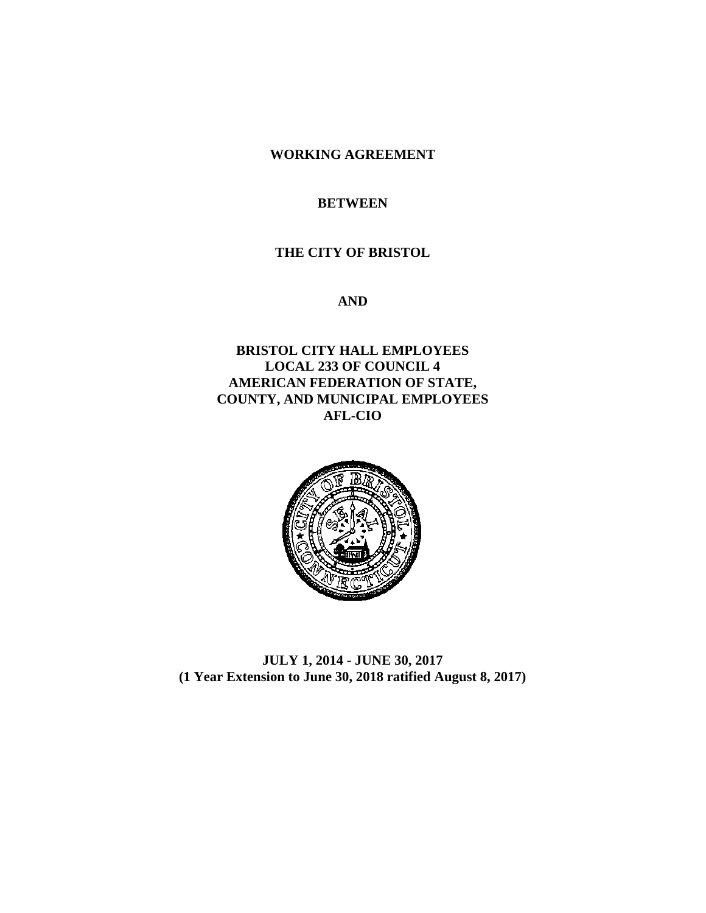**WORKING AGREEMENT**

## **BETWEEN**

#### **THE CITY OF BRISTOL**

**AND**

**BRISTOL CITY HALL EMPLOYEES LOCAL 233 OF COUNCIL 4 AMERICAN FEDERATION OF STATE, COUNTY, AND MUNICIPAL EMPLOYEES AFL-CIO**



**JULY 1, 2014 - JUNE 30, 2017 (1 Year Extension to June 30, 2018 ratified August 8, 2017)**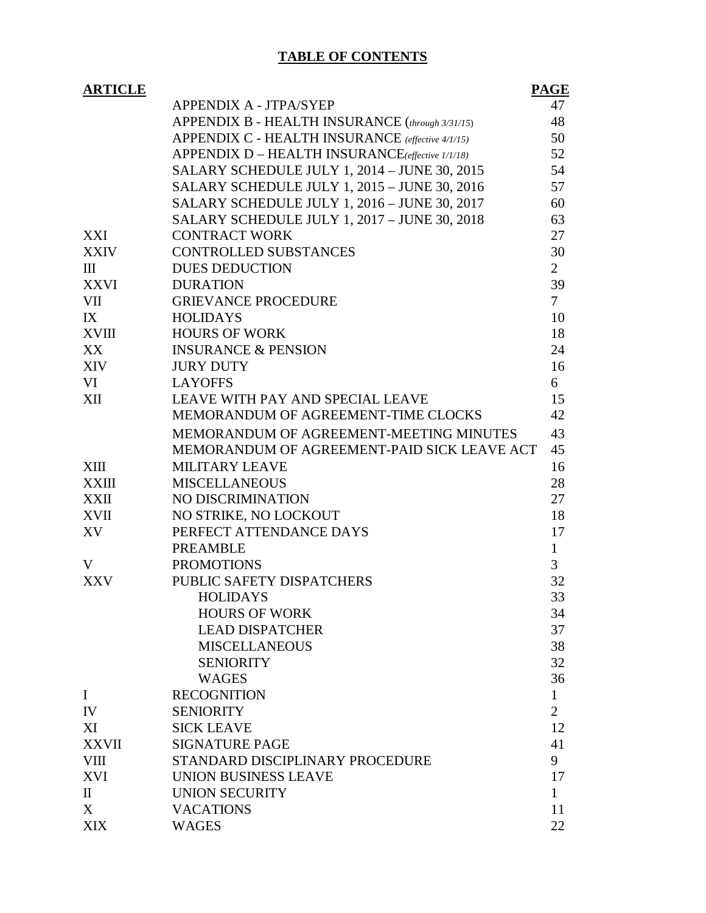# **TABLE OF CONTENTS**

| <b>ARTICLE</b> |                                                  | <b>PAGE</b>    |
|----------------|--------------------------------------------------|----------------|
|                | <b>APPENDIX A - JTPA/SYEP</b>                    | 47             |
|                | APPENDIX B - HEALTH INSURANCE (through 3/31/15)  | 48             |
|                | APPENDIX C - HEALTH INSURANCE (effective 4/1/15) | 50             |
|                | APPENDIX D - HEALTH INSURANCE(effective 1/1/18)  | 52             |
|                | SALARY SCHEDULE JULY 1, 2014 – JUNE 30, 2015     | 54             |
|                | SALARY SCHEDULE JULY 1, 2015 - JUNE 30, 2016     | 57             |
|                | SALARY SCHEDULE JULY 1, 2016 - JUNE 30, 2017     | 60             |
|                | SALARY SCHEDULE JULY 1, 2017 - JUNE 30, 2018     | 63             |
| XXI            | <b>CONTRACT WORK</b>                             | 27             |
| <b>XXIV</b>    | <b>CONTROLLED SUBSTANCES</b>                     | 30             |
| Ш              | <b>DUES DEDUCTION</b>                            | $\overline{2}$ |
| XXVI           | <b>DURATION</b>                                  | 39             |
| VII            | <b>GRIEVANCE PROCEDURE</b>                       | $\overline{7}$ |
| IX             | <b>HOLIDAYS</b>                                  | 10             |
| XVIII          | <b>HOURS OF WORK</b>                             | 18             |
| XX             | <b>INSURANCE &amp; PENSION</b>                   | 24             |
| XIV            | <b>JURY DUTY</b>                                 | 16             |
| VI             | <b>LAYOFFS</b>                                   | 6              |
| XII            | LEAVE WITH PAY AND SPECIAL LEAVE                 | 15             |
|                | MEMORANDUM OF AGREEMENT-TIME CLOCKS              | 42             |
|                | MEMORANDUM OF AGREEMENT-MEETING MINUTES          | 43             |
|                | MEMORANDUM OF AGREEMENT-PAID SICK LEAVE ACT      | 45             |
| XIII           | <b>MILITARY LEAVE</b>                            | 16             |
| <b>XXIII</b>   | <b>MISCELLANEOUS</b>                             | 28             |
| XXII           | NO DISCRIMINATION                                | 27             |
| XVII           | NO STRIKE, NO LOCKOUT                            | 18             |
| XV             | PERFECT ATTENDANCE DAYS                          | 17             |
|                | <b>PREAMBLE</b>                                  | $\mathbf{1}$   |
| V              | <b>PROMOTIONS</b>                                | 3              |
| <b>XXV</b>     | PUBLIC SAFETY DISPATCHERS                        | 32             |
|                | <b>HOLIDAYS</b>                                  | 33             |
|                | <b>HOURS OF WORK</b>                             | 34             |
|                | <b>LEAD DISPATCHER</b>                           | 37             |
|                | <b>MISCELLANEOUS</b>                             | 38             |
|                | <b>SENIORITY</b>                                 | 32             |
|                | <b>WAGES</b>                                     | 36             |
| $\mathbf I$    | <b>RECOGNITION</b>                               | 1              |
| IV             | <b>SENIORITY</b>                                 | $\overline{2}$ |
| XI             | <b>SICK LEAVE</b>                                | 12             |
| <b>XXVII</b>   | <b>SIGNATURE PAGE</b>                            | 41             |
| <b>VIII</b>    | STANDARD DISCIPLINARY PROCEDURE                  | 9              |
| <b>XVI</b>     | UNION BUSINESS LEAVE                             | 17             |
| $\mathbf{I}$   | <b>UNION SECURITY</b>                            | 1              |
| X              | <b>VACATIONS</b>                                 | 11             |
| <b>XIX</b>     | <b>WAGES</b>                                     | 22             |
|                |                                                  |                |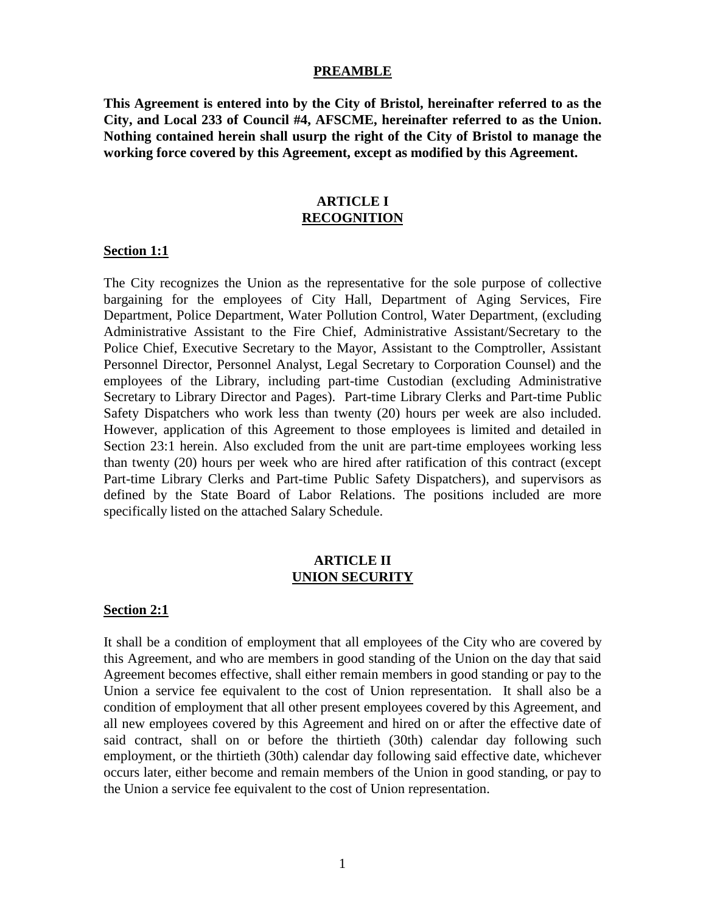#### **PREAMBLE**

**This Agreement is entered into by the City of Bristol, hereinafter referred to as the City, and Local 233 of Council #4, AFSCME, hereinafter referred to as the Union. Nothing contained herein shall usurp the right of the City of Bristol to manage the working force covered by this Agreement, except as modified by this Agreement.**

#### **ARTICLE I RECOGNITION**

#### **Section 1:1**

The City recognizes the Union as the representative for the sole purpose of collective bargaining for the employees of City Hall, Department of Aging Services, Fire Department, Police Department, Water Pollution Control, Water Department, (excluding Administrative Assistant to the Fire Chief, Administrative Assistant/Secretary to the Police Chief, Executive Secretary to the Mayor, Assistant to the Comptroller, Assistant Personnel Director, Personnel Analyst, Legal Secretary to Corporation Counsel) and the employees of the Library, including part-time Custodian (excluding Administrative Secretary to Library Director and Pages). Part-time Library Clerks and Part-time Public Safety Dispatchers who work less than twenty (20) hours per week are also included. However, application of this Agreement to those employees is limited and detailed in Section 23:1 herein. Also excluded from the unit are part-time employees working less than twenty (20) hours per week who are hired after ratification of this contract (except Part-time Library Clerks and Part-time Public Safety Dispatchers), and supervisors as defined by the State Board of Labor Relations. The positions included are more specifically listed on the attached Salary Schedule.

#### **ARTICLE II UNION SECURITY**

#### **Section 2:1**

It shall be a condition of employment that all employees of the City who are covered by this Agreement, and who are members in good standing of the Union on the day that said Agreement becomes effective, shall either remain members in good standing or pay to the Union a service fee equivalent to the cost of Union representation. It shall also be a condition of employment that all other present employees covered by this Agreement, and all new employees covered by this Agreement and hired on or after the effective date of said contract, shall on or before the thirtieth (30th) calendar day following such employment, or the thirtieth (30th) calendar day following said effective date, whichever occurs later, either become and remain members of the Union in good standing, or pay to the Union a service fee equivalent to the cost of Union representation.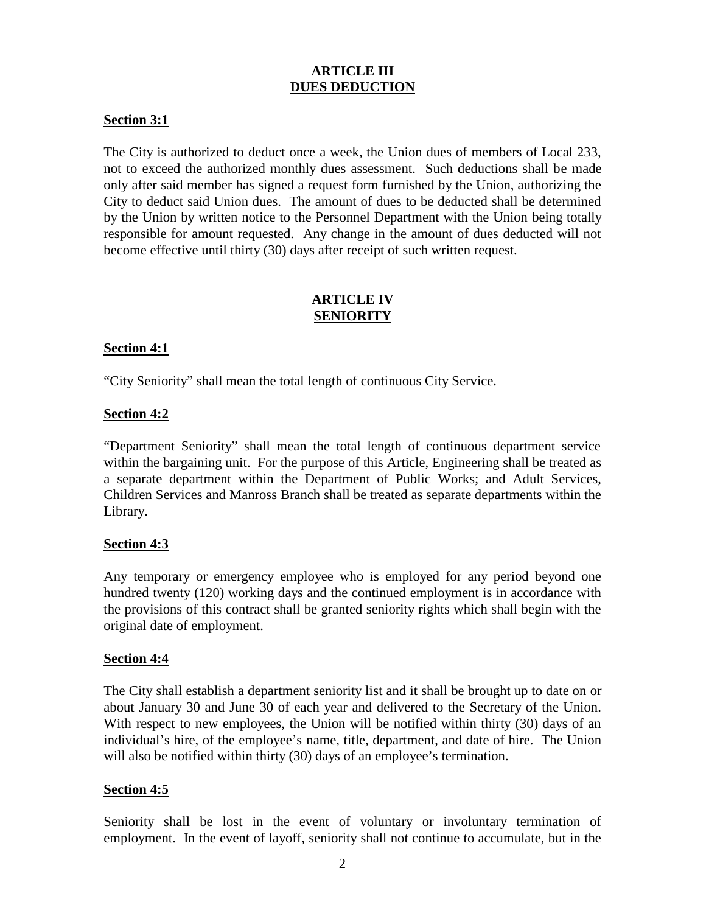# **ARTICLE III DUES DEDUCTION**

## **Section 3:1**

The City is authorized to deduct once a week, the Union dues of members of Local 233, not to exceed the authorized monthly dues assessment. Such deductions shall be made only after said member has signed a request form furnished by the Union, authorizing the City to deduct said Union dues. The amount of dues to be deducted shall be determined by the Union by written notice to the Personnel Department with the Union being totally responsible for amount requested. Any change in the amount of dues deducted will not become effective until thirty (30) days after receipt of such written request.

## **ARTICLE IV SENIORITY**

## **Section 4:1**

"City Seniority" shall mean the total length of continuous City Service.

## **Section 4:2**

"Department Seniority" shall mean the total length of continuous department service within the bargaining unit. For the purpose of this Article, Engineering shall be treated as a separate department within the Department of Public Works; and Adult Services, Children Services and Manross Branch shall be treated as separate departments within the Library.

## **Section 4:3**

Any temporary or emergency employee who is employed for any period beyond one hundred twenty (120) working days and the continued employment is in accordance with the provisions of this contract shall be granted seniority rights which shall begin with the original date of employment.

#### **Section 4:4**

The City shall establish a department seniority list and it shall be brought up to date on or about January 30 and June 30 of each year and delivered to the Secretary of the Union. With respect to new employees, the Union will be notified within thirty (30) days of an individual's hire, of the employee's name, title, department, and date of hire. The Union will also be notified within thirty (30) days of an employee's termination.

## **Section 4:5**

Seniority shall be lost in the event of voluntary or involuntary termination of employment. In the event of layoff, seniority shall not continue to accumulate, but in the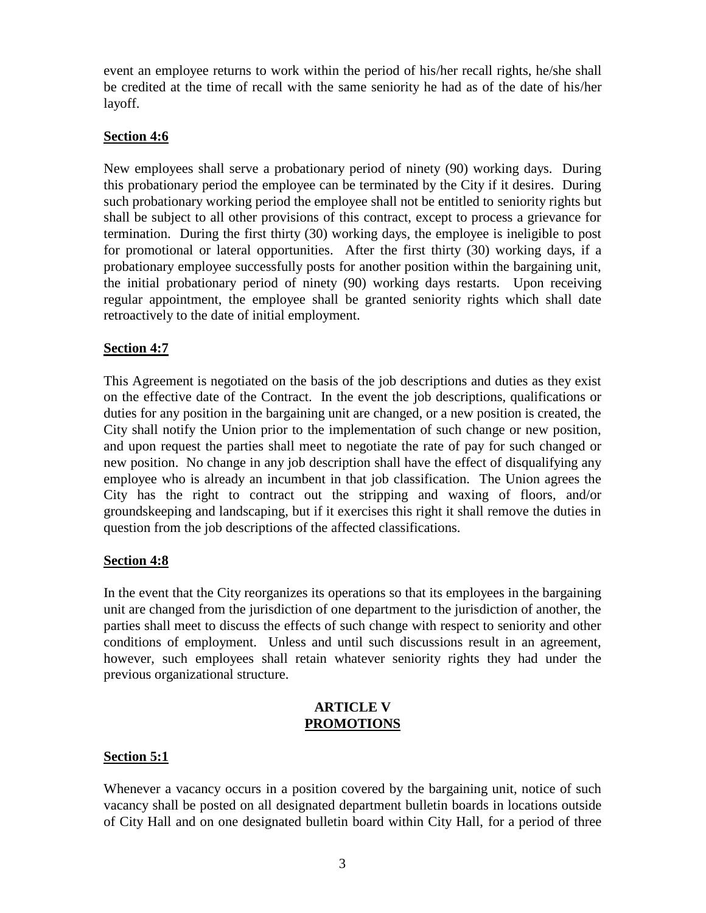event an employee returns to work within the period of his/her recall rights, he/she shall be credited at the time of recall with the same seniority he had as of the date of his/her layoff.

# **Section 4:6**

New employees shall serve a probationary period of ninety (90) working days. During this probationary period the employee can be terminated by the City if it desires. During such probationary working period the employee shall not be entitled to seniority rights but shall be subject to all other provisions of this contract, except to process a grievance for termination. During the first thirty (30) working days, the employee is ineligible to post for promotional or lateral opportunities. After the first thirty (30) working days, if a probationary employee successfully posts for another position within the bargaining unit, the initial probationary period of ninety (90) working days restarts. Upon receiving regular appointment, the employee shall be granted seniority rights which shall date retroactively to the date of initial employment.

# **Section 4:7**

This Agreement is negotiated on the basis of the job descriptions and duties as they exist on the effective date of the Contract. In the event the job descriptions, qualifications or duties for any position in the bargaining unit are changed, or a new position is created, the City shall notify the Union prior to the implementation of such change or new position, and upon request the parties shall meet to negotiate the rate of pay for such changed or new position. No change in any job description shall have the effect of disqualifying any employee who is already an incumbent in that job classification. The Union agrees the City has the right to contract out the stripping and waxing of floors, and/or groundskeeping and landscaping, but if it exercises this right it shall remove the duties in question from the job descriptions of the affected classifications.

## **Section 4:8**

In the event that the City reorganizes its operations so that its employees in the bargaining unit are changed from the jurisdiction of one department to the jurisdiction of another, the parties shall meet to discuss the effects of such change with respect to seniority and other conditions of employment. Unless and until such discussions result in an agreement, however, such employees shall retain whatever seniority rights they had under the previous organizational structure.

## **ARTICLE V PROMOTIONS**

## **Section 5:1**

Whenever a vacancy occurs in a position covered by the bargaining unit, notice of such vacancy shall be posted on all designated department bulletin boards in locations outside of City Hall and on one designated bulletin board within City Hall, for a period of three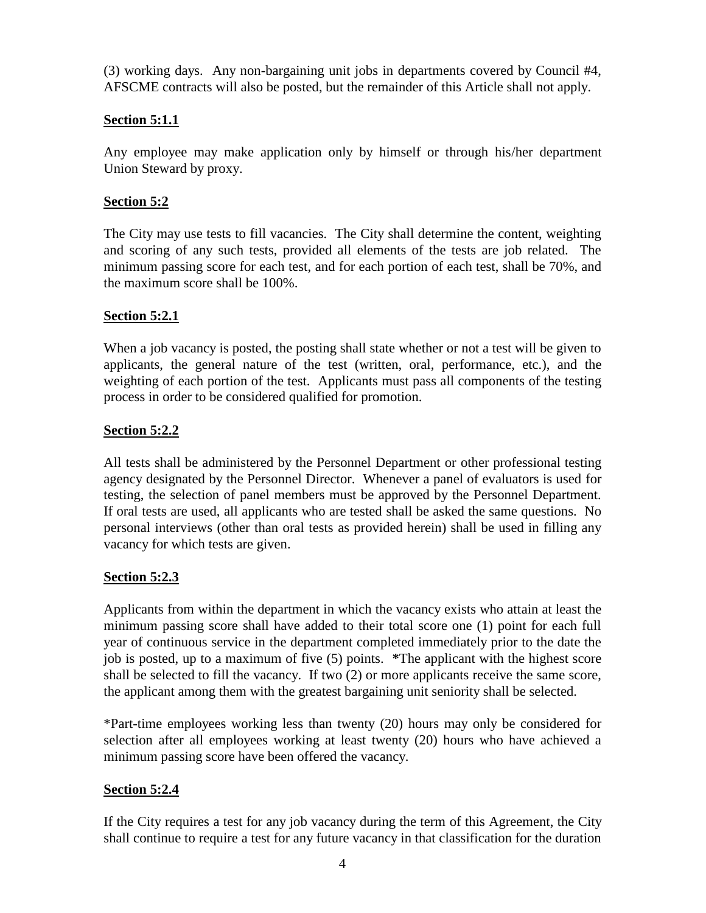(3) working days. Any non-bargaining unit jobs in departments covered by Council #4, AFSCME contracts will also be posted, but the remainder of this Article shall not apply.

# **Section 5:1.1**

Any employee may make application only by himself or through his/her department Union Steward by proxy.

# **Section 5:2**

The City may use tests to fill vacancies. The City shall determine the content, weighting and scoring of any such tests, provided all elements of the tests are job related. The minimum passing score for each test, and for each portion of each test, shall be 70%, and the maximum score shall be 100%.

# **Section 5:2.1**

When a job vacancy is posted, the posting shall state whether or not a test will be given to applicants, the general nature of the test (written, oral, performance, etc.), and the weighting of each portion of the test. Applicants must pass all components of the testing process in order to be considered qualified for promotion.

# **Section 5:2.2**

All tests shall be administered by the Personnel Department or other professional testing agency designated by the Personnel Director. Whenever a panel of evaluators is used for testing, the selection of panel members must be approved by the Personnel Department. If oral tests are used, all applicants who are tested shall be asked the same questions. No personal interviews (other than oral tests as provided herein) shall be used in filling any vacancy for which tests are given.

## **Section 5:2.3**

Applicants from within the department in which the vacancy exists who attain at least the minimum passing score shall have added to their total score one (1) point for each full year of continuous service in the department completed immediately prior to the date the job is posted, up to a maximum of five (5) points. **\***The applicant with the highest score shall be selected to fill the vacancy. If two (2) or more applicants receive the same score, the applicant among them with the greatest bargaining unit seniority shall be selected.

\*Part-time employees working less than twenty (20) hours may only be considered for selection after all employees working at least twenty (20) hours who have achieved a minimum passing score have been offered the vacancy.

# **Section 5:2.4**

If the City requires a test for any job vacancy during the term of this Agreement, the City shall continue to require a test for any future vacancy in that classification for the duration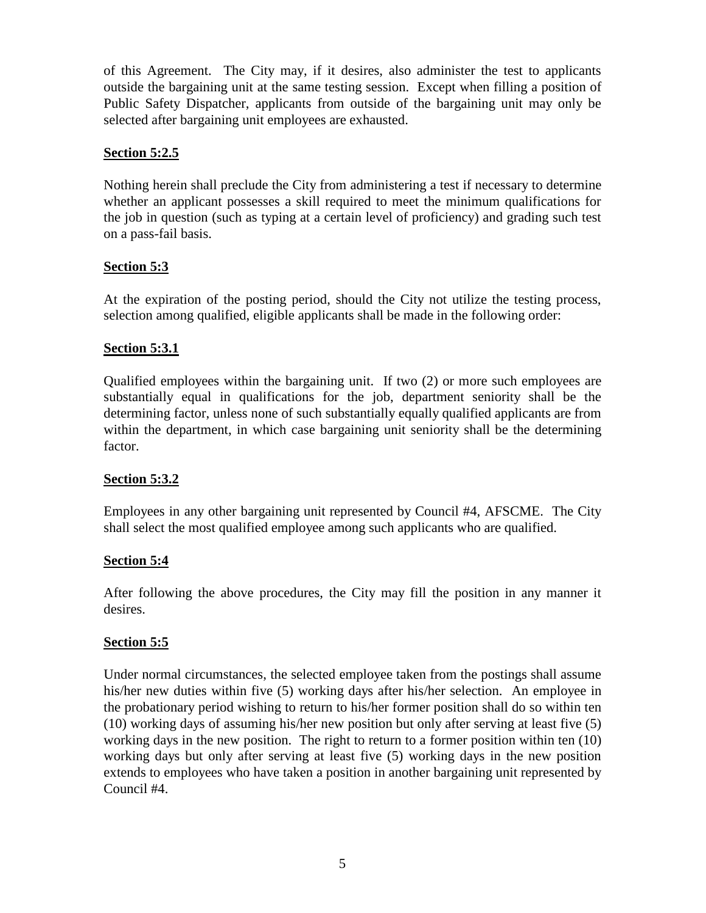of this Agreement. The City may, if it desires, also administer the test to applicants outside the bargaining unit at the same testing session. Except when filling a position of Public Safety Dispatcher, applicants from outside of the bargaining unit may only be selected after bargaining unit employees are exhausted.

## **Section 5:2.5**

Nothing herein shall preclude the City from administering a test if necessary to determine whether an applicant possesses a skill required to meet the minimum qualifications for the job in question (such as typing at a certain level of proficiency) and grading such test on a pass-fail basis.

# **Section 5:3**

At the expiration of the posting period, should the City not utilize the testing process, selection among qualified, eligible applicants shall be made in the following order:

# **Section 5:3.1**

Qualified employees within the bargaining unit. If two (2) or more such employees are substantially equal in qualifications for the job, department seniority shall be the determining factor, unless none of such substantially equally qualified applicants are from within the department, in which case bargaining unit seniority shall be the determining factor.

## **Section 5:3.2**

Employees in any other bargaining unit represented by Council #4, AFSCME. The City shall select the most qualified employee among such applicants who are qualified.

## **Section 5:4**

After following the above procedures, the City may fill the position in any manner it desires.

## **Section 5:5**

Under normal circumstances, the selected employee taken from the postings shall assume his/her new duties within five (5) working days after his/her selection. An employee in the probationary period wishing to return to his/her former position shall do so within ten (10) working days of assuming his/her new position but only after serving at least five (5) working days in the new position. The right to return to a former position within ten (10) working days but only after serving at least five (5) working days in the new position extends to employees who have taken a position in another bargaining unit represented by Council #4.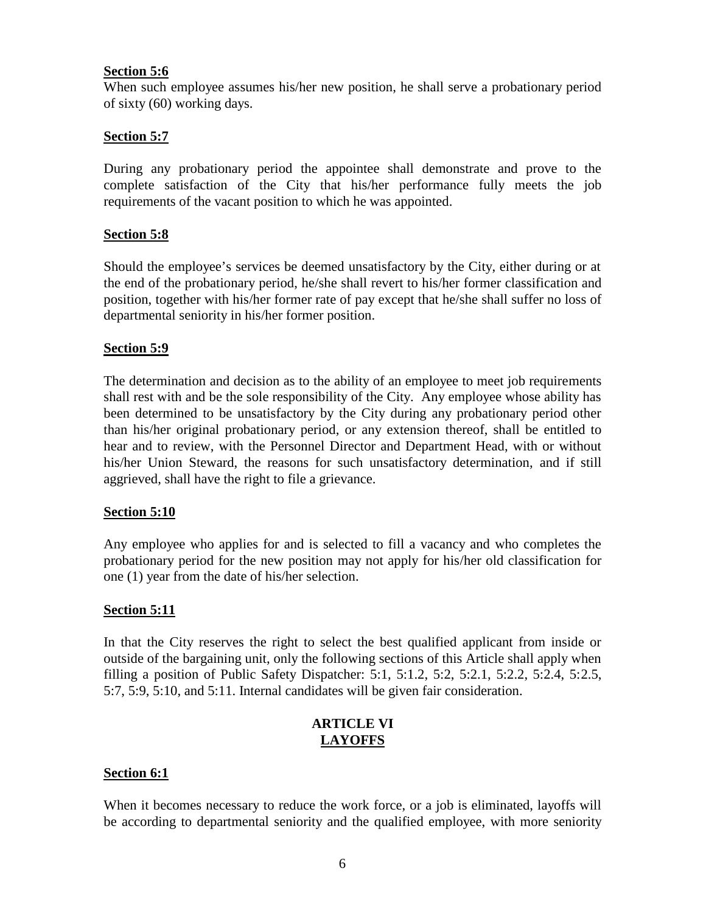## **Section 5:6**

When such employee assumes his/her new position, he shall serve a probationary period of sixty (60) working days.

## **Section 5:7**

During any probationary period the appointee shall demonstrate and prove to the complete satisfaction of the City that his/her performance fully meets the job requirements of the vacant position to which he was appointed.

## **Section 5:8**

Should the employee's services be deemed unsatisfactory by the City, either during or at the end of the probationary period, he/she shall revert to his/her former classification and position, together with his/her former rate of pay except that he/she shall suffer no loss of departmental seniority in his/her former position.

#### **Section 5:9**

The determination and decision as to the ability of an employee to meet job requirements shall rest with and be the sole responsibility of the City. Any employee whose ability has been determined to be unsatisfactory by the City during any probationary period other than his/her original probationary period, or any extension thereof, shall be entitled to hear and to review, with the Personnel Director and Department Head, with or without his/her Union Steward, the reasons for such unsatisfactory determination, and if still aggrieved, shall have the right to file a grievance.

#### **Section 5:10**

Any employee who applies for and is selected to fill a vacancy and who completes the probationary period for the new position may not apply for his/her old classification for one (1) year from the date of his/her selection.

#### **Section 5:11**

In that the City reserves the right to select the best qualified applicant from inside or outside of the bargaining unit, only the following sections of this Article shall apply when filling a position of Public Safety Dispatcher: 5:1, 5:1.2, 5:2, 5:2.1, 5:2.2, 5:2.4, 5:2.5, 5:7, 5:9, 5:10, and 5:11. Internal candidates will be given fair consideration.

## **ARTICLE VI LAYOFFS**

#### **Section 6:1**

When it becomes necessary to reduce the work force, or a job is eliminated, layoffs will be according to departmental seniority and the qualified employee, with more seniority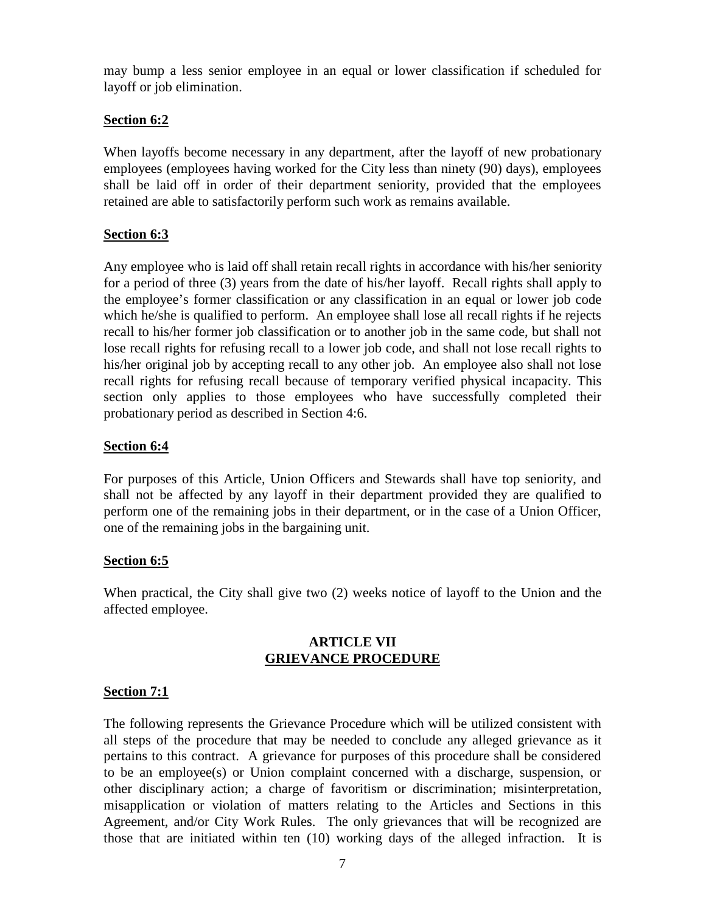may bump a less senior employee in an equal or lower classification if scheduled for layoff or job elimination.

## **Section 6:2**

When layoffs become necessary in any department, after the layoff of new probationary employees (employees having worked for the City less than ninety (90) days), employees shall be laid off in order of their department seniority, provided that the employees retained are able to satisfactorily perform such work as remains available.

# **Section 6:3**

Any employee who is laid off shall retain recall rights in accordance with his/her seniority for a period of three (3) years from the date of his/her layoff. Recall rights shall apply to the employee's former classification or any classification in an equal or lower job code which he/she is qualified to perform. An employee shall lose all recall rights if he rejects recall to his/her former job classification or to another job in the same code, but shall not lose recall rights for refusing recall to a lower job code, and shall not lose recall rights to his/her original job by accepting recall to any other job. An employee also shall not lose recall rights for refusing recall because of temporary verified physical incapacity. This section only applies to those employees who have successfully completed their probationary period as described in Section 4:6.

# **Section 6:4**

For purposes of this Article, Union Officers and Stewards shall have top seniority, and shall not be affected by any layoff in their department provided they are qualified to perform one of the remaining jobs in their department, or in the case of a Union Officer, one of the remaining jobs in the bargaining unit.

## **Section 6:5**

When practical, the City shall give two (2) weeks notice of layoff to the Union and the affected employee.

## **ARTICLE VII GRIEVANCE PROCEDURE**

## **Section 7:1**

The following represents the Grievance Procedure which will be utilized consistent with all steps of the procedure that may be needed to conclude any alleged grievance as it pertains to this contract. A grievance for purposes of this procedure shall be considered to be an employee(s) or Union complaint concerned with a discharge, suspension, or other disciplinary action; a charge of favoritism or discrimination; misinterpretation, misapplication or violation of matters relating to the Articles and Sections in this Agreement, and/or City Work Rules. The only grievances that will be recognized are those that are initiated within ten (10) working days of the alleged infraction. It is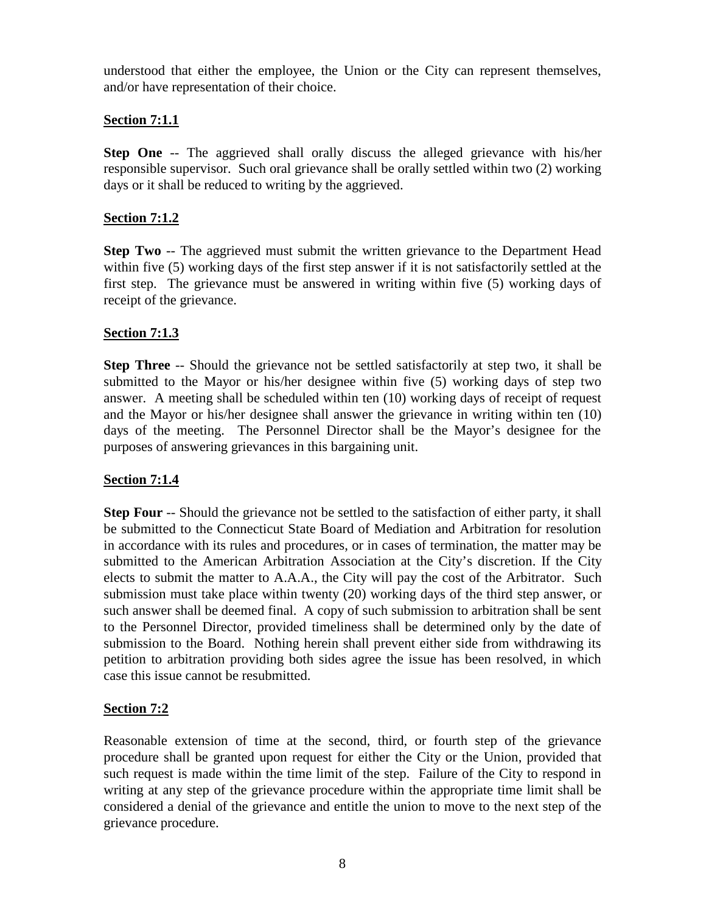understood that either the employee, the Union or the City can represent themselves, and/or have representation of their choice.

## **Section 7:1.1**

**Step One** -- The aggrieved shall orally discuss the alleged grievance with his/her responsible supervisor. Such oral grievance shall be orally settled within two (2) working days or it shall be reduced to writing by the aggrieved.

## **Section 7:1.2**

**Step Two** -- The aggrieved must submit the written grievance to the Department Head within five (5) working days of the first step answer if it is not satisfactorily settled at the first step. The grievance must be answered in writing within five (5) working days of receipt of the grievance.

# **Section 7:1.3**

**Step Three** -- Should the grievance not be settled satisfactorily at step two, it shall be submitted to the Mayor or his/her designee within five (5) working days of step two answer. A meeting shall be scheduled within ten (10) working days of receipt of request and the Mayor or his/her designee shall answer the grievance in writing within ten (10) days of the meeting. The Personnel Director shall be the Mayor's designee for the purposes of answering grievances in this bargaining unit.

# **Section 7:1.4**

**Step Four** -- Should the grievance not be settled to the satisfaction of either party, it shall be submitted to the Connecticut State Board of Mediation and Arbitration for resolution in accordance with its rules and procedures, or in cases of termination, the matter may be submitted to the American Arbitration Association at the City's discretion. If the City elects to submit the matter to A.A.A., the City will pay the cost of the Arbitrator. Such submission must take place within twenty (20) working days of the third step answer, or such answer shall be deemed final. A copy of such submission to arbitration shall be sent to the Personnel Director, provided timeliness shall be determined only by the date of submission to the Board. Nothing herein shall prevent either side from withdrawing its petition to arbitration providing both sides agree the issue has been resolved, in which case this issue cannot be resubmitted.

## **Section 7:2**

Reasonable extension of time at the second, third, or fourth step of the grievance procedure shall be granted upon request for either the City or the Union, provided that such request is made within the time limit of the step. Failure of the City to respond in writing at any step of the grievance procedure within the appropriate time limit shall be considered a denial of the grievance and entitle the union to move to the next step of the grievance procedure.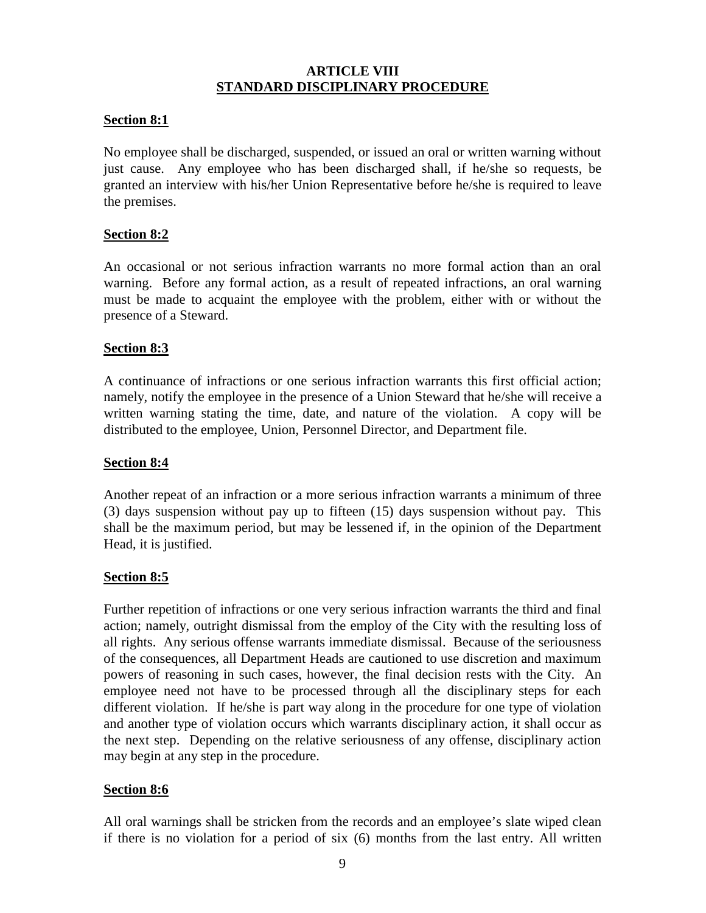## **ARTICLE VIII STANDARD DISCIPLINARY PROCEDURE**

## **Section 8:1**

No employee shall be discharged, suspended, or issued an oral or written warning without just cause. Any employee who has been discharged shall, if he/she so requests, be granted an interview with his/her Union Representative before he/she is required to leave the premises.

## **Section 8:2**

An occasional or not serious infraction warrants no more formal action than an oral warning. Before any formal action, as a result of repeated infractions, an oral warning must be made to acquaint the employee with the problem, either with or without the presence of a Steward.

## **Section 8:3**

A continuance of infractions or one serious infraction warrants this first official action; namely, notify the employee in the presence of a Union Steward that he/she will receive a written warning stating the time, date, and nature of the violation. A copy will be distributed to the employee, Union, Personnel Director, and Department file.

## **Section 8:4**

Another repeat of an infraction or a more serious infraction warrants a minimum of three (3) days suspension without pay up to fifteen (15) days suspension without pay. This shall be the maximum period, but may be lessened if, in the opinion of the Department Head, it is justified.

## **Section 8:5**

Further repetition of infractions or one very serious infraction warrants the third and final action; namely, outright dismissal from the employ of the City with the resulting loss of all rights. Any serious offense warrants immediate dismissal. Because of the seriousness of the consequences, all Department Heads are cautioned to use discretion and maximum powers of reasoning in such cases, however, the final decision rests with the City. An employee need not have to be processed through all the disciplinary steps for each different violation. If he/she is part way along in the procedure for one type of violation and another type of violation occurs which warrants disciplinary action, it shall occur as the next step. Depending on the relative seriousness of any offense, disciplinary action may begin at any step in the procedure.

## **Section 8:6**

All oral warnings shall be stricken from the records and an employee's slate wiped clean if there is no violation for a period of six (6) months from the last entry. All written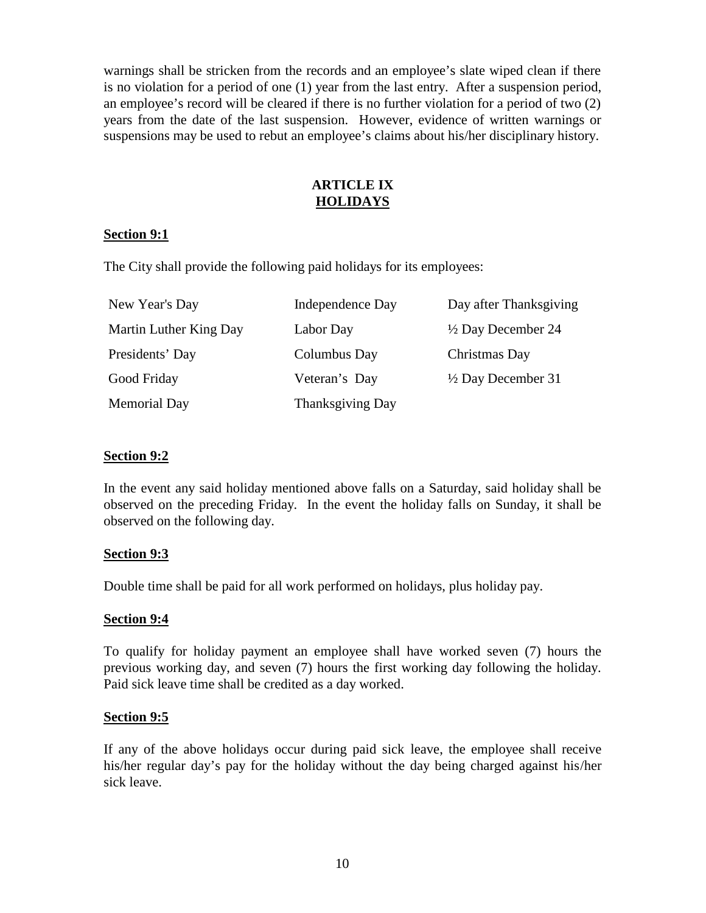warnings shall be stricken from the records and an employee's slate wiped clean if there is no violation for a period of one (1) year from the last entry. After a suspension period, an employee's record will be cleared if there is no further violation for a period of two (2) years from the date of the last suspension. However, evidence of written warnings or suspensions may be used to rebut an employee's claims about his/her disciplinary history.

## **ARTICLE IX HOLIDAYS**

## **Section 9:1**

The City shall provide the following paid holidays for its employees:

| New Year's Day         | Independence Day | Day after Thanksgiving        |
|------------------------|------------------|-------------------------------|
| Martin Luther King Day | Labor Day        | $\frac{1}{2}$ Day December 24 |
| Presidents' Day        | Columbus Day     | Christmas Day                 |
| Good Friday            | Veteran's Day    | $\frac{1}{2}$ Day December 31 |
| <b>Memorial Day</b>    | Thanksgiving Day |                               |

## **Section 9:2**

In the event any said holiday mentioned above falls on a Saturday, said holiday shall be observed on the preceding Friday. In the event the holiday falls on Sunday, it shall be observed on the following day.

## **Section 9:3**

Double time shall be paid for all work performed on holidays, plus holiday pay.

## **Section 9:4**

To qualify for holiday payment an employee shall have worked seven (7) hours the previous working day, and seven (7) hours the first working day following the holiday. Paid sick leave time shall be credited as a day worked.

## **Section 9:5**

If any of the above holidays occur during paid sick leave, the employee shall receive his/her regular day's pay for the holiday without the day being charged against his/her sick leave.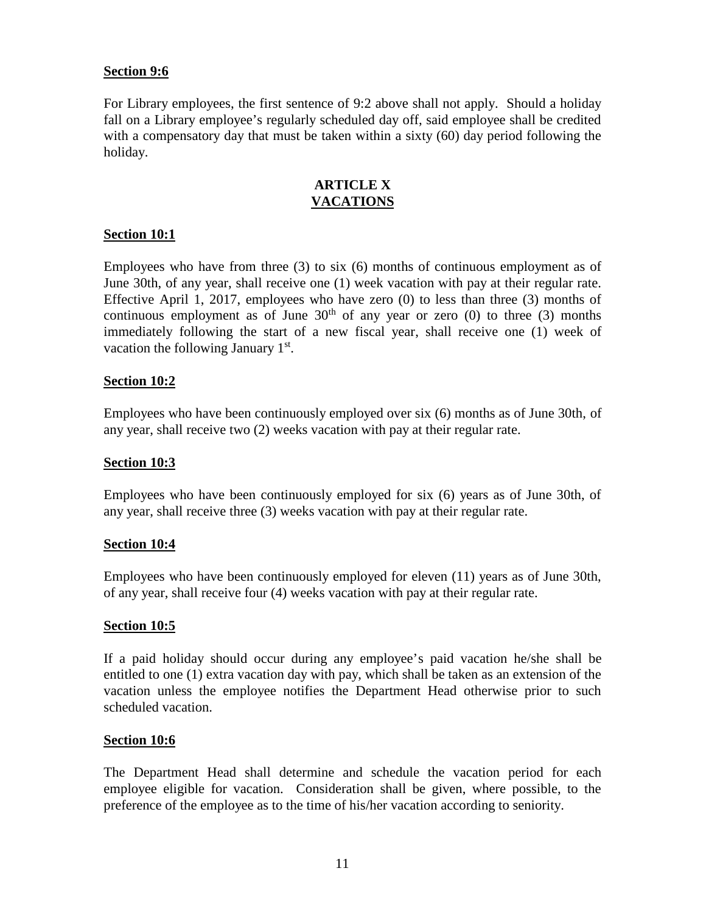## **Section 9:6**

For Library employees, the first sentence of 9:2 above shall not apply. Should a holiday fall on a Library employee's regularly scheduled day off, said employee shall be credited with a compensatory day that must be taken within a sixty (60) day period following the holiday.

#### **ARTICLE X VACATIONS**

## **Section 10:1**

Employees who have from three (3) to six (6) months of continuous employment as of June 30th, of any year, shall receive one (1) week vacation with pay at their regular rate. Effective April 1, 2017, employees who have zero (0) to less than three (3) months of continuous employment as of June  $30<sup>th</sup>$  of any year or zero (0) to three (3) months immediately following the start of a new fiscal year, shall receive one (1) week of vacation the following January  $1<sup>st</sup>$ .

#### **Section 10:2**

Employees who have been continuously employed over six (6) months as of June 30th, of any year, shall receive two (2) weeks vacation with pay at their regular rate.

#### **Section 10:3**

Employees who have been continuously employed for six (6) years as of June 30th, of any year, shall receive three (3) weeks vacation with pay at their regular rate.

#### **Section 10:4**

Employees who have been continuously employed for eleven (11) years as of June 30th, of any year, shall receive four (4) weeks vacation with pay at their regular rate.

#### **Section 10:5**

If a paid holiday should occur during any employee's paid vacation he/she shall be entitled to one (1) extra vacation day with pay, which shall be taken as an extension of the vacation unless the employee notifies the Department Head otherwise prior to such scheduled vacation.

#### **Section 10:6**

The Department Head shall determine and schedule the vacation period for each employee eligible for vacation. Consideration shall be given, where possible, to the preference of the employee as to the time of his/her vacation according to seniority.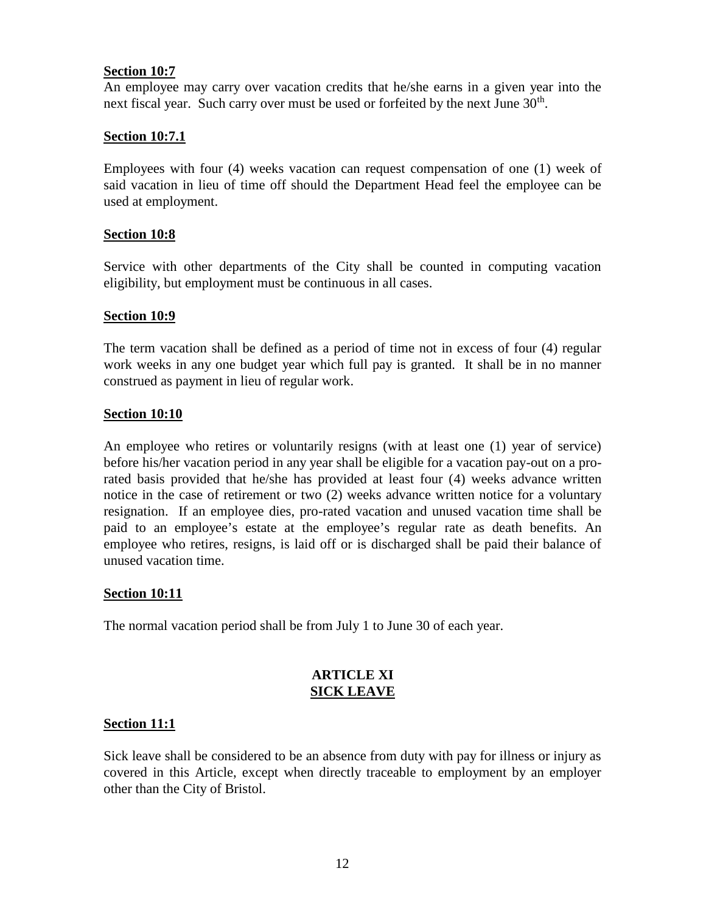## **Section 10:7**

An employee may carry over vacation credits that he/she earns in a given year into the next fiscal year. Such carry over must be used or forfeited by the next June  $30<sup>th</sup>$ .

## **Section 10:7.1**

Employees with four (4) weeks vacation can request compensation of one (1) week of said vacation in lieu of time off should the Department Head feel the employee can be used at employment.

## **Section 10:8**

Service with other departments of the City shall be counted in computing vacation eligibility, but employment must be continuous in all cases.

#### **Section 10:9**

The term vacation shall be defined as a period of time not in excess of four (4) regular work weeks in any one budget year which full pay is granted. It shall be in no manner construed as payment in lieu of regular work.

#### **Section 10:10**

An employee who retires or voluntarily resigns (with at least one (1) year of service) before his/her vacation period in any year shall be eligible for a vacation pay-out on a prorated basis provided that he/she has provided at least four (4) weeks advance written notice in the case of retirement or two (2) weeks advance written notice for a voluntary resignation. If an employee dies, pro-rated vacation and unused vacation time shall be paid to an employee's estate at the employee's regular rate as death benefits. An employee who retires, resigns, is laid off or is discharged shall be paid their balance of unused vacation time.

#### **Section 10:11**

The normal vacation period shall be from July 1 to June 30 of each year.

#### **ARTICLE XI SICK LEAVE**

#### **Section 11:1**

Sick leave shall be considered to be an absence from duty with pay for illness or injury as covered in this Article, except when directly traceable to employment by an employer other than the City of Bristol.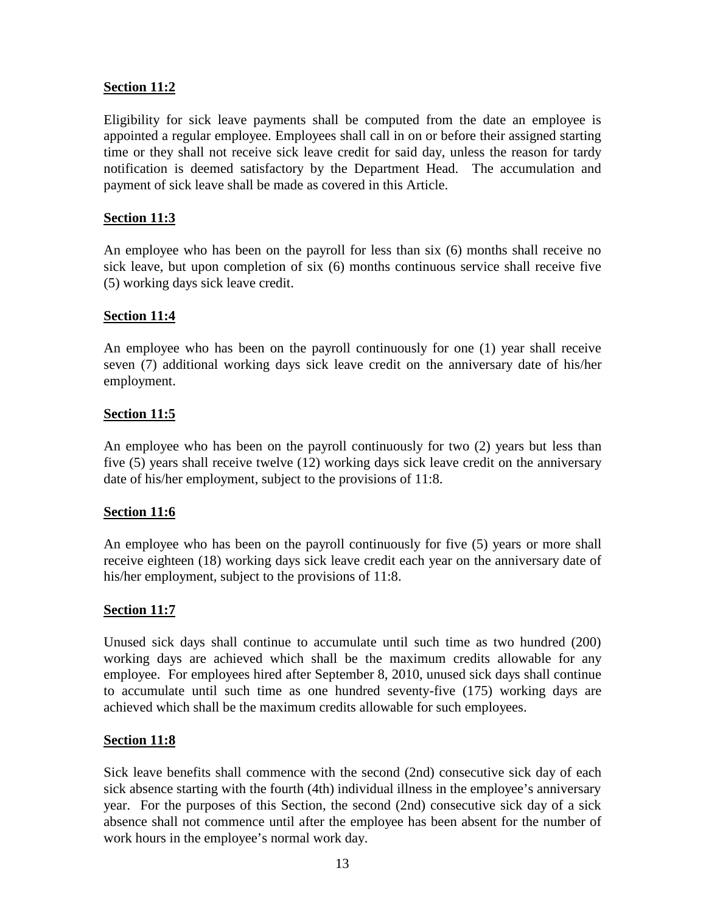## **Section 11:2**

Eligibility for sick leave payments shall be computed from the date an employee is appointed a regular employee. Employees shall call in on or before their assigned starting time or they shall not receive sick leave credit for said day, unless the reason for tardy notification is deemed satisfactory by the Department Head. The accumulation and payment of sick leave shall be made as covered in this Article.

## **Section 11:3**

An employee who has been on the payroll for less than six (6) months shall receive no sick leave, but upon completion of six (6) months continuous service shall receive five (5) working days sick leave credit.

#### **Section 11:4**

An employee who has been on the payroll continuously for one (1) year shall receive seven (7) additional working days sick leave credit on the anniversary date of his/her employment.

#### **Section 11:5**

An employee who has been on the payroll continuously for two (2) years but less than five (5) years shall receive twelve (12) working days sick leave credit on the anniversary date of his/her employment, subject to the provisions of 11:8.

#### **Section 11:6**

An employee who has been on the payroll continuously for five (5) years or more shall receive eighteen (18) working days sick leave credit each year on the anniversary date of his/her employment, subject to the provisions of 11:8.

#### **Section 11:7**

Unused sick days shall continue to accumulate until such time as two hundred (200) working days are achieved which shall be the maximum credits allowable for any employee. For employees hired after September 8, 2010, unused sick days shall continue to accumulate until such time as one hundred seventy-five (175) working days are achieved which shall be the maximum credits allowable for such employees.

#### **Section 11:8**

Sick leave benefits shall commence with the second (2nd) consecutive sick day of each sick absence starting with the fourth (4th) individual illness in the employee's anniversary year. For the purposes of this Section, the second (2nd) consecutive sick day of a sick absence shall not commence until after the employee has been absent for the number of work hours in the employee's normal work day.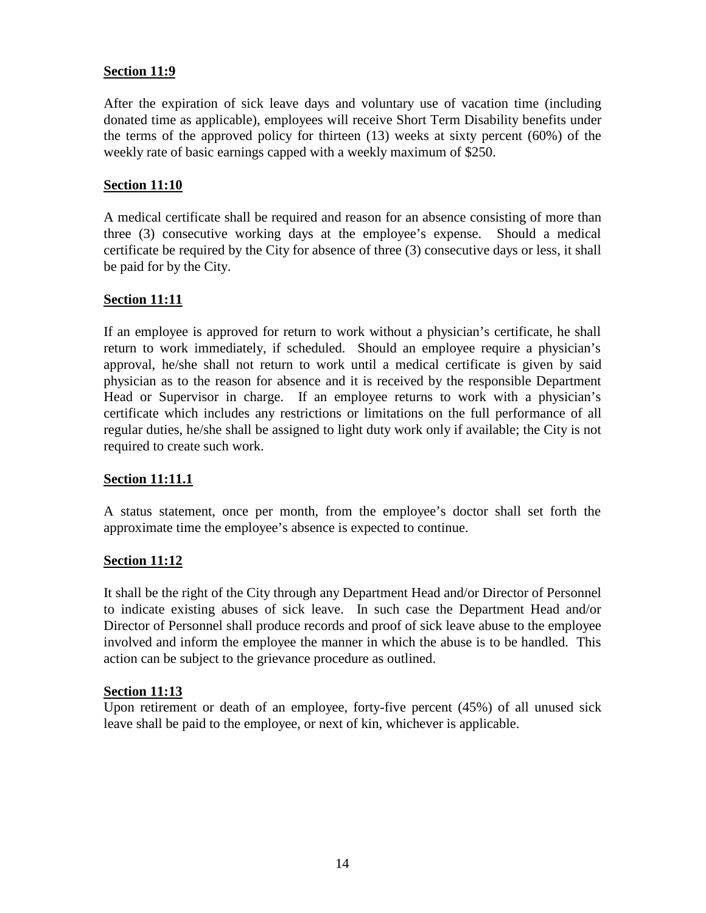## **Section 11:9**

After the expiration of sick leave days and voluntary use of vacation time (including donated time as applicable), employees will receive Short Term Disability benefits under the terms of the approved policy for thirteen (13) weeks at sixty percent (60%) of the weekly rate of basic earnings capped with a weekly maximum of \$250.

#### **Section 11:10**

A medical certificate shall be required and reason for an absence consisting of more than three (3) consecutive working days at the employee's expense. Should a medical certificate be required by the City for absence of three (3) consecutive days or less, it shall be paid for by the City.

## **Section 11:11**

If an employee is approved for return to work without a physician's certificate, he shall return to work immediately, if scheduled. Should an employee require a physician's approval, he/she shall not return to work until a medical certificate is given by said physician as to the reason for absence and it is received by the responsible Department Head or Supervisor in charge. If an employee returns to work with a physician's certificate which includes any restrictions or limitations on the full performance of all regular duties, he/she shall be assigned to light duty work only if available; the City is not required to create such work.

## **Section 11:11.1**

A status statement, once per month, from the employee's doctor shall set forth the approximate time the employee's absence is expected to continue.

#### **Section 11:12**

It shall be the right of the City through any Department Head and/or Director of Personnel to indicate existing abuses of sick leave. In such case the Department Head and/or Director of Personnel shall produce records and proof of sick leave abuse to the employee involved and inform the employee the manner in which the abuse is to be handled. This action can be subject to the grievance procedure as outlined.

#### **Section 11:13**

Upon retirement or death of an employee, forty-five percent (45%) of all unused sick leave shall be paid to the employee, or next of kin, whichever is applicable.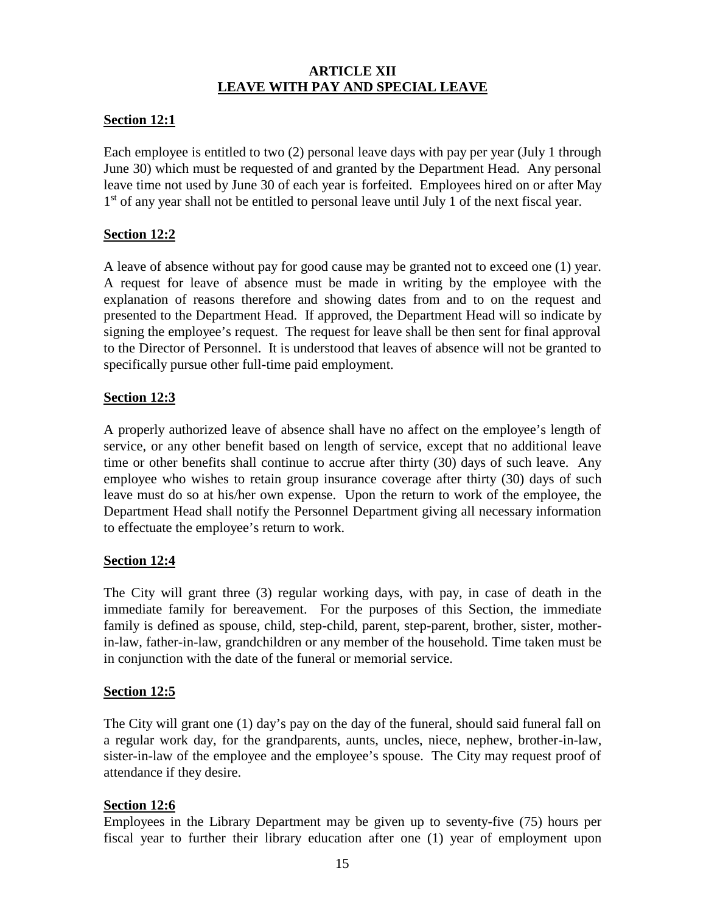# **ARTICLE XII LEAVE WITH PAY AND SPECIAL LEAVE**

## **Section 12:1**

Each employee is entitled to two (2) personal leave days with pay per year (July 1 through June 30) which must be requested of and granted by the Department Head. Any personal leave time not used by June 30 of each year is forfeited. Employees hired on or after May 1<sup>st</sup> of any year shall not be entitled to personal leave until July 1 of the next fiscal year.

## **Section 12:2**

A leave of absence without pay for good cause may be granted not to exceed one (1) year. A request for leave of absence must be made in writing by the employee with the explanation of reasons therefore and showing dates from and to on the request and presented to the Department Head. If approved, the Department Head will so indicate by signing the employee's request. The request for leave shall be then sent for final approval to the Director of Personnel. It is understood that leaves of absence will not be granted to specifically pursue other full-time paid employment.

## **Section 12:3**

A properly authorized leave of absence shall have no affect on the employee's length of service, or any other benefit based on length of service, except that no additional leave time or other benefits shall continue to accrue after thirty (30) days of such leave. Any employee who wishes to retain group insurance coverage after thirty (30) days of such leave must do so at his/her own expense. Upon the return to work of the employee, the Department Head shall notify the Personnel Department giving all necessary information to effectuate the employee's return to work.

#### **Section 12:4**

The City will grant three (3) regular working days, with pay, in case of death in the immediate family for bereavement. For the purposes of this Section, the immediate family is defined as spouse, child, step-child, parent, step-parent, brother, sister, motherin-law, father-in-law, grandchildren or any member of the household. Time taken must be in conjunction with the date of the funeral or memorial service.

## **Section 12:5**

The City will grant one (1) day's pay on the day of the funeral, should said funeral fall on a regular work day, for the grandparents, aunts, uncles, niece, nephew, brother-in-law, sister-in-law of the employee and the employee's spouse. The City may request proof of attendance if they desire.

## **Section 12:6**

Employees in the Library Department may be given up to seventy-five (75) hours per fiscal year to further their library education after one (1) year of employment upon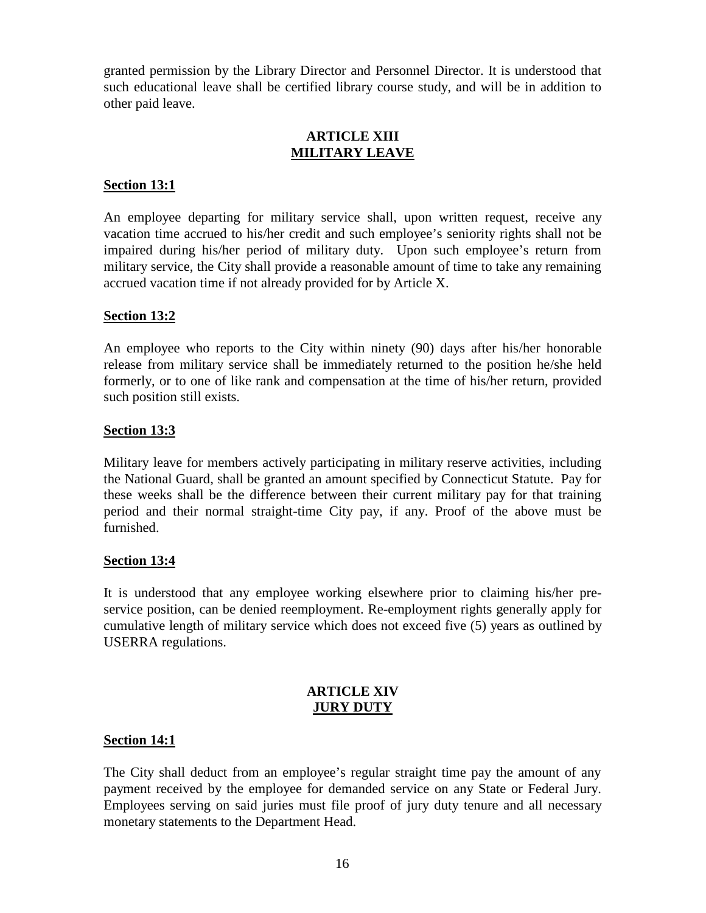granted permission by the Library Director and Personnel Director. It is understood that such educational leave shall be certified library course study, and will be in addition to other paid leave.

## **ARTICLE XIII MILITARY LEAVE**

#### **Section 13:1**

An employee departing for military service shall, upon written request, receive any vacation time accrued to his/her credit and such employee's seniority rights shall not be impaired during his/her period of military duty. Upon such employee's return from military service, the City shall provide a reasonable amount of time to take any remaining accrued vacation time if not already provided for by Article X.

## **Section 13:2**

An employee who reports to the City within ninety (90) days after his/her honorable release from military service shall be immediately returned to the position he/she held formerly, or to one of like rank and compensation at the time of his/her return, provided such position still exists.

## **Section 13:3**

Military leave for members actively participating in military reserve activities, including the National Guard, shall be granted an amount specified by Connecticut Statute. Pay for these weeks shall be the difference between their current military pay for that training period and their normal straight-time City pay, if any. Proof of the above must be furnished.

#### **Section 13:4**

It is understood that any employee working elsewhere prior to claiming his/her pre service position, can be denied reemployment. Re-employment rights generally apply for cumulative length of military service which does not exceed five (5) years as outlined by USERRA regulations.

## **ARTICLE XIV JURY DUTY**

## **Section 14:1**

The City shall deduct from an employee's regular straight time pay the amount of any payment received by the employee for demanded service on any State or Federal Jury. Employees serving on said juries must file proof of jury duty tenure and all necessary monetary statements to the Department Head.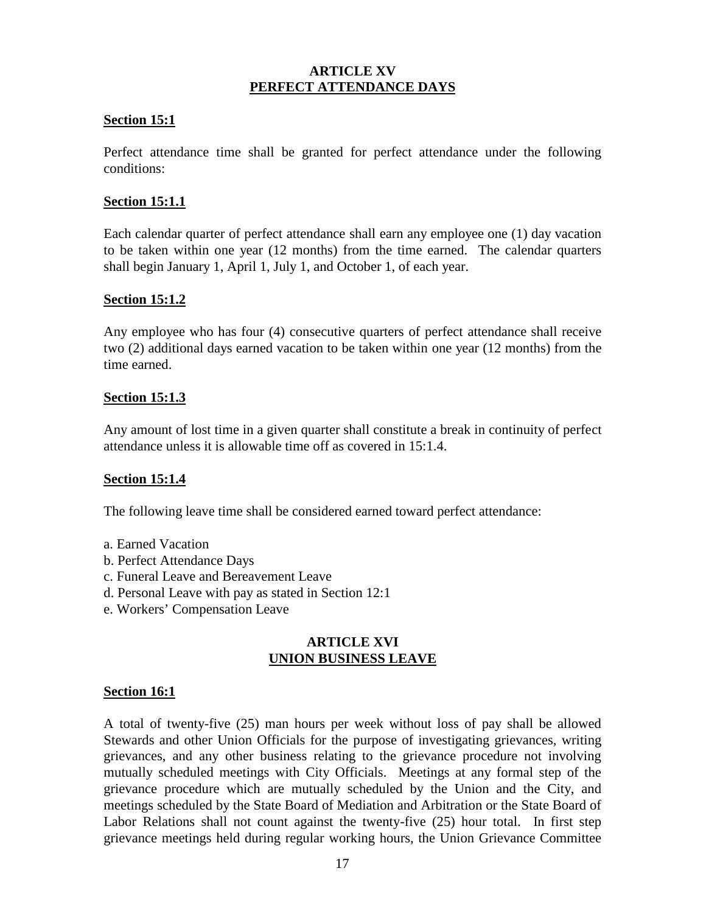## **ARTICLE XV PERFECT ATTENDANCE DAYS**

## **Section 15:1**

Perfect attendance time shall be granted for perfect attendance under the following conditions:

## **Section 15:1.1**

Each calendar quarter of perfect attendance shall earn any employee one (1) day vacation to be taken within one year (12 months) from the time earned. The calendar quarters shall begin January 1, April 1, July 1, and October 1, of each year.

#### **Section 15:1.2**

Any employee who has four (4) consecutive quarters of perfect attendance shall receive two (2) additional days earned vacation to be taken within one year (12 months) from the time earned.

## **Section 15:1.3**

Any amount of lost time in a given quarter shall constitute a break in continuity of perfect attendance unless it is allowable time off as covered in 15:1.4.

#### **Section 15:1.4**

The following leave time shall be considered earned toward perfect attendance:

- a. Earned Vacation
- b. Perfect Attendance Days
- c. Funeral Leave and Bereavement Leave
- d. Personal Leave with pay as stated in Section 12:1
- e. Workers' Compensation Leave

## **ARTICLE XVI UNION BUSINESS LEAVE**

#### **Section 16:1**

A total of twenty-five (25) man hours per week without loss of pay shall be allowed Stewards and other Union Officials for the purpose of investigating grievances, writing grievances, and any other business relating to the grievance procedure not involving mutually scheduled meetings with City Officials. Meetings at any formal step of the grievance procedure which are mutually scheduled by the Union and the City, and meetings scheduled by the State Board of Mediation and Arbitration or the State Board of Labor Relations shall not count against the twenty-five (25) hour total. In first step grievance meetings held during regular working hours, the Union Grievance Committee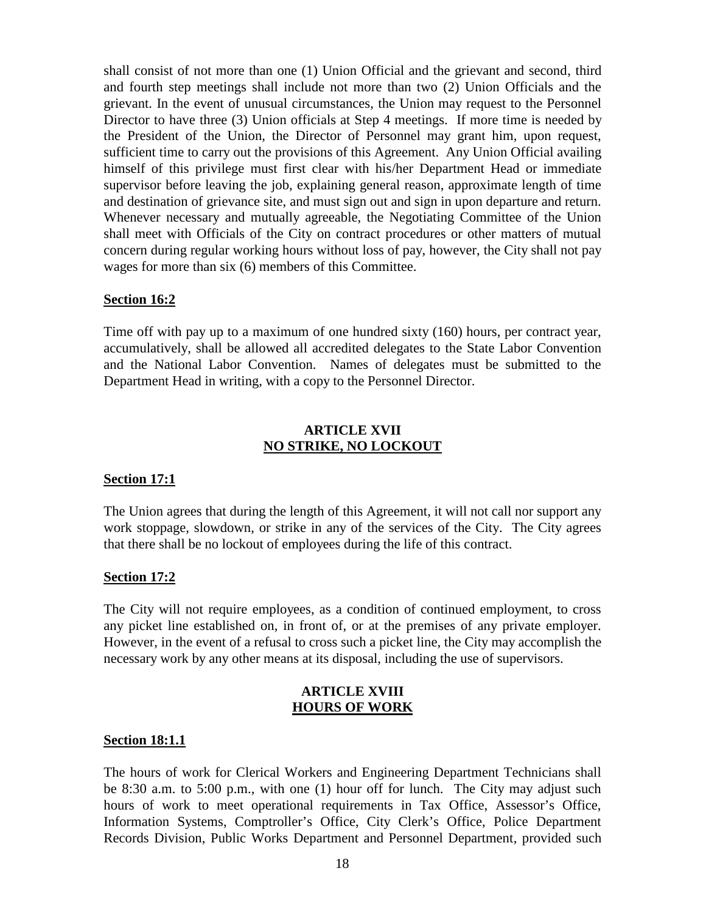shall consist of not more than one (1) Union Official and the grievant and second, third and fourth step meetings shall include not more than two (2) Union Officials and the grievant. In the event of unusual circumstances, the Union may request to the Personnel Director to have three (3) Union officials at Step 4 meetings. If more time is needed by the President of the Union, the Director of Personnel may grant him, upon request, sufficient time to carry out the provisions of this Agreement. Any Union Official availing himself of this privilege must first clear with his/her Department Head or immediate supervisor before leaving the job, explaining general reason, approximate length of time and destination of grievance site, and must sign out and sign in upon departure and return. Whenever necessary and mutually agreeable, the Negotiating Committee of the Union shall meet with Officials of the City on contract procedures or other matters of mutual concern during regular working hours without loss of pay, however, the City shall not pay wages for more than six (6) members of this Committee.

#### **Section 16:2**

Time off with pay up to a maximum of one hundred sixty (160) hours, per contract year, accumulatively, shall be allowed all accredited delegates to the State Labor Convention and the National Labor Convention. Names of delegates must be submitted to the Department Head in writing, with a copy to the Personnel Director.

#### **ARTICLE XVII NO STRIKE, NO LOCKOUT**

#### **Section 17:1**

The Union agrees that during the length of this Agreement, it will not call nor support any work stoppage, slowdown, or strike in any of the services of the City. The City agrees that there shall be no lockout of employees during the life of this contract.

#### **Section 17:2**

The City will not require employees, as a condition of continued employment, to cross any picket line established on, in front of, or at the premises of any private employer. However, in the event of a refusal to cross such a picket line, the City may accomplish the necessary work by any other means at its disposal, including the use of supervisors.

## **ARTICLE XVIII HOURS OF WORK**

#### **Section 18:1.1**

The hours of work for Clerical Workers and Engineering Department Technicians shall be 8:30 a.m. to 5:00 p.m., with one (1) hour off for lunch. The City may adjust such hours of work to meet operational requirements in Tax Office, Assessor's Office, Information Systems, Comptroller's Office, City Clerk's Office, Police Department Records Division, Public Works Department and Personnel Department, provided such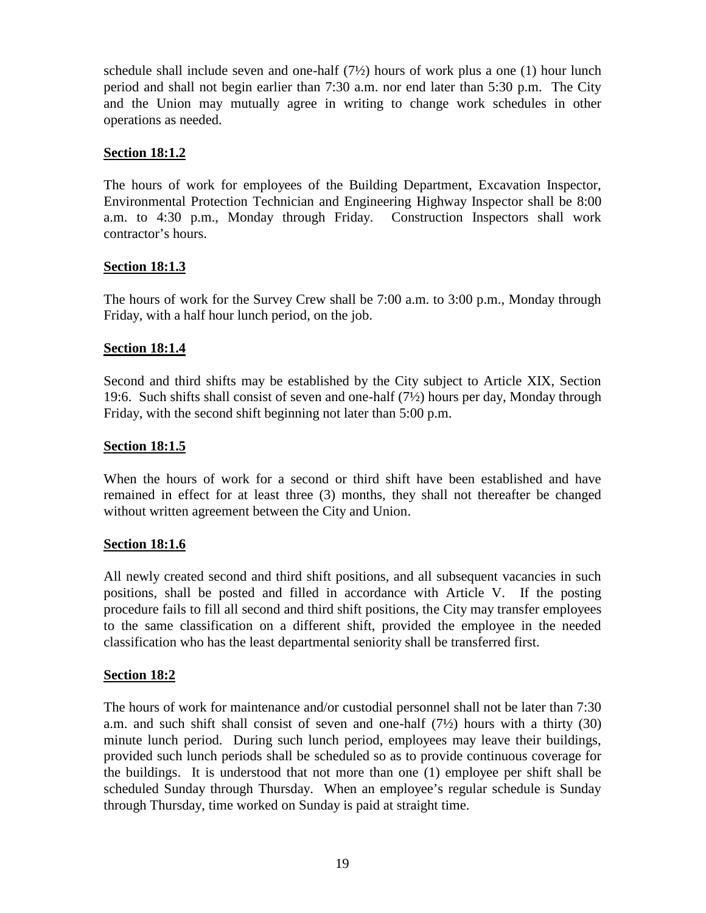schedule shall include seven and one-half  $(7/2)$  hours of work plus a one (1) hour lunch period and shall not begin earlier than 7:30 a.m. nor end later than 5:30 p.m. The City and the Union may mutually agree in writing to change work schedules in other operations as needed.

## **Section 18:1.2**

The hours of work for employees of the Building Department, Excavation Inspector, Environmental Protection Technician and Engineering Highway Inspector shall be 8:00 a.m. to 4:30 p.m., Monday through Friday. Construction Inspectors shall work contractor's hours.

## **Section 18:1.3**

The hours of work for the Survey Crew shall be 7:00 a.m. to 3:00 p.m., Monday through Friday, with a half hour lunch period, on the job.

## **Section 18:1.4**

Second and third shifts may be established by the City subject to Article XIX, Section 19:6. Such shifts shall consist of seven and one-half (7½) hours per day, Monday through Friday, with the second shift beginning not later than 5:00 p.m.

## **Section 18:1.5**

When the hours of work for a second or third shift have been established and have remained in effect for at least three (3) months, they shall not thereafter be changed without written agreement between the City and Union.

#### **Section 18:1.6**

All newly created second and third shift positions, and all subsequent vacancies in such positions, shall be posted and filled in accordance with Article V. If the posting procedure fails to fill all second and third shift positions, the City may transfer employees to the same classification on a different shift, provided the employee in the needed classification who has the least departmental seniority shall be transferred first.

#### **Section 18:2**

The hours of work for maintenance and/or custodial personnel shall not be later than 7:30 a.m. and such shift shall consist of seven and one-half (7½) hours with a thirty (30) minute lunch period. During such lunch period, employees may leave their buildings, provided such lunch periods shall be scheduled so as to provide continuous coverage for the buildings. It is understood that not more than one (1) employee per shift shall be scheduled Sunday through Thursday. When an employee's regular schedule is Sunday through Thursday, time worked on Sunday is paid at straight time.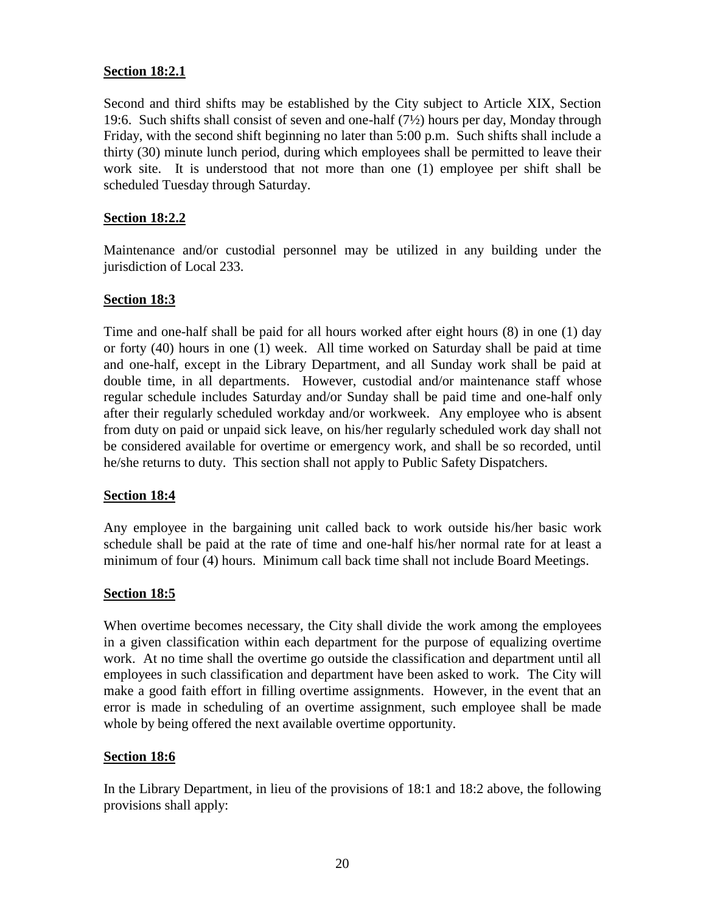## **Section 18:2.1**

Second and third shifts may be established by the City subject to Article XIX, Section 19:6. Such shifts shall consist of seven and one-half (7½) hours per day, Monday through Friday, with the second shift beginning no later than 5:00 p.m. Such shifts shall include a thirty (30) minute lunch period, during which employees shall be permitted to leave their work site. It is understood that not more than one (1) employee per shift shall be scheduled Tuesday through Saturday.

## **Section 18:2.2**

Maintenance and/or custodial personnel may be utilized in any building under the jurisdiction of Local 233.

## **Section 18:3**

Time and one-half shall be paid for all hours worked after eight hours (8) in one (1) day or forty (40) hours in one (1) week. All time worked on Saturday shall be paid at time and one-half, except in the Library Department, and all Sunday work shall be paid at double time, in all departments. However, custodial and/or maintenance staff whose regular schedule includes Saturday and/or Sunday shall be paid time and one-half only after their regularly scheduled workday and/or workweek. Any employee who is absent from duty on paid or unpaid sick leave, on his/her regularly scheduled work day shall not be considered available for overtime or emergency work, and shall be so recorded, until he/she returns to duty. This section shall not apply to Public Safety Dispatchers.

#### **Section 18:4**

Any employee in the bargaining unit called back to work outside his/her basic work schedule shall be paid at the rate of time and one-half his/her normal rate for at least a minimum of four (4) hours. Minimum call back time shall not include Board Meetings.

#### **Section 18:5**

When overtime becomes necessary, the City shall divide the work among the employees in a given classification within each department for the purpose of equalizing overtime work. At no time shall the overtime go outside the classification and department until all employees in such classification and department have been asked to work. The City will make a good faith effort in filling overtime assignments. However, in the event that an error is made in scheduling of an overtime assignment, such employee shall be made whole by being offered the next available overtime opportunity.

#### **Section 18:6**

In the Library Department, in lieu of the provisions of 18:1 and 18:2 above, the following provisions shall apply: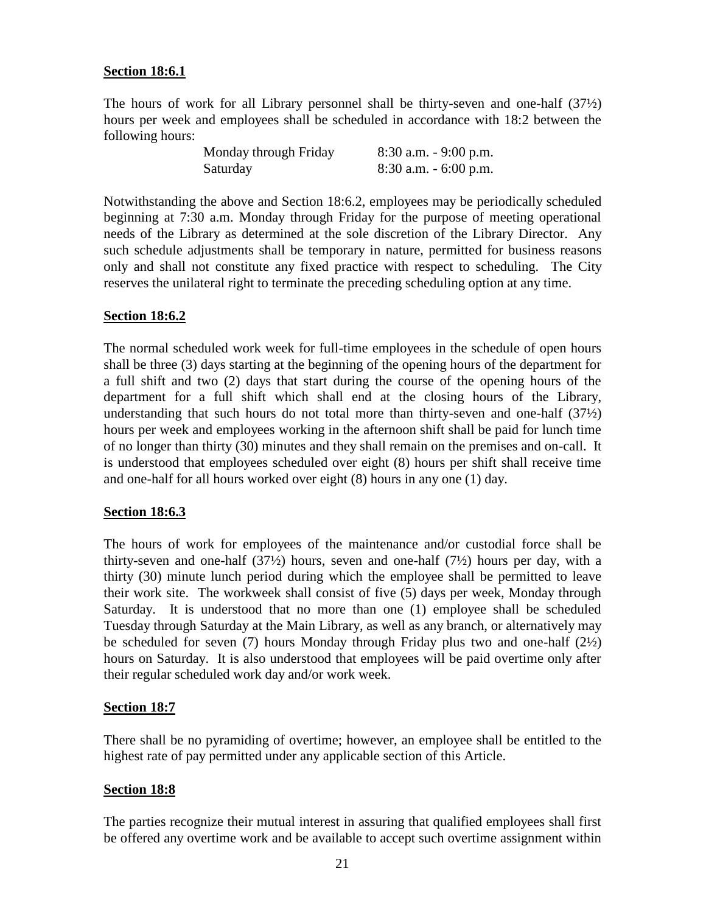## **Section 18:6.1**

The hours of work for all Library personnel shall be thirty-seven and one-half (37½) hours per week and employees shall be scheduled in accordance with 18:2 between the following hours:

| Monday through Friday | $8:30$ a.m. $-9:00$ p.m. |
|-----------------------|--------------------------|
| Saturday              | $8:30$ a.m. $-6:00$ p.m. |

Notwithstanding the above and Section 18:6.2, employees may be periodically scheduled beginning at 7:30 a.m. Monday through Friday for the purpose of meeting operational needs of the Library as determined at the sole discretion of the Library Director. Any such schedule adjustments shall be temporary in nature, permitted for business reasons only and shall not constitute any fixed practice with respect to scheduling. The City reserves the unilateral right to terminate the preceding scheduling option at any time.

#### **Section 18:6.2**

The normal scheduled work week for full-time employees in the schedule of open hours shall be three (3) days starting at the beginning of the opening hours of the department for a full shift and two (2) days that start during the course of the opening hours of the department for a full shift which shall end at the closing hours of the Library, understanding that such hours do not total more than thirty-seven and one-half  $(37/2)$ hours per week and employees working in the afternoon shift shall be paid for lunch time of no longer than thirty (30) minutes and they shall remain on the premises and on-call. It is understood that employees scheduled over eight (8) hours per shift shall receive time and one-half for all hours worked over eight (8) hours in any one (1) day.

## **Section 18:6.3**

The hours of work for employees of the maintenance and/or custodial force shall be thirty-seven and one-half  $(37/2)$  hours, seven and one-half  $(7/2)$  hours per day, with a thirty (30) minute lunch period during which the employee shall be permitted to leave their work site. The workweek shall consist of five (5) days per week, Monday through Saturday. It is understood that no more than one (1) employee shall be scheduled Tuesday through Saturday at the Main Library, as well as any branch, or alternatively may be scheduled for seven (7) hours Monday through Friday plus two and one-half  $(2\frac{1}{2})$ hours on Saturday. It is also understood that employees will be paid overtime only after their regular scheduled work day and/or work week.

#### **Section 18:7**

There shall be no pyramiding of overtime; however, an employee shall be entitled to the highest rate of pay permitted under any applicable section of this Article.

#### **Section 18:8**

The parties recognize their mutual interest in assuring that qualified employees shall first be offered any overtime work and be available to accept such overtime assignment within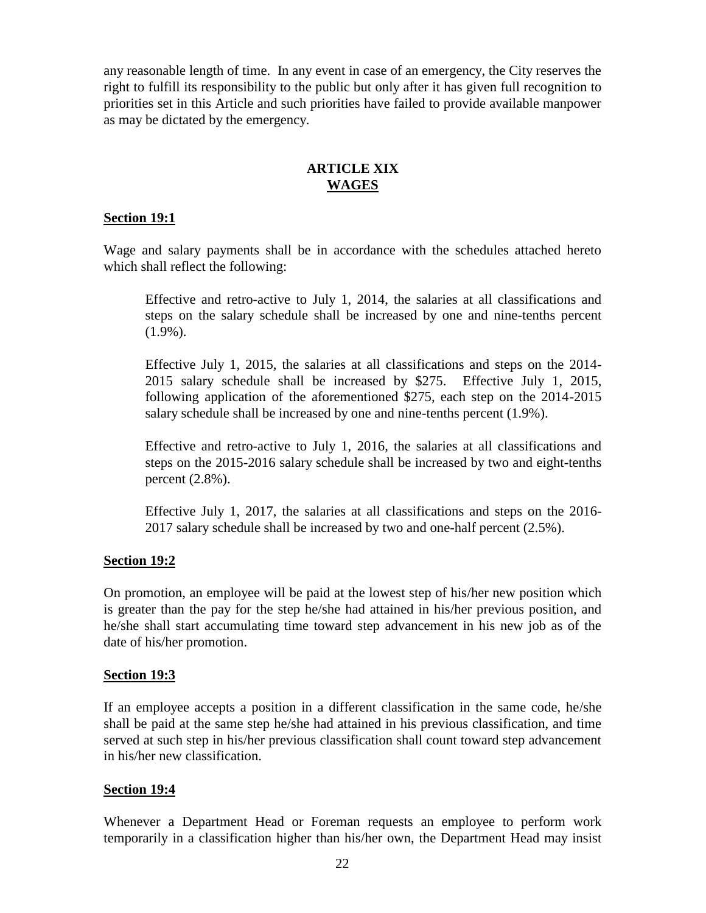any reasonable length of time. In any event in case of an emergency, the City reserves the right to fulfill its responsibility to the public but only after it has given full recognition to priorities set in this Article and such priorities have failed to provide available manpower as may be dictated by the emergency.

## **ARTICLE XIX WAGES**

## **Section 19:1**

Wage and salary payments shall be in accordance with the schedules attached hereto which shall reflect the following:

Effective and retro-active to July 1, 2014, the salaries at all classifications and steps on the salary schedule shall be increased by one and nine-tenths percent (1.9%).

Effective July 1, 2015, the salaries at all classifications and steps on the 2014- 2015 salary schedule shall be increased by \$275. Effective July 1, 2015, following application of the aforementioned \$275, each step on the 2014-2015 salary schedule shall be increased by one and nine-tenths percent (1.9%).

Effective and retro-active to July 1, 2016, the salaries at all classifications and steps on the 2015-2016 salary schedule shall be increased by two and eight-tenths percent (2.8%).

Effective July 1, 2017, the salaries at all classifications and steps on the 2016- 2017 salary schedule shall be increased by two and one-half percent (2.5%).

#### **Section 19:2**

On promotion, an employee will be paid at the lowest step of his/her new position which is greater than the pay for the step he/she had attained in his/her previous position, and he/she shall start accumulating time toward step advancement in his new job as of the date of his/her promotion.

#### **Section 19:3**

If an employee accepts a position in a different classification in the same code, he/she shall be paid at the same step he/she had attained in his previous classification, and time served at such step in his/her previous classification shall count toward step advancement in his/her new classification.

#### **Section 19:4**

Whenever a Department Head or Foreman requests an employee to perform work temporarily in a classification higher than his/her own, the Department Head may insist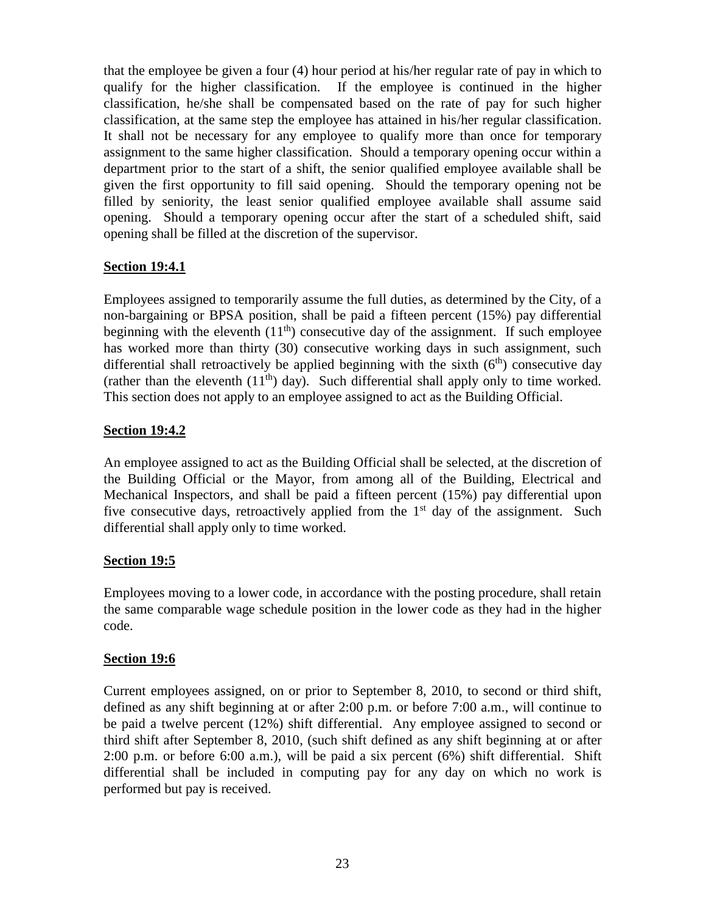that the employee be given a four (4) hour period at his/her regular rate of pay in which to qualify for the higher classification. If the employee is continued in the higher classification, he/she shall be compensated based on the rate of pay for such higher classification, at the same step the employee has attained in his/her regular classification. It shall not be necessary for any employee to qualify more than once for temporary assignment to the same higher classification. Should a temporary opening occur within a department prior to the start of a shift, the senior qualified employee available shall be given the first opportunity to fill said opening. Should the temporary opening not be filled by seniority, the least senior qualified employee available shall assume said opening. Should a temporary opening occur after the start of a scheduled shift, said opening shall be filled at the discretion of the supervisor.

# **Section 19:4.1**

Employees assigned to temporarily assume the full duties, as determined by the City, of a non-bargaining or BPSA position, shall be paid a fifteen percent (15%) pay differential beginning with the eleventh  $(11<sup>th</sup>)$  consecutive day of the assignment. If such employee has worked more than thirty (30) consecutive working days in such assignment, such differential shall retroactively be applied beginning with the sixth  $(6<sup>th</sup>)$  consecutive day (rather than the eleventh  $(11<sup>th</sup>)$  day). Such differential shall apply only to time worked. This section does not apply to an employee assigned to act as the Building Official.

# **Section 19:4.2**

An employee assigned to act as the Building Official shall be selected, at the discretion of the Building Official or the Mayor, from among all of the Building, Electrical and Mechanical Inspectors, and shall be paid a fifteen percent (15%) pay differential upon five consecutive days, retroactively applied from the  $1<sup>st</sup>$  day of the assignment. Such differential shall apply only to time worked.

# **Section 19:5**

Employees moving to a lower code, in accordance with the posting procedure, shall retain the same comparable wage schedule position in the lower code as they had in the higher code.

# **Section 19:6**

Current employees assigned, on or prior to September 8, 2010, to second or third shift, defined as any shift beginning at or after 2:00 p.m. or before 7:00 a.m., will continue to be paid a twelve percent (12%) shift differential. Any employee assigned to second or third shift after September 8, 2010, (such shift defined as any shift beginning at or after 2:00 p.m. or before 6:00 a.m.), will be paid a six percent (6%) shift differential. Shift differential shall be included in computing pay for any day on which no work is performed but pay is received.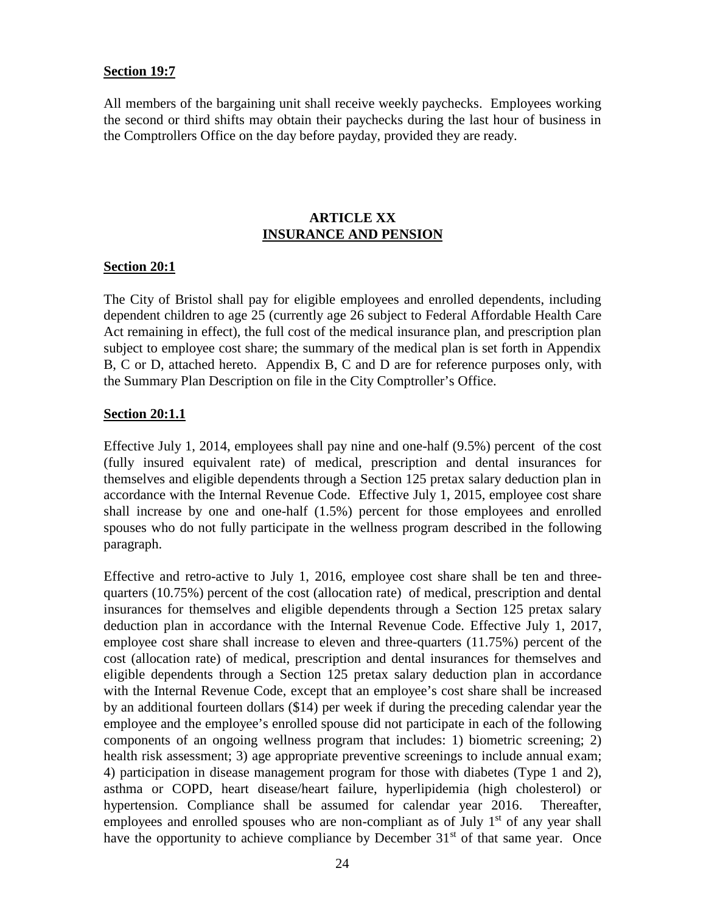#### **Section 19:7**

All members of the bargaining unit shall receive weekly paychecks. Employees working the second or third shifts may obtain their paychecks during the last hour of business in the Comptrollers Office on the day before payday, provided they are ready.

## **ARTICLE XX INSURANCE AND PENSION**

#### **Section 20:1**

The City of Bristol shall pay for eligible employees and enrolled dependents, including dependent children to age 25 (currently age 26 subject to Federal Affordable Health Care Act remaining in effect), the full cost of the medical insurance plan, and prescription plan subject to employee cost share; the summary of the medical plan is set forth in Appendix B, C or D, attached hereto. Appendix B, C and D are for reference purposes only, with the Summary Plan Description on file in the City Comptroller's Office.

#### **Section 20:1.1**

Effective July 1, 2014, employees shall pay nine and one-half (9.5%) percent of the cost (fully insured equivalent rate) of medical, prescription and dental insurances for themselves and eligible dependents through a Section 125 pretax salary deduction plan in accordance with the Internal Revenue Code. Effective July 1, 2015, employee cost share shall increase by one and one-half (1.5%) percent for those employees and enrolled spouses who do not fully participate in the wellness program described in the following paragraph.

Effective and retro-active to July 1, 2016, employee cost share shall be ten and three quarters (10.75%) percent of the cost (allocation rate) of medical, prescription and dental insurances for themselves and eligible dependents through a Section 125 pretax salary deduction plan in accordance with the Internal Revenue Code. Effective July 1, 2017, employee cost share shall increase to eleven and three-quarters (11.75%) percent of the cost (allocation rate) of medical, prescription and dental insurances for themselves and eligible dependents through a Section 125 pretax salary deduction plan in accordance with the Internal Revenue Code, except that an employee's cost share shall be increased by an additional fourteen dollars (\$14) per week if during the preceding calendar year the employee and the employee's enrolled spouse did not participate in each of the following components of an ongoing wellness program that includes: 1) biometric screening; 2) health risk assessment; 3) age appropriate preventive screenings to include annual exam; 4) participation in disease management program for those with diabetes (Type 1 and 2), asthma or COPD, heart disease/heart failure, hyperlipidemia (high cholesterol) or hypertension. Compliance shall be assumed for calendar year 2016. Thereafter, employees and enrolled spouses who are non-compliant as of July 1<sup>st</sup> of any year shall have the opportunity to achieve compliance by December  $31<sup>st</sup>$  of that same year. Once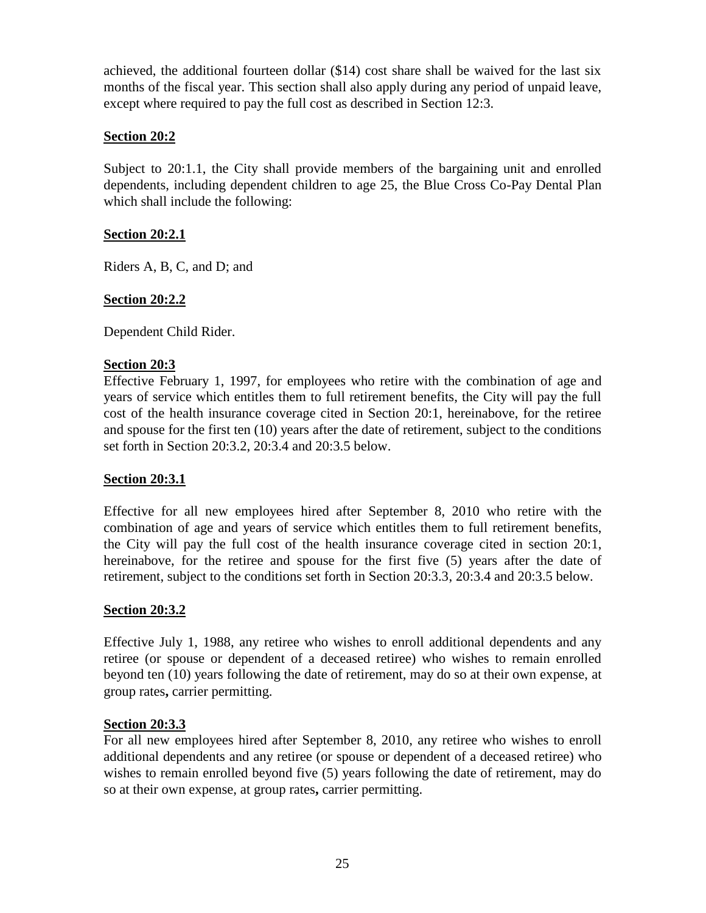achieved, the additional fourteen dollar (\$14) cost share shall be waived for the last six months of the fiscal year. This section shall also apply during any period of unpaid leave, except where required to pay the full cost as described in Section 12:3.

## **Section 20:2**

Subject to 20:1.1, the City shall provide members of the bargaining unit and enrolled dependents, including dependent children to age 25, the Blue Cross Co-Pay Dental Plan which shall include the following:

# **Section 20:2.1**

Riders A, B, C, and D; and

# **Section 20:2.2**

Dependent Child Rider.

## **Section 20:3**

Effective February 1, 1997, for employees who retire with the combination of age and years of service which entitles them to full retirement benefits, the City will pay the full cost of the health insurance coverage cited in Section 20:1, hereinabove, for the retiree and spouse for the first ten (10) years after the date of retirement, subject to the conditions set forth in Section 20:3.2, 20:3.4 and 20:3.5 below.

## **Section 20:3.1**

Effective for all new employees hired after September 8, 2010 who retire with the combination of age and years of service which entitles them to full retirement benefits, the City will pay the full cost of the health insurance coverage cited in section 20:1, hereinabove, for the retiree and spouse for the first five (5) years after the date of retirement, subject to the conditions set forth in Section 20:3.3, 20:3.4 and 20:3.5 below.

## **Section 20:3.2**

Effective July 1, 1988, any retiree who wishes to enroll additional dependents and any retiree (or spouse or dependent of a deceased retiree) who wishes to remain enrolled beyond ten (10) years following the date of retirement, may do so at their own expense, at group rates**,** carrier permitting.

## **Section 20:3.3**

For all new employees hired after September 8, 2010, any retiree who wishes to enroll additional dependents and any retiree (or spouse or dependent of a deceased retiree) who wishes to remain enrolled beyond five (5) years following the date of retirement, may do so at their own expense, at group rates**,** carrier permitting.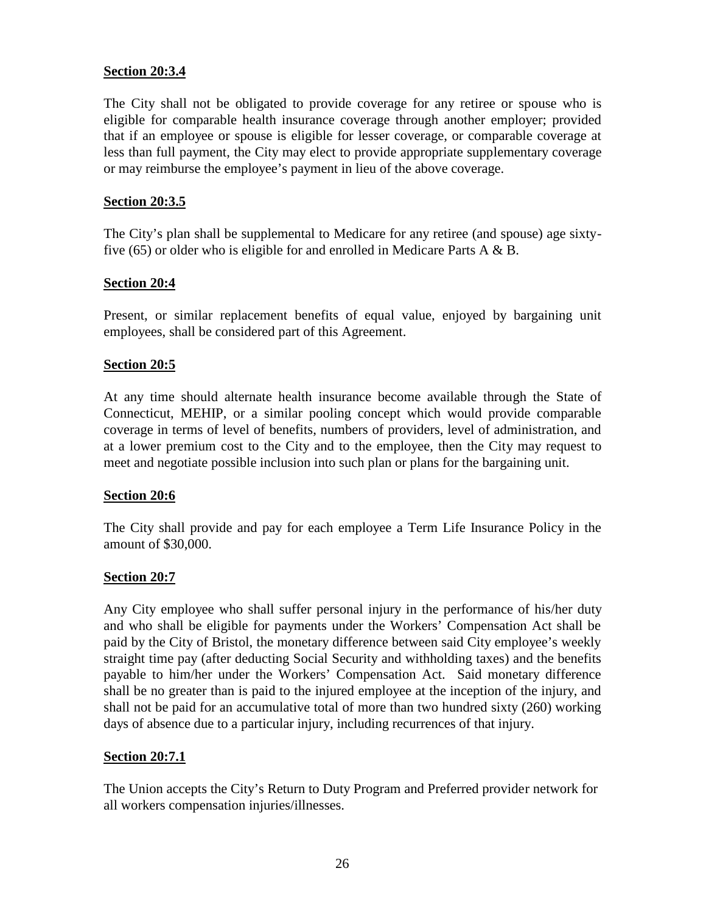## **Section 20:3.4**

The City shall not be obligated to provide coverage for any retiree or spouse who is eligible for comparable health insurance coverage through another employer; provided that if an employee or spouse is eligible for lesser coverage, or comparable coverage at less than full payment, the City may elect to provide appropriate supplementary coverage or may reimburse the employee's payment in lieu of the above coverage.

#### **Section 20:3.5**

The City's plan shall be supplemental to Medicare for any retiree (and spouse) age sixtyfive (65) or older who is eligible for and enrolled in Medicare Parts  $A \& B$ .

## **Section 20:4**

Present, or similar replacement benefits of equal value, enjoyed by bargaining unit employees, shall be considered part of this Agreement.

#### **Section 20:5**

At any time should alternate health insurance become available through the State of Connecticut, MEHIP, or a similar pooling concept which would provide comparable coverage in terms of level of benefits, numbers of providers, level of administration, and at a lower premium cost to the City and to the employee, then the City may request to meet and negotiate possible inclusion into such plan or plans for the bargaining unit.

#### **Section 20:6**

The City shall provide and pay for each employee a Term Life Insurance Policy in the amount of \$30,000.

#### **Section 20:7**

Any City employee who shall suffer personal injury in the performance of his/her duty and who shall be eligible for payments under the Workers' Compensation Act shall be paid by the City of Bristol, the monetary difference between said City employee's weekly straight time pay (after deducting Social Security and withholding taxes) and the benefits payable to him/her under the Workers' Compensation Act. Said monetary difference shall be no greater than is paid to the injured employee at the inception of the injury, and shall not be paid for an accumulative total of more than two hundred sixty (260) working days of absence due to a particular injury, including recurrences of that injury.

#### **Section 20:7.1**

The Union accepts the City's Return to Duty Program and Preferred provider network for all workers compensation injuries/illnesses.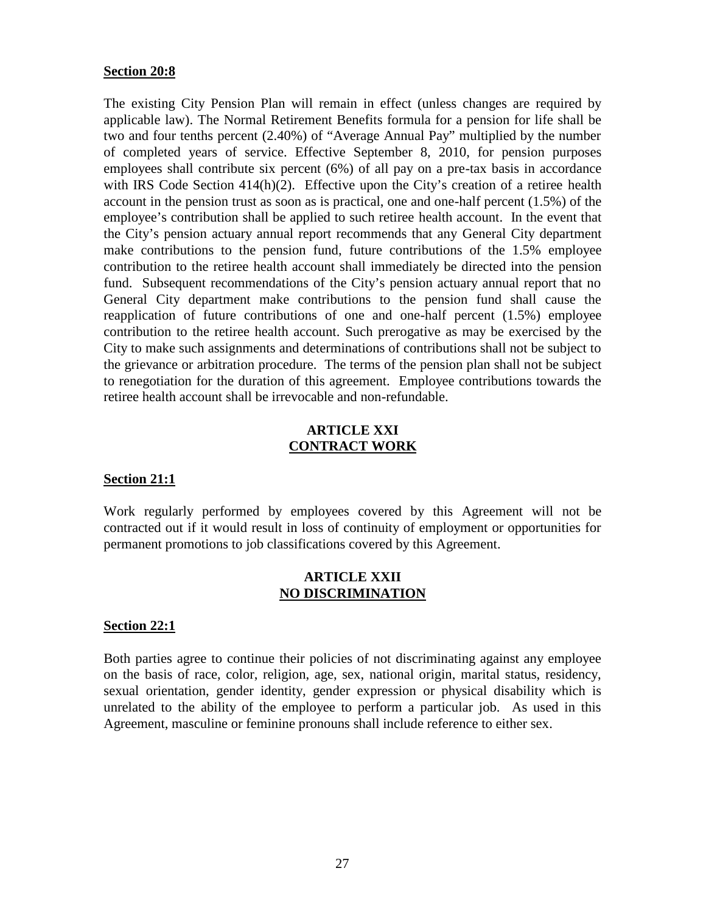#### **Section 20:8**

The existing City Pension Plan will remain in effect (unless changes are required by applicable law). The Normal Retirement Benefits formula for a pension for life shall be two and four tenths percent (2.40%) of "Average Annual Pay" multiplied by the number of completed years of service. Effective September 8, 2010, for pension purposes employees shall contribute six percent (6%) of all pay on a pre-tax basis in accordance with IRS Code Section  $414(h)(2)$ . Effective upon the City's creation of a retiree health account in the pension trust as soon as is practical, one and one-half percent (1.5%) of the employee's contribution shall be applied to such retiree health account. In the event that the City's pension actuary annual report recommends that any General City department make contributions to the pension fund, future contributions of the 1.5% employee contribution to the retiree health account shall immediately be directed into the pension fund. Subsequent recommendations of the City's pension actuary annual report that no General City department make contributions to the pension fund shall cause the reapplication of future contributions of one and one-half percent (1.5%) employee contribution to the retiree health account. Such prerogative as may be exercised by the City to make such assignments and determinations of contributions shall not be subject to the grievance or arbitration procedure. The terms of the pension plan shall not be subject to renegotiation for the duration of this agreement. Employee contributions towards the retiree health account shall be irrevocable and non-refundable.

#### **ARTICLE XXI CONTRACT WORK**

#### **Section 21:1**

Work regularly performed by employees covered by this Agreement will not be contracted out if it would result in loss of continuity of employment or opportunities for permanent promotions to job classifications covered by this Agreement.

#### **ARTICLE XXII NO DISCRIMINATION**

#### **Section 22:1**

Both parties agree to continue their policies of not discriminating against any employee on the basis of race, color, religion, age, sex, national origin, marital status, residency, sexual orientation, gender identity, gender expression or physical disability which is unrelated to the ability of the employee to perform a particular job. As used in this Agreement, masculine or feminine pronouns shall include reference to either sex.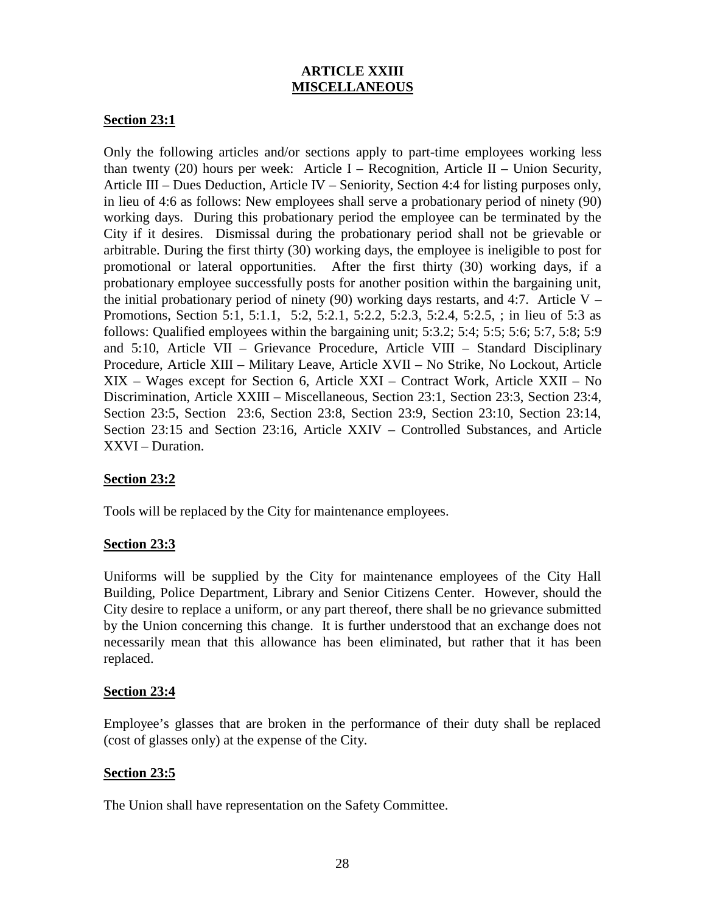# **ARTICLE XXIII MISCELLANEOUS**

## **Section 23:1**

Only the following articles and/or sections apply to part-time employees working less than twenty (20) hours per week: Article I – Recognition, Article II – Union Security, Article III – Dues Deduction, Article IV – Seniority, Section 4:4 for listing purposes only, in lieu of 4:6 as follows: New employees shall serve a probationary period of ninety (90) working days. During this probationary period the employee can be terminated by the City if it desires. Dismissal during the probationary period shall not be grievable or arbitrable. During the first thirty (30) working days, the employee is ineligible to post for promotional or lateral opportunities. After the first thirty (30) working days, if a probationary employee successfully posts for another position within the bargaining unit, the initial probationary period of ninety (90) working days restarts, and 4:7. Article V – Promotions, Section 5:1, 5:1.1, 5:2, 5:2.1, 5:2.2, 5:2.3, 5:2.4, 5:2.5, ; in lieu of 5:3 as follows: Qualified employees within the bargaining unit; 5:3.2; 5:4; 5:5; 5:6; 5:7, 5:8; 5:9 and 5:10, Article VII – Grievance Procedure, Article VIII – Standard Disciplinary Procedure, Article XIII – Military Leave, Article XVII – No Strike, No Lockout, Article XIX – Wages except for Section 6, Article XXI – Contract Work, Article XXII – No Discrimination, Article XXIII – Miscellaneous, Section 23:1, Section 23:3, Section 23:4, Section 23:5, Section 23:6, Section 23:8, Section 23:9, Section 23:10, Section 23:14, Section 23:15 and Section 23:16, Article XXIV – Controlled Substances, and Article XXVI – Duration.

#### **Section 23:2**

Tools will be replaced by the City for maintenance employees.

## **Section 23:3**

Uniforms will be supplied by the City for maintenance employees of the City Hall Building, Police Department, Library and Senior Citizens Center. However, should the City desire to replace a uniform, or any part thereof, there shall be no grievance submitted by the Union concerning this change. It is further understood that an exchange does not necessarily mean that this allowance has been eliminated, but rather that it has been replaced.

#### **Section 23:4**

Employee's glasses that are broken in the performance of their duty shall be replaced (cost of glasses only) at the expense of the City.

## **Section 23:5**

The Union shall have representation on the Safety Committee.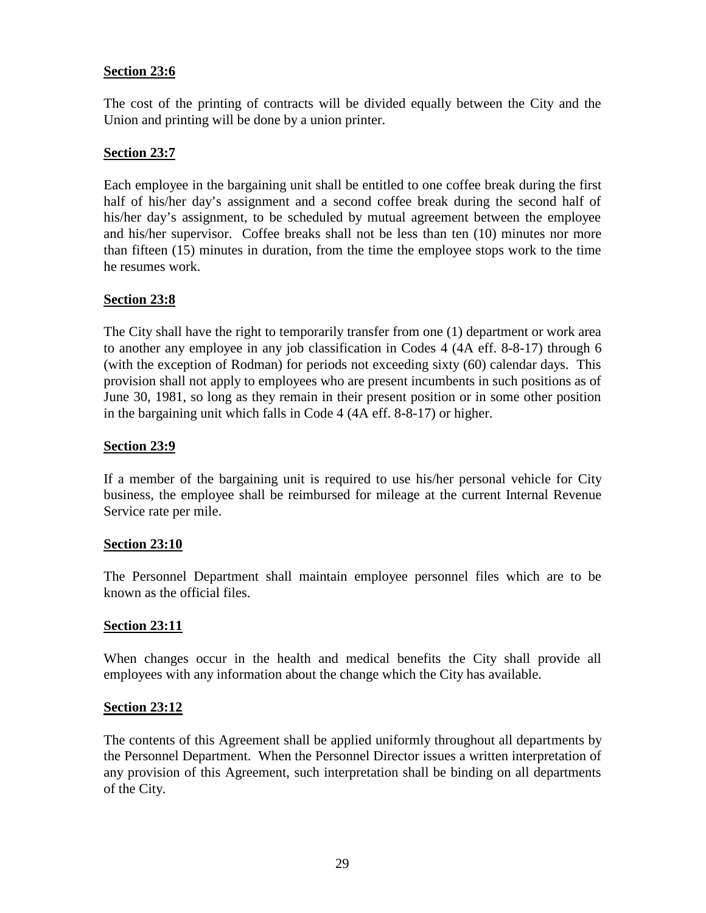## **Section 23:6**

The cost of the printing of contracts will be divided equally between the City and the Union and printing will be done by a union printer.

## **Section 23:7**

Each employee in the bargaining unit shall be entitled to one coffee break during the first half of his/her day's assignment and a second coffee break during the second half of his/her day's assignment, to be scheduled by mutual agreement between the employee and his/her supervisor. Coffee breaks shall not be less than ten (10) minutes nor more than fifteen (15) minutes in duration, from the time the employee stops work to the time he resumes work.

## **Section 23:8**

The City shall have the right to temporarily transfer from one (1) department or work area to another any employee in any job classification in Codes 4 (4A eff. 8-8-17) through 6 (with the exception of Rodman) for periods not exceeding sixty (60) calendar days. This provision shall not apply to employees who are present incumbents in such positions as of June 30, 1981, so long as they remain in their present position or in some other position in the bargaining unit which falls in Code 4 (4A eff. 8-8-17) or higher.

## **Section 23:9**

If a member of the bargaining unit is required to use his/her personal vehicle for City business, the employee shall be reimbursed for mileage at the current Internal Revenue Service rate per mile.

#### **Section 23:10**

The Personnel Department shall maintain employee personnel files which are to be known as the official files.

#### **Section 23:11**

When changes occur in the health and medical benefits the City shall provide all employees with any information about the change which the City has available.

#### **Section 23:12**

The contents of this Agreement shall be applied uniformly throughout all departments by the Personnel Department. When the Personnel Director issues a written interpretation of any provision of this Agreement, such interpretation shall be binding on all departments of the City.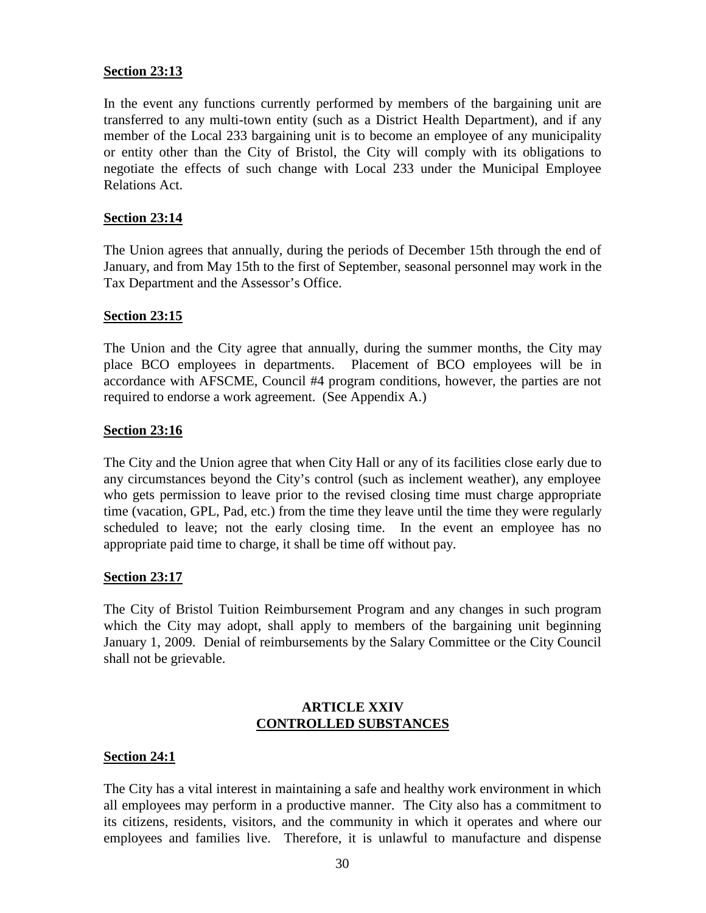## **Section 23:13**

In the event any functions currently performed by members of the bargaining unit are transferred to any multi-town entity (such as a District Health Department), and if any member of the Local 233 bargaining unit is to become an employee of any municipality or entity other than the City of Bristol, the City will comply with its obligations to negotiate the effects of such change with Local 233 under the Municipal Employee Relations Act.

## **Section 23:14**

The Union agrees that annually, during the periods of December 15th through the end of January, and from May 15th to the first of September, seasonal personnel may work in the Tax Department and the Assessor's Office.

## **Section 23:15**

The Union and the City agree that annually, during the summer months, the City may place BCO employees in departments. Placement of BCO employees will be in accordance with AFSCME, Council #4 program conditions, however, the parties are not required to endorse a work agreement. (See Appendix A.)

## **Section 23:16**

The City and the Union agree that when City Hall or any of its facilities close early due to any circumstances beyond the City's control (such as inclement weather), any employee who gets permission to leave prior to the revised closing time must charge appropriate time (vacation, GPL, Pad, etc.) from the time they leave until the time they were regularly scheduled to leave; not the early closing time. In the event an employee has no appropriate paid time to charge, it shall be time off without pay.

#### **Section 23:17**

The City of Bristol Tuition Reimbursement Program and any changes in such program which the City may adopt, shall apply to members of the bargaining unit beginning January 1, 2009. Denial of reimbursements by the Salary Committee or the City Council shall not be grievable.

## **ARTICLE XXIV CONTROLLED SUBSTANCES**

#### **Section 24:1**

The City has a vital interest in maintaining a safe and healthy work environment in which all employees may perform in a productive manner. The City also has a commitment to its citizens, residents, visitors, and the community in which it operates and where our employees and families live. Therefore, it is unlawful to manufacture and dispense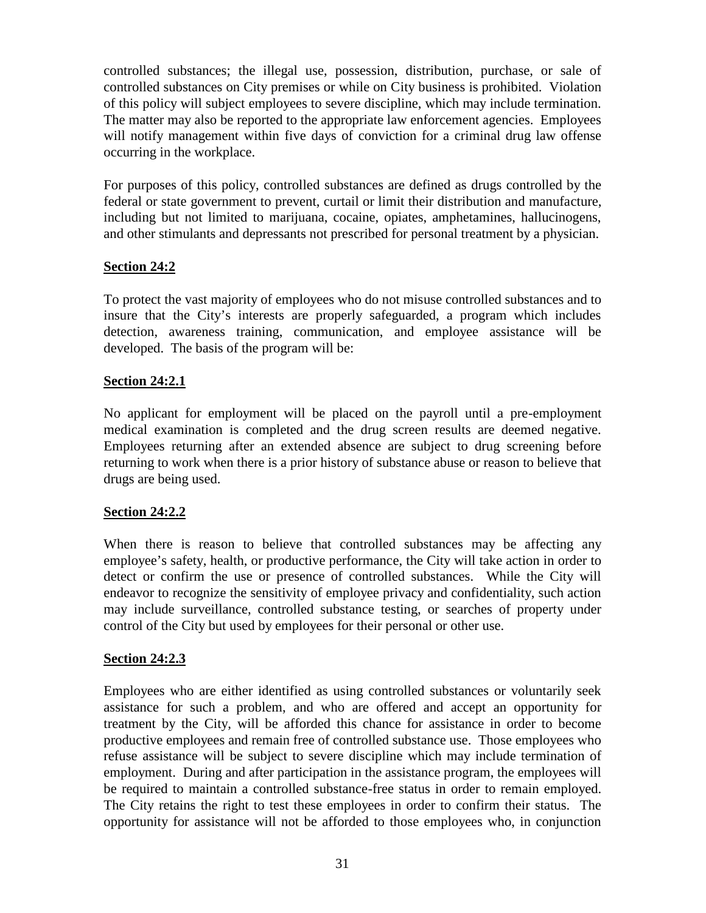controlled substances; the illegal use, possession, distribution, purchase, or sale of controlled substances on City premises or while on City business is prohibited. Violation of this policy will subject employees to severe discipline, which may include termination. The matter may also be reported to the appropriate law enforcement agencies. Employees will notify management within five days of conviction for a criminal drug law offense occurring in the workplace.

For purposes of this policy, controlled substances are defined as drugs controlled by the federal or state government to prevent, curtail or limit their distribution and manufacture, including but not limited to marijuana, cocaine, opiates, amphetamines, hallucinogens, and other stimulants and depressants not prescribed for personal treatment by a physician.

## **Section 24:2**

To protect the vast majority of employees who do not misuse controlled substances and to insure that the City's interests are properly safeguarded, a program which includes detection, awareness training, communication, and employee assistance will be developed. The basis of the program will be:

## **Section 24:2.1**

No applicant for employment will be placed on the payroll until a pre-employment medical examination is completed and the drug screen results are deemed negative. Employees returning after an extended absence are subject to drug screening before returning to work when there is a prior history of substance abuse or reason to believe that drugs are being used.

## **Section 24:2.2**

When there is reason to believe that controlled substances may be affecting any employee's safety, health, or productive performance, the City will take action in order to detect or confirm the use or presence of controlled substances. While the City will endeavor to recognize the sensitivity of employee privacy and confidentiality, such action may include surveillance, controlled substance testing, or searches of property under control of the City but used by employees for their personal or other use.

#### **Section 24:2.3**

Employees who are either identified as using controlled substances or voluntarily seek assistance for such a problem, and who are offered and accept an opportunity for treatment by the City, will be afforded this chance for assistance in order to become productive employees and remain free of controlled substance use. Those employees who refuse assistance will be subject to severe discipline which may include termination of employment. During and after participation in the assistance program, the employees will be required to maintain a controlled substance-free status in order to remain employed. The City retains the right to test these employees in order to confirm their status. The opportunity for assistance will not be afforded to those employees who, in conjunction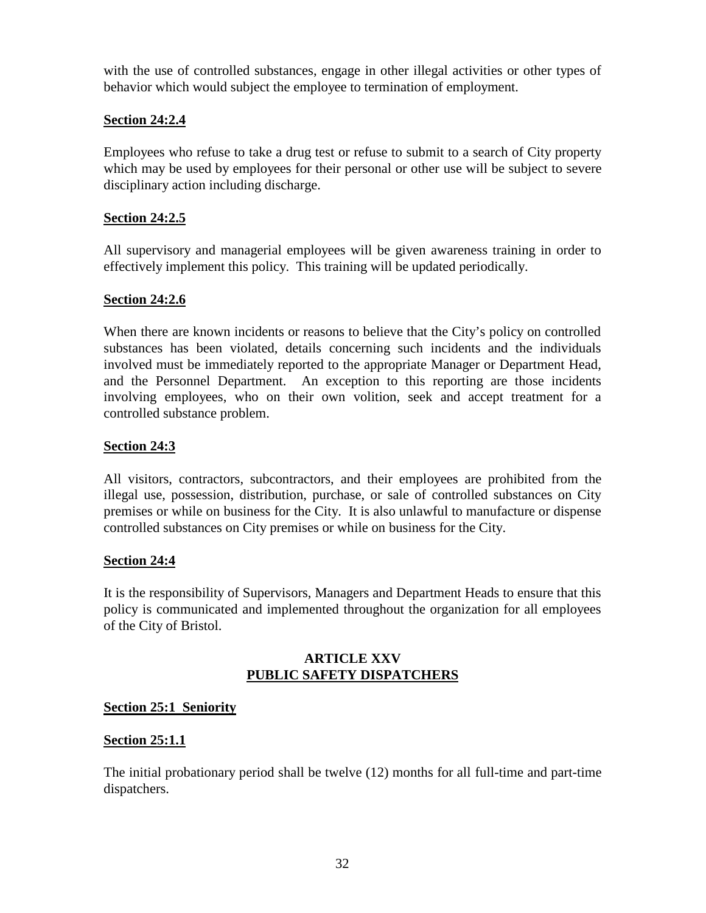with the use of controlled substances, engage in other illegal activities or other types of behavior which would subject the employee to termination of employment.

# **Section 24:2.4**

Employees who refuse to take a drug test or refuse to submit to a search of City property which may be used by employees for their personal or other use will be subject to severe disciplinary action including discharge.

## **Section 24:2.5**

All supervisory and managerial employees will be given awareness training in order to effectively implement this policy. This training will be updated periodically.

## **Section 24:2.6**

When there are known incidents or reasons to believe that the City's policy on controlled substances has been violated, details concerning such incidents and the individuals involved must be immediately reported to the appropriate Manager or Department Head, and the Personnel Department. An exception to this reporting are those incidents involving employees, who on their own volition, seek and accept treatment for a controlled substance problem.

## **Section 24:3**

All visitors, contractors, subcontractors, and their employees are prohibited from the illegal use, possession, distribution, purchase, or sale of controlled substances on City premises or while on business for the City. It is also unlawful to manufacture or dispense controlled substances on City premises or while on business for the City.

#### **Section 24:4**

It is the responsibility of Supervisors, Managers and Department Heads to ensure that this policy is communicated and implemented throughout the organization for all employees of the City of Bristol.

## **ARTICLE XXV PUBLIC SAFETY DISPATCHERS**

## **Section 25:1 Seniority**

## **Section 25:1.1**

The initial probationary period shall be twelve (12) months for all full-time and part-time dispatchers.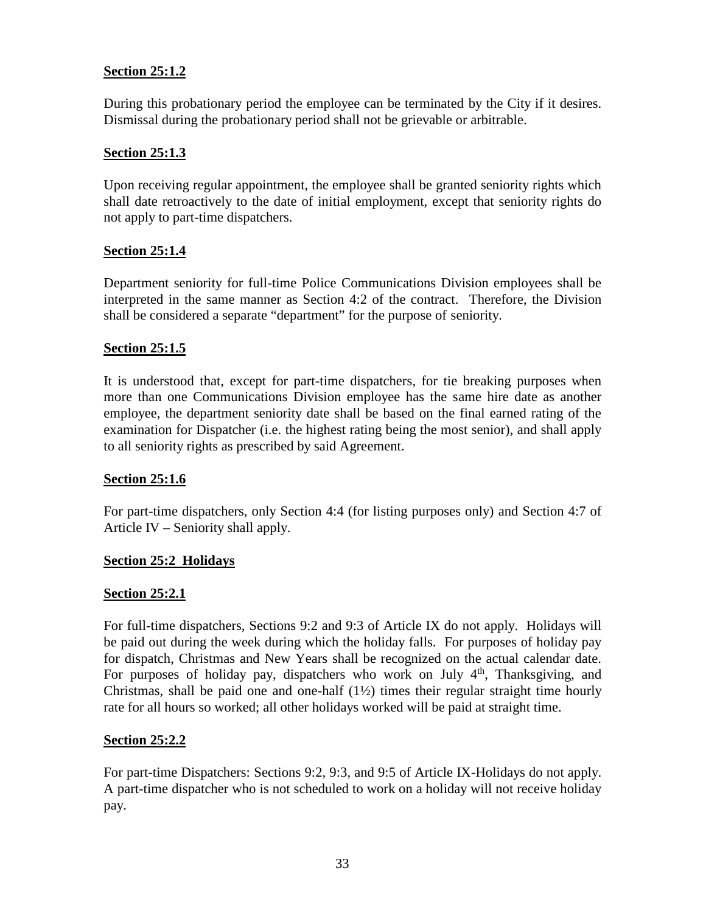## **Section 25:1.2**

During this probationary period the employee can be terminated by the City if it desires. Dismissal during the probationary period shall not be grievable or arbitrable.

## **Section 25:1.3**

Upon receiving regular appointment, the employee shall be granted seniority rights which shall date retroactively to the date of initial employment, except that seniority rights do not apply to part-time dispatchers.

#### **Section 25:1.4**

Department seniority for full-time Police Communications Division employees shall be interpreted in the same manner as Section 4:2 of the contract. Therefore, the Division shall be considered a separate "department" for the purpose of seniority.

## **Section 25:1.5**

It is understood that, except for part-time dispatchers, for tie breaking purposes when more than one Communications Division employee has the same hire date as another employee, the department seniority date shall be based on the final earned rating of the examination for Dispatcher (i.e. the highest rating being the most senior), and shall apply to all seniority rights as prescribed by said Agreement.

#### **Section 25:1.6**

For part-time dispatchers, only Section 4:4 (for listing purposes only) and Section 4:7 of Article IV – Seniority shall apply.

#### **Section 25:2 Holidays**

#### **Section 25:2.1**

For full-time dispatchers, Sections 9:2 and 9:3 of Article IX do not apply. Holidays will be paid out during the week during which the holiday falls. For purposes of holiday pay for dispatch, Christmas and New Years shall be recognized on the actual calendar date. For purposes of holiday pay, dispatchers who work on July  $4<sup>th</sup>$ , Thanksgiving, and Christmas, shall be paid one and one-half  $(1\frac{1}{2})$  times their regular straight time hourly rate for all hours so worked; all other holidays worked will be paid at straight time.

## **Section 25:2.2**

For part-time Dispatchers: Sections 9:2, 9:3, and 9:5 of Article IX-Holidays do not apply. A part-time dispatcher who is not scheduled to work on a holiday will not receive holiday pay.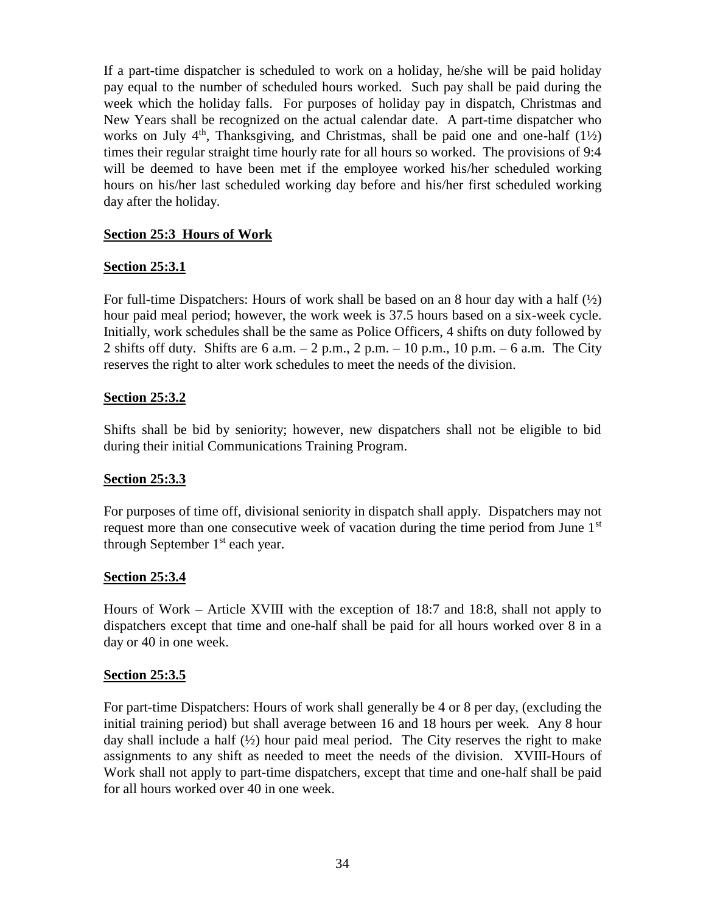If a part-time dispatcher is scheduled to work on a holiday, he/she will be paid holiday pay equal to the number of scheduled hours worked. Such pay shall be paid during the week which the holiday falls. For purposes of holiday pay in dispatch, Christmas and New Years shall be recognized on the actual calendar date. A part-time dispatcher who works on July  $4<sup>th</sup>$ , Thanksgiving, and Christmas, shall be paid one and one-half (1½) times their regular straight time hourly rate for all hours so worked. The provisions of 9:4 will be deemed to have been met if the employee worked his/her scheduled working hours on his/her last scheduled working day before and his/her first scheduled working day after the holiday.

## **Section 25:3 Hours of Work**

## **Section 25:3.1**

For full-time Dispatchers: Hours of work shall be based on an 8 hour day with a half  $\frac{1}{2}$ hour paid meal period; however, the work week is 37.5 hours based on a six-week cycle. Initially, work schedules shall be the same as Police Officers, 4 shifts on duty followed by 2 shifts off duty. Shifts are 6 a.m.  $-2$  p.m.,  $2$  p.m.  $-10$  p.m.,  $10$  p.m.  $-6$  a.m. The City reserves the right to alter work schedules to meet the needs of the division.

## **Section 25:3.2**

Shifts shall be bid by seniority; however, new dispatchers shall not be eligible to bid during their initial Communications Training Program.

#### **Section 25:3.3**

For purposes of time off, divisional seniority in dispatch shall apply. Dispatchers may not request more than one consecutive week of vacation during the time period from June  $1<sup>st</sup>$ through September  $1<sup>st</sup>$  each year.

## **Section 25:3.4**

Hours of Work – Article XVIII with the exception of 18:7 and 18:8, shall not apply to dispatchers except that time and one-half shall be paid for all hours worked over 8 in a day or 40 in one week.

## **Section 25:3.5**

For part-time Dispatchers: Hours of work shall generally be 4 or 8 per day, (excluding the initial training period) but shall average between 16 and 18 hours per week. Any 8 hour day shall include a half  $(\frac{1}{2})$  hour paid meal period. The City reserves the right to make assignments to any shift as needed to meet the needs of the division. XVIII-Hours of Work shall not apply to part-time dispatchers, except that time and one-half shall be paid for all hours worked over 40 in one week.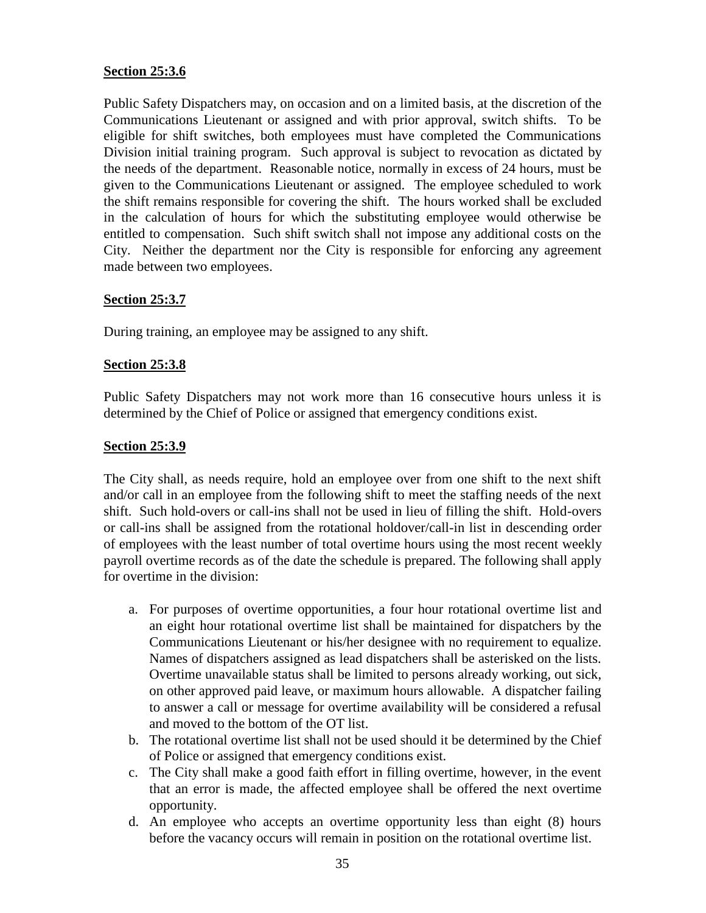## **Section 25:3.6**

Public Safety Dispatchers may, on occasion and on a limited basis, at the discretion of the Communications Lieutenant or assigned and with prior approval, switch shifts. To be eligible for shift switches, both employees must have completed the Communications Division initial training program. Such approval is subject to revocation as dictated by the needs of the department. Reasonable notice, normally in excess of 24 hours, must be given to the Communications Lieutenant or assigned. The employee scheduled to work the shift remains responsible for covering the shift. The hours worked shall be excluded in the calculation of hours for which the substituting employee would otherwise be entitled to compensation. Such shift switch shall not impose any additional costs on the City. Neither the department nor the City is responsible for enforcing any agreement made between two employees.

## **Section 25:3.7**

During training, an employee may be assigned to any shift.

## **Section 25:3.8**

Public Safety Dispatchers may not work more than 16 consecutive hours unless it is determined by the Chief of Police or assigned that emergency conditions exist.

## **Section 25:3.9**

The City shall, as needs require, hold an employee over from one shift to the next shift and/or call in an employee from the following shift to meet the staffing needs of the next shift. Such hold-overs or call-ins shall not be used in lieu of filling the shift. Hold-overs or call-ins shall be assigned from the rotational holdover/call-in list in descending order of employees with the least number of total overtime hours using the most recent weekly payroll overtime records as of the date the schedule is prepared. The following shall apply for overtime in the division:

- a. For purposes of overtime opportunities, a four hour rotational overtime list and an eight hour rotational overtime list shall be maintained for dispatchers by the Communications Lieutenant or his/her designee with no requirement to equalize. Names of dispatchers assigned as lead dispatchers shall be asterisked on the lists. Overtime unavailable status shall be limited to persons already working, out sick, on other approved paid leave, or maximum hours allowable. A dispatcher failing to answer a call or message for overtime availability will be considered a refusal and moved to the bottom of the OT list.
- b. The rotational overtime list shall not be used should it be determined by the Chief of Police or assigned that emergency conditions exist.
- c. The City shall make a good faith effort in filling overtime, however, in the event that an error is made, the affected employee shall be offered the next overtime opportunity.
- d. An employee who accepts an overtime opportunity less than eight (8) hours before the vacancy occurs will remain in position on the rotational overtime list.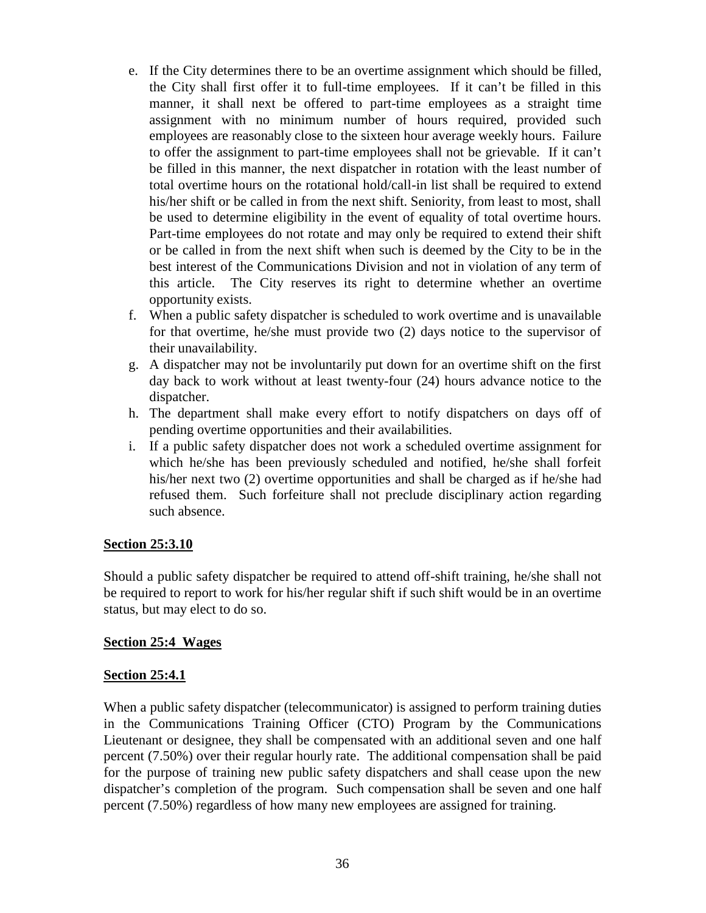- e. If the City determines there to be an overtime assignment which should be filled, the City shall first offer it to full-time employees. If it can't be filled in this manner, it shall next be offered to part-time employees as a straight time assignment with no minimum number of hours required, provided such employees are reasonably close to the sixteen hour average weekly hours. Failure to offer the assignment to part-time employees shall not be grievable. If it can't be filled in this manner, the next dispatcher in rotation with the least number of total overtime hours on the rotational hold/call-in list shall be required to extend his/her shift or be called in from the next shift. Seniority, from least to most, shall be used to determine eligibility in the event of equality of total overtime hours. Part-time employees do not rotate and may only be required to extend their shift or be called in from the next shift when such is deemed by the City to be in the best interest of the Communications Division and not in violation of any term of this article. The City reserves its right to determine whether an overtime opportunity exists.
- f. When a public safety dispatcher is scheduled to work overtime and is unavailable for that overtime, he/she must provide two (2) days notice to the supervisor of their unavailability.
- g. A dispatcher may not be involuntarily put down for an overtime shift on the first day back to work without at least twenty-four (24) hours advance notice to the dispatcher.
- h. The department shall make every effort to notify dispatchers on days off of pending overtime opportunities and their availabilities.
- i. If a public safety dispatcher does not work a scheduled overtime assignment for which he/she has been previously scheduled and notified, he/she shall forfeit his/her next two (2) overtime opportunities and shall be charged as if he/she had refused them. Such forfeiture shall not preclude disciplinary action regarding such absence.

## **Section 25:3.10**

Should a public safety dispatcher be required to attend off-shift training, he/she shall not be required to report to work for his/her regular shift if such shift would be in an overtime status, but may elect to do so.

## **Section 25:4 Wages**

## **Section 25:4.1**

When a public safety dispatcher (telecommunicator) is assigned to perform training duties in the Communications Training Officer (CTO) Program by the Communications Lieutenant or designee, they shall be compensated with an additional seven and one half percent (7.50%) over their regular hourly rate. The additional compensation shall be paid for the purpose of training new public safety dispatchers and shall cease upon the new dispatcher's completion of the program. Such compensation shall be seven and one half percent (7.50%) regardless of how many new employees are assigned for training.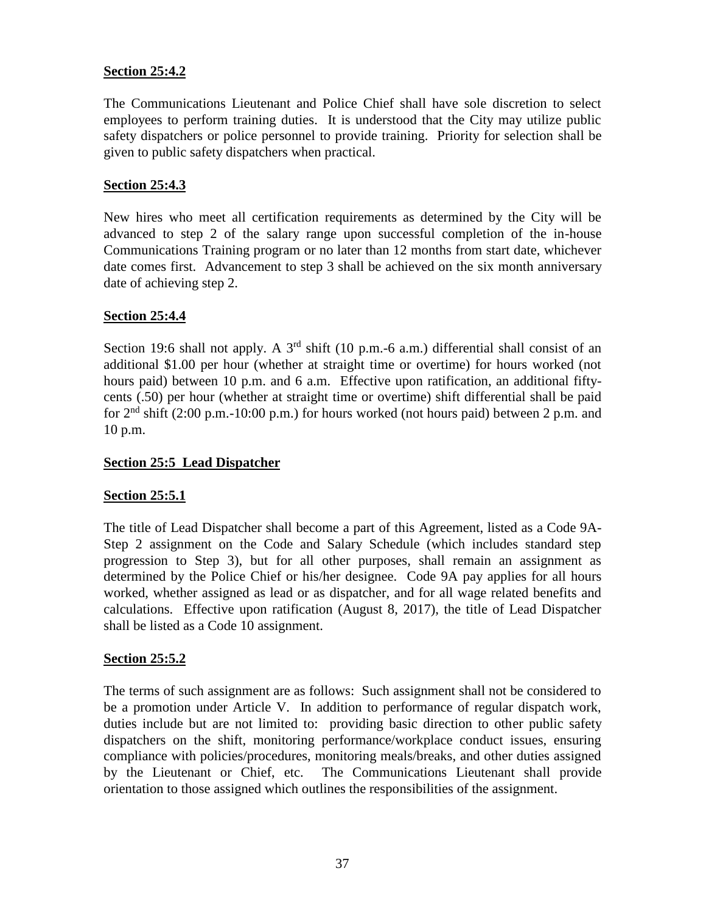## **Section 25:4.2**

The Communications Lieutenant and Police Chief shall have sole discretion to select employees to perform training duties. It is understood that the City may utilize public safety dispatchers or police personnel to provide training. Priority for selection shall be given to public safety dispatchers when practical.

## **Section 25:4.3**

New hires who meet all certification requirements as determined by the City will be advanced to step 2 of the salary range upon successful completion of the in-house Communications Training program or no later than 12 months from start date, whichever date comes first. Advancement to step 3 shall be achieved on the six month anniversary date of achieving step 2.

## **Section 25:4.4**

Section 19:6 shall not apply. A 3<sup>rd</sup> shift (10 p.m.-6 a.m.) differential shall consist of an additional \$1.00 per hour (whether at straight time or overtime) for hours worked (not hours paid) between 10 p.m. and 6 a.m. Effective upon ratification, an additional fiftycents (.50) per hour (whether at straight time or overtime) shift differential shall be paid for  $2<sup>nd</sup>$  shift (2:00 p.m.-10:00 p.m.) for hours worked (not hours paid) between 2 p.m. and 10 p.m.

## **Section 25:5 Lead Dispatcher**

#### **Section 25:5.1**

The title of Lead Dispatcher shall become a part of this Agreement, listed as a Code 9A- Step 2 assignment on the Code and Salary Schedule (which includes standard step progression to Step 3), but for all other purposes, shall remain an assignment as determined by the Police Chief or his/her designee. Code 9A pay applies for all hours worked, whether assigned as lead or as dispatcher, and for all wage related benefits and calculations. Effective upon ratification (August 8, 2017), the title of Lead Dispatcher shall be listed as a Code 10 assignment.

#### **Section 25:5.2**

The terms of such assignment are as follows: Such assignment shall not be considered to be a promotion under Article V. In addition to performance of regular dispatch work, duties include but are not limited to: providing basic direction to other public safety dispatchers on the shift, monitoring performance/workplace conduct issues, ensuring compliance with policies/procedures, monitoring meals/breaks, and other duties assigned by the Lieutenant or Chief, etc. The Communications Lieutenant shall provide orientation to those assigned which outlines the responsibilities of the assignment.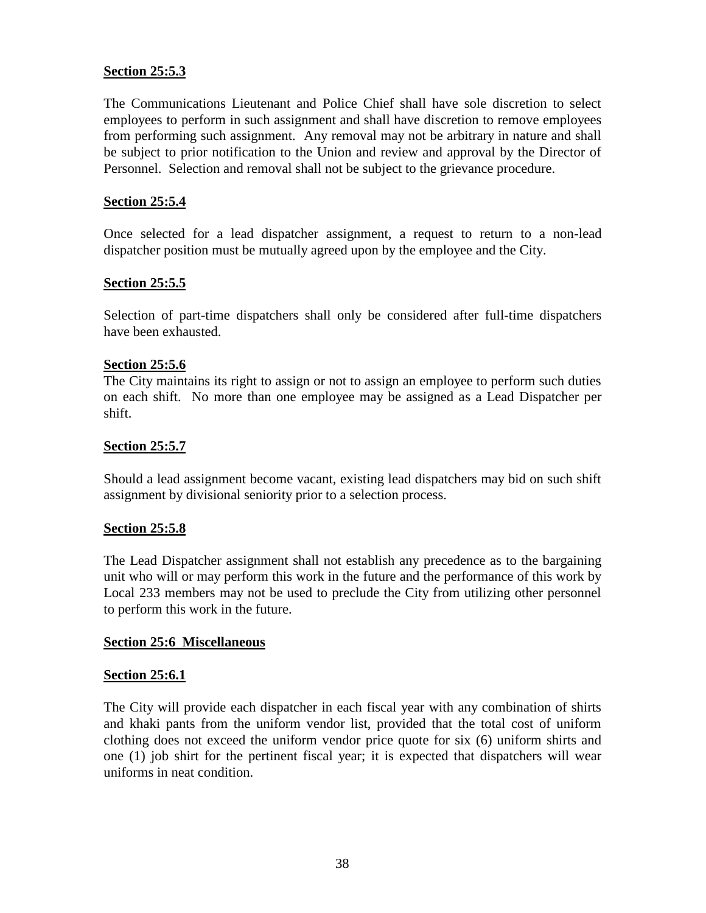#### **Section 25:5.3**

The Communications Lieutenant and Police Chief shall have sole discretion to select employees to perform in such assignment and shall have discretion to remove employees from performing such assignment. Any removal may not be arbitrary in nature and shall be subject to prior notification to the Union and review and approval by the Director of Personnel. Selection and removal shall not be subject to the grievance procedure.

#### **Section 25:5.4**

Once selected for a lead dispatcher assignment, a request to return to a non-lead dispatcher position must be mutually agreed upon by the employee and the City.

## **Section 25:5.5**

Selection of part-time dispatchers shall only be considered after full-time dispatchers have been exhausted.

#### **Section 25:5.6**

The City maintains its right to assign or not to assign an employee to perform such duties on each shift. No more than one employee may be assigned as a Lead Dispatcher per shift.

#### **Section 25:5.7**

Should a lead assignment become vacant, existing lead dispatchers may bid on such shift assignment by divisional seniority prior to a selection process.

#### **Section 25:5.8**

The Lead Dispatcher assignment shall not establish any precedence as to the bargaining unit who will or may perform this work in the future and the performance of this work by Local 233 members may not be used to preclude the City from utilizing other personnel to perform this work in the future.

#### **Section 25:6 Miscellaneous**

#### **Section 25:6.1**

The City will provide each dispatcher in each fiscal year with any combination of shirts and khaki pants from the uniform vendor list, provided that the total cost of uniform clothing does not exceed the uniform vendor price quote for six (6) uniform shirts and one (1) job shirt for the pertinent fiscal year; it is expected that dispatchers will wear uniforms in neat condition.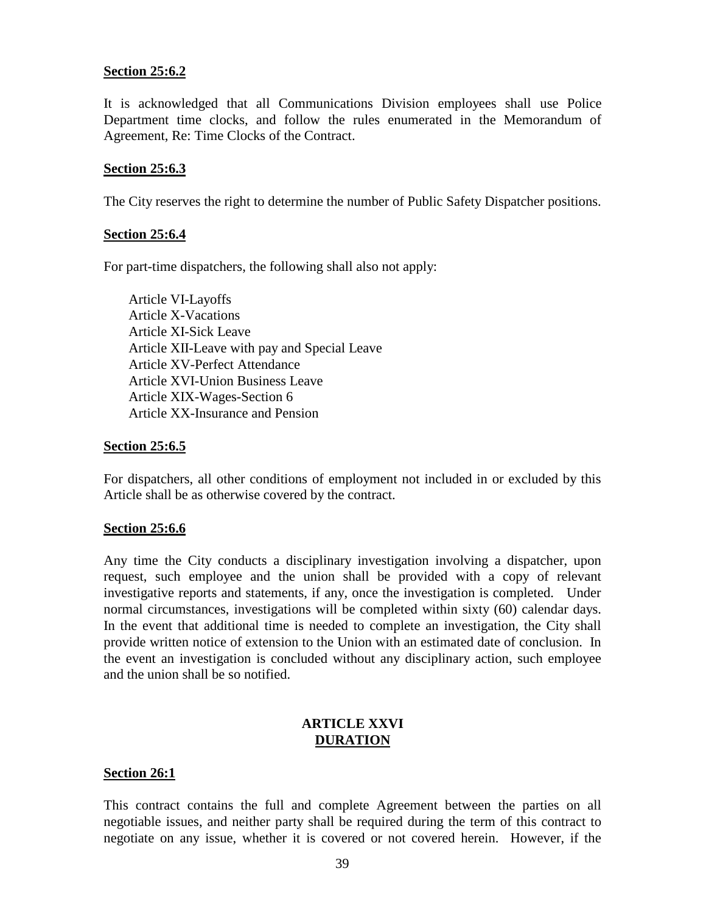#### **Section 25:6.2**

It is acknowledged that all Communications Division employees shall use Police Department time clocks, and follow the rules enumerated in the Memorandum of Agreement, Re: Time Clocks of the Contract.

#### **Section 25:6.3**

The City reserves the right to determine the number of Public Safety Dispatcher positions.

#### **Section 25:6.4**

For part-time dispatchers, the following shall also not apply:

Article VI-Layoffs Article X-Vacations Article XI-Sick Leave Article XII-Leave with pay and Special Leave Article XV-Perfect Attendance Article XVI-Union Business Leave Article XIX-Wages-Section 6 Article XX-Insurance and Pension

#### **Section 25:6.5**

For dispatchers, all other conditions of employment not included in or excluded by this Article shall be as otherwise covered by the contract.

#### **Section 25:6.6**

Any time the City conducts a disciplinary investigation involving a dispatcher, upon request, such employee and the union shall be provided with a copy of relevant investigative reports and statements, if any, once the investigation is completed. Under normal circumstances, investigations will be completed within sixty (60) calendar days. In the event that additional time is needed to complete an investigation, the City shall provide written notice of extension to the Union with an estimated date of conclusion. In the event an investigation is concluded without any disciplinary action, such employee and the union shall be so notified.

#### **ARTICLE XXVI DURATION**

#### **Section 26:1**

This contract contains the full and complete Agreement between the parties on all negotiable issues, and neither party shall be required during the term of this contract to negotiate on any issue, whether it is covered or not covered herein. However, if the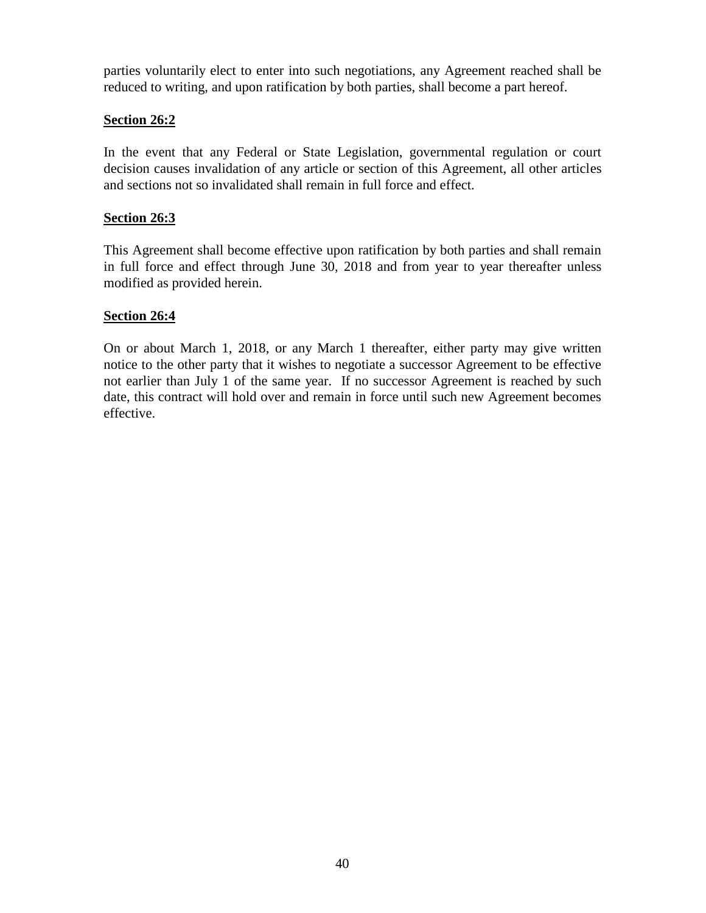parties voluntarily elect to enter into such negotiations, any Agreement reached shall be reduced to writing, and upon ratification by both parties, shall become a part hereof.

## **Section 26:2**

In the event that any Federal or State Legislation, governmental regulation or court decision causes invalidation of any article or section of this Agreement, all other articles and sections not so invalidated shall remain in full force and effect.

## **Section 26:3**

This Agreement shall become effective upon ratification by both parties and shall remain in full force and effect through June 30, 2018 and from year to year thereafter unless modified as provided herein.

## **Section 26:4**

On or about March 1, 2018, or any March 1 thereafter, either party may give written notice to the other party that it wishes to negotiate a successor Agreement to be effective not earlier than July 1 of the same year. If no successor Agreement is reached by such date, this contract will hold over and remain in force until such new Agreement becomes effective.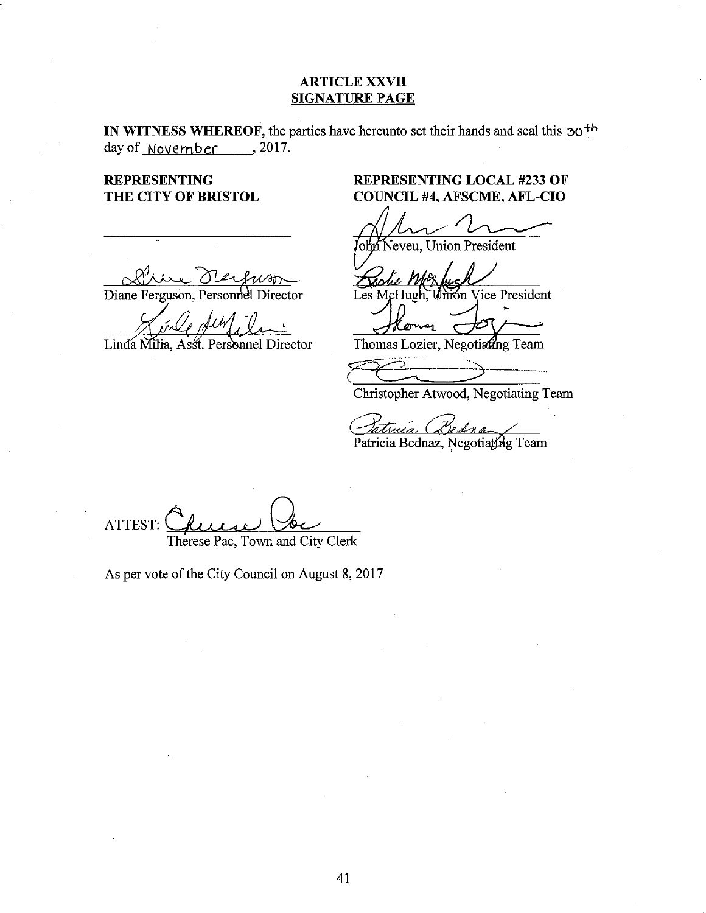#### **ARTICLE XXVII SIGNATURE PAGE**

IN WITNESS WHEREOF, the parties have hereunto set their hands and seal this  $30<sup>th</sup>$ day of November 3017.

**REPRESENTING** THE CITY OF BRISTOL

Diane Ferguson, Personnel Director

Linda Milia, Asst. Personnel Director

# **REPRESENTING LOCAL #233 OF** COUNCIL #4, AFSCME, AFL-CIO

ohn Neveu, Union President

Union Vice President Les McHugh,

Thomas Lozier, Negotiann Team

Christopher Atwood, Negotiating Team

Patricia Bednaz, Negotiating Team

ATTEST: Therese Pac, Town and City Clerk

As per vote of the City Council on August 8, 2017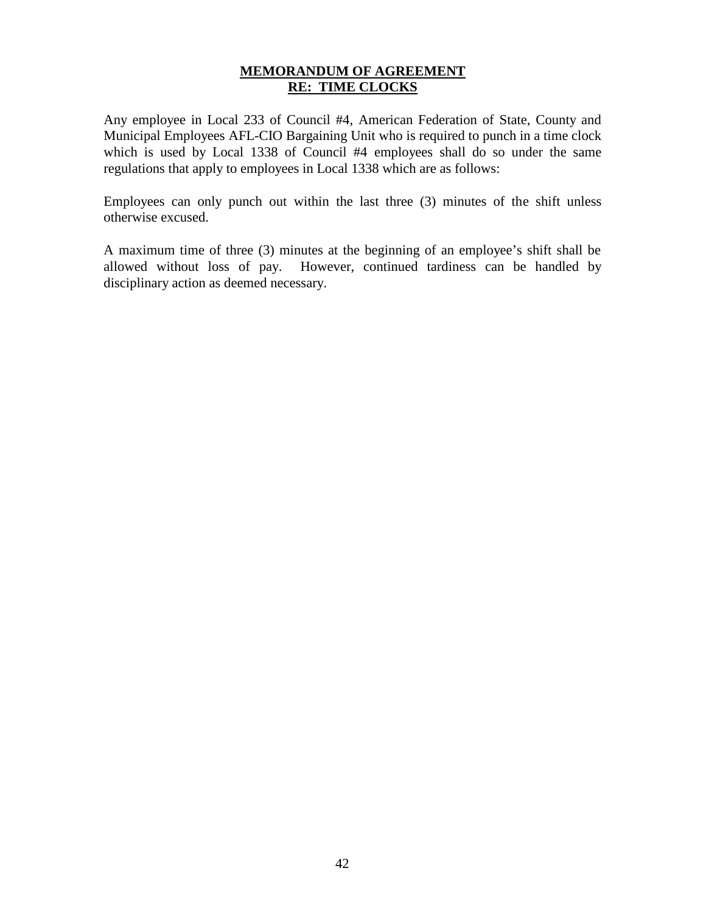## **MEMORANDUM OF AGREEMENT RE: TIME CLOCKS**

Any employee in Local 233 of Council #4, American Federation of State, County and Municipal Employees AFL-CIO Bargaining Unit who is required to punch in a time clock which is used by Local 1338 of Council #4 employees shall do so under the same regulations that apply to employees in Local 1338 which are as follows:

Employees can only punch out within the last three (3) minutes of the shift unless otherwise excused.

A maximum time of three (3) minutes at the beginning of an employee's shift shall be allowed without loss of pay. However, continued tardiness can be handled by disciplinary action as deemed necessary.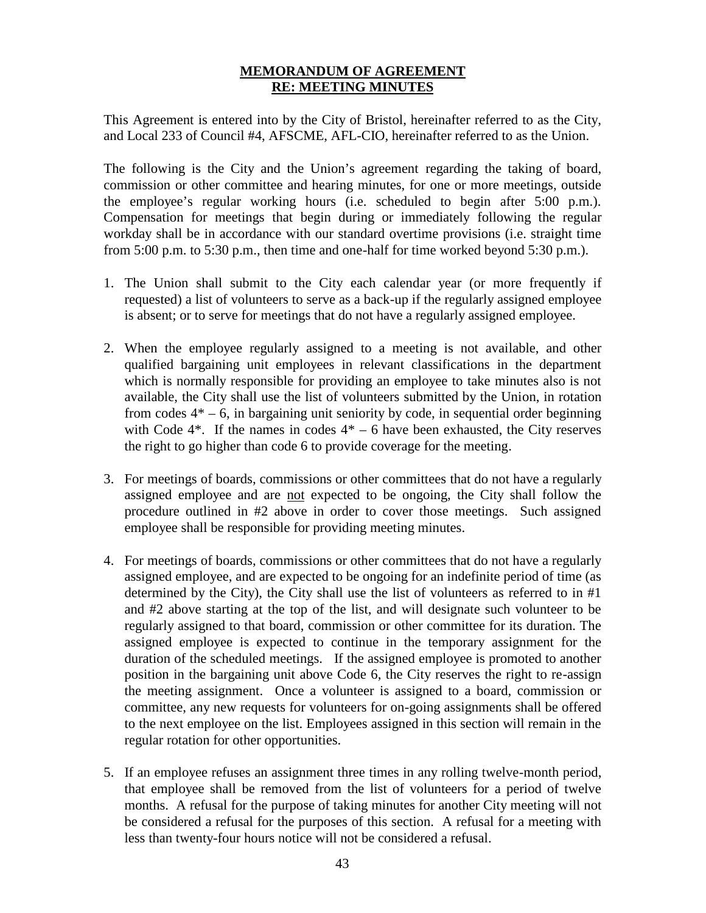## **MEMORANDUM OF AGREEMENT RE: MEETING MINUTES**

This Agreement is entered into by the City of Bristol, hereinafter referred to as the City, and Local 233 of Council #4, AFSCME, AFL-CIO, hereinafter referred to as the Union.

The following is the City and the Union's agreement regarding the taking of board, commission or other committee and hearing minutes, for one or more meetings, outside the employee's regular working hours (i.e. scheduled to begin after 5:00 p.m.). Compensation for meetings that begin during or immediately following the regular workday shall be in accordance with our standard overtime provisions (i.e. straight time from 5:00 p.m. to 5:30 p.m., then time and one-half for time worked beyond 5:30 p.m.).

- 1. The Union shall submit to the City each calendar year (or more frequently if requested) a list of volunteers to serve as a back-up if the regularly assigned employee is absent; or to serve for meetings that do not have a regularly assigned employee.
- 2. When the employee regularly assigned to a meeting is not available, and other qualified bargaining unit employees in relevant classifications in the department which is normally responsible for providing an employee to take minutes also is not available, the City shall use the list of volunteers submitted by the Union, in rotation from codes  $4^* - 6$ , in bargaining unit seniority by code, in sequential order beginning with Code  $4^*$ . If the names in codes  $4^*$  – 6 have been exhausted, the City reserves the right to go higher than code 6 to provide coverage for the meeting.
- 3. For meetings of boards, commissions or other committees that do not have a regularly assigned employee and are not expected to be ongoing, the City shall follow the procedure outlined in #2 above in order to cover those meetings. Such assigned employee shall be responsible for providing meeting minutes.
- 4. For meetings of boards, commissions or other committees that do not have a regularly assigned employee, and are expected to be ongoing for an indefinite period of time (as determined by the City), the City shall use the list of volunteers as referred to in #1 and #2 above starting at the top of the list, and will designate such volunteer to be regularly assigned to that board, commission or other committee for its duration. The assigned employee is expected to continue in the temporary assignment for the duration of the scheduled meetings. If the assigned employee is promoted to another position in the bargaining unit above Code 6, the City reserves the right to re-assign the meeting assignment. Once a volunteer is assigned to a board, commission or committee, any new requests for volunteers for on-going assignments shall be offered to the next employee on the list. Employees assigned in this section will remain in the regular rotation for other opportunities.
- 5. If an employee refuses an assignment three times in any rolling twelve-month period, that employee shall be removed from the list of volunteers for a period of twelve months. A refusal for the purpose of taking minutes for another City meeting will not be considered a refusal for the purposes of this section. A refusal for a meeting with less than twenty-four hours notice will not be considered a refusal.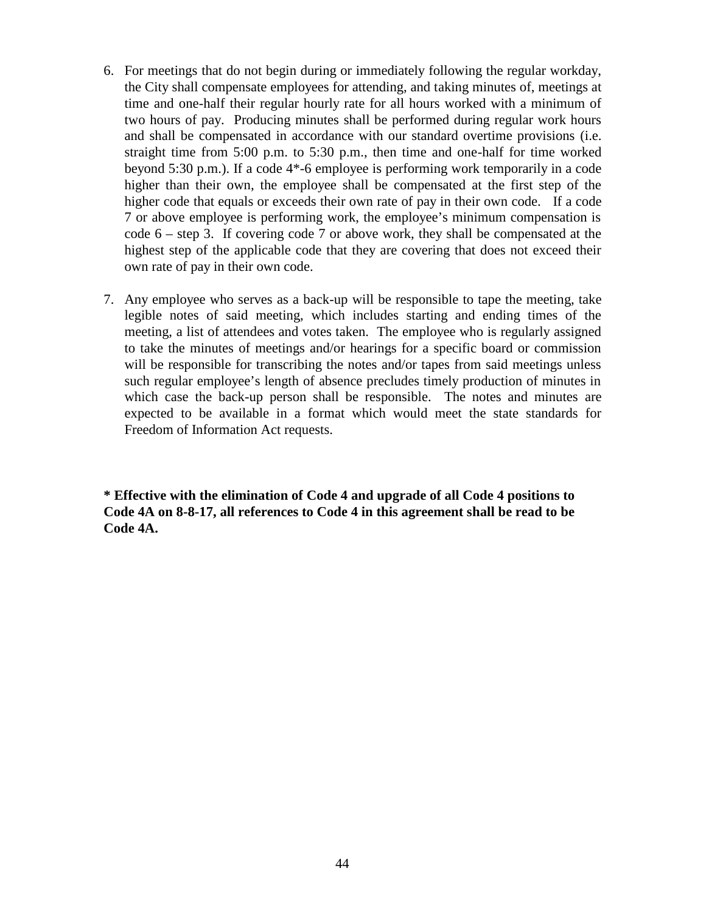- 6. For meetings that do not begin during or immediately following the regular workday, the City shall compensate employees for attending, and taking minutes of, meetings at time and one-half their regular hourly rate for all hours worked with a minimum of two hours of pay. Producing minutes shall be performed during regular work hours and shall be compensated in accordance with our standard overtime provisions (i.e. straight time from 5:00 p.m. to 5:30 p.m., then time and one-half for time worked beyond 5:30 p.m.). If a code 4\*-6 employee is performing work temporarily in a code higher than their own, the employee shall be compensated at the first step of the higher code that equals or exceeds their own rate of pay in their own code. If a code 7 or above employee is performing work, the employee's minimum compensation is code 6 – step 3. If covering code 7 or above work, they shall be compensated at the highest step of the applicable code that they are covering that does not exceed their own rate of pay in their own code.
- 7. Any employee who serves as a back-up will be responsible to tape the meeting, take legible notes of said meeting, which includes starting and ending times of the meeting, a list of attendees and votes taken. The employee who is regularly assigned to take the minutes of meetings and/or hearings for a specific board or commission will be responsible for transcribing the notes and/or tapes from said meetings unless such regular employee's length of absence precludes timely production of minutes in which case the back-up person shall be responsible. The notes and minutes are expected to be available in a format which would meet the state standards for Freedom of Information Act requests.

**\* Effective with the elimination of Code 4 and upgrade of all Code 4 positions to Code 4A on 8-8-17, all references to Code 4 in this agreement shall be read to be Code 4A.**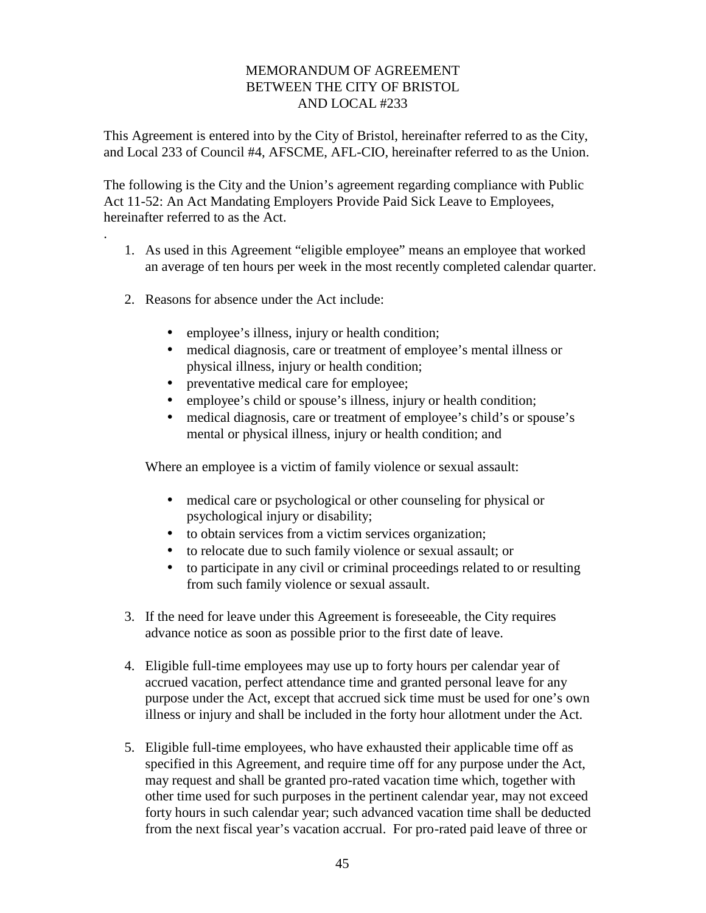## MEMORANDUM OF AGREEMENT BETWEEN THE CITY OF BRISTOL AND LOCAL #233

This Agreement is entered into by the City of Bristol, hereinafter referred to as the City, and Local 233 of Council #4, AFSCME, AFL-CIO, hereinafter referred to as the Union.

The following is the City and the Union's agreement regarding compliance with Public Act 11-52: An Act Mandating Employers Provide Paid Sick Leave to Employees, hereinafter referred to as the Act.

- 1. As used in this Agreement "eligible employee" means an employee that worked an average of ten hours per week in the most recently completed calendar quarter.
- 2. Reasons for absence under the Act include:

.

- employee's illness, injury or health condition;
- medical diagnosis, care or treatment of employee's mental illness or physical illness, injury or health condition;
- preventative medical care for employee;
- employee's child or spouse's illness, injury or health condition;
- medical diagnosis, care or treatment of employee's child's or spouse's mental or physical illness, injury or health condition; and

Where an employee is a victim of family violence or sexual assault:

- medical care or psychological or other counseling for physical or psychological injury or disability;
- to obtain services from a victim services organization;
- $\int$  to relocate due to such family violence or sexual assault; or
- to participate in any civil or criminal proceedings related to or resulting from such family violence or sexual assault.
- 3. If the need for leave under this Agreement is foreseeable, the City requires advance notice as soon as possible prior to the first date of leave.
- 4. Eligible full-time employees may use up to forty hours per calendar year of accrued vacation, perfect attendance time and granted personal leave for any purpose under the Act, except that accrued sick time must be used for one's own illness or injury and shall be included in the forty hour allotment under the Act.
- 5. Eligible full-time employees, who have exhausted their applicable time off as specified in this Agreement, and require time off for any purpose under the Act, may request and shall be granted pro-rated vacation time which, together with other time used for such purposes in the pertinent calendar year, may not exceed forty hours in such calendar year; such advanced vacation time shall be deducted from the next fiscal year's vacation accrual. For pro-rated paid leave of three or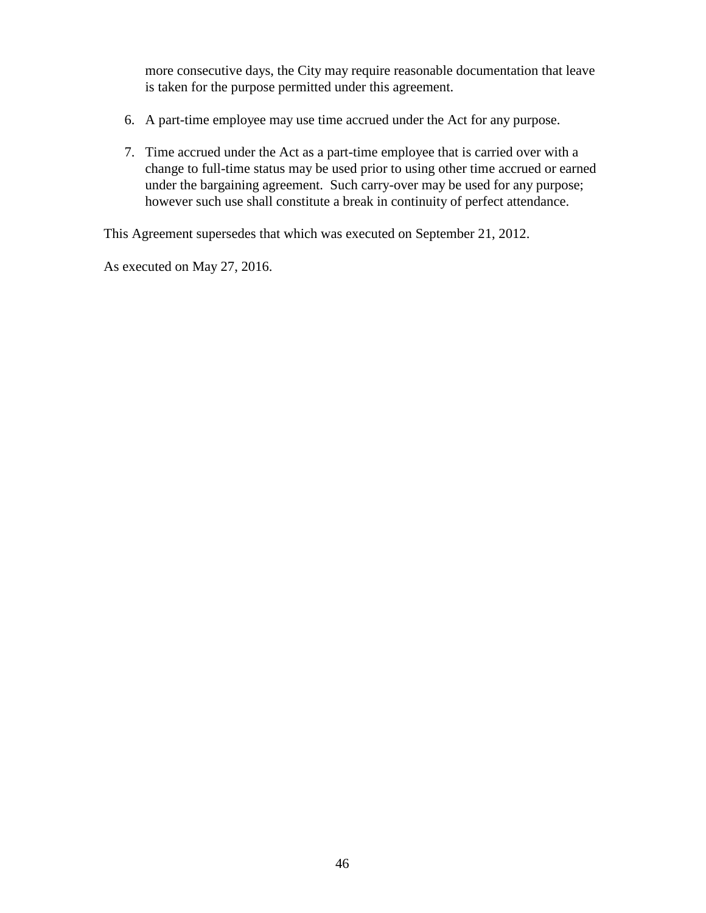more consecutive days, the City may require reasonable documentation that leave is taken for the purpose permitted under this agreement.

- 6. A part-time employee may use time accrued under the Act for any purpose.
- 7. Time accrued under the Act as a part-time employee that is carried over with a change to full-time status may be used prior to using other time accrued or earned under the bargaining agreement. Such carry-over may be used for any purpose; however such use shall constitute a break in continuity of perfect attendance.

This Agreement supersedes that which was executed on September 21, 2012.

As executed on May 27, 2016.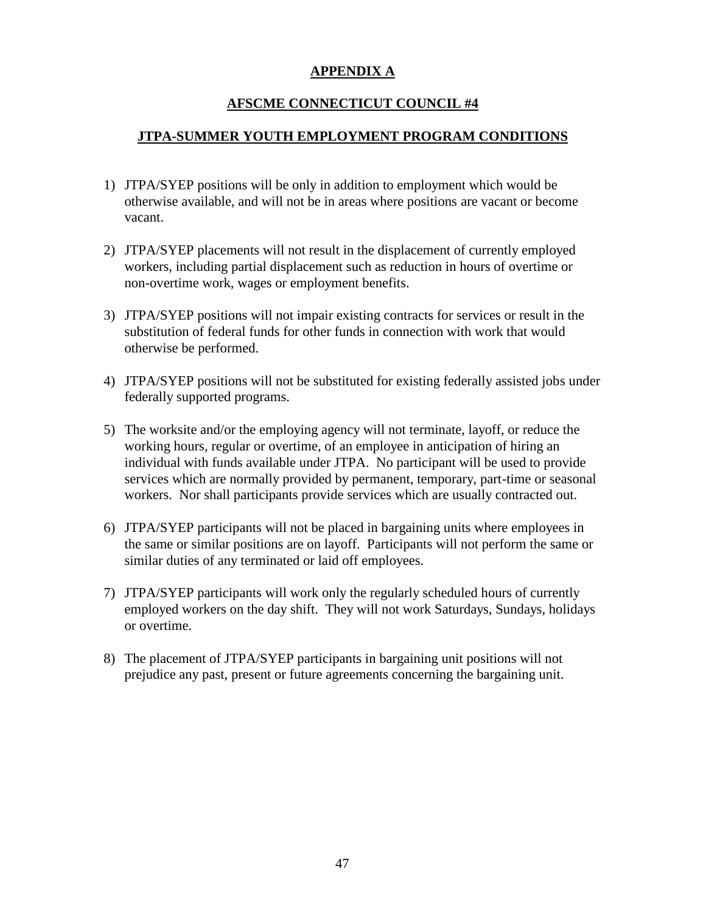# **APPENDIX A**

# **AFSCME CONNECTICUT COUNCIL #4**

## **JTPA-SUMMER YOUTH EMPLOYMENT PROGRAM CONDITIONS**

- 1) JTPA/SYEP positions will be only in addition to employment which would be otherwise available, and will not be in areas where positions are vacant or become vacant.
- 2) JTPA/SYEP placements will not result in the displacement of currently employed workers, including partial displacement such as reduction in hours of overtime or non-overtime work, wages or employment benefits.
- 3) JTPA/SYEP positions will not impair existing contracts for services or result in the substitution of federal funds for other funds in connection with work that would otherwise be performed.
- 4) JTPA/SYEP positions will not be substituted for existing federally assisted jobs under federally supported programs.
- 5) The worksite and/or the employing agency will not terminate, layoff, or reduce the working hours, regular or overtime, of an employee in anticipation of hiring an individual with funds available under JTPA. No participant will be used to provide services which are normally provided by permanent, temporary, part-time or seasonal workers. Nor shall participants provide services which are usually contracted out.
- 6) JTPA/SYEP participants will not be placed in bargaining units where employees in the same or similar positions are on layoff. Participants will not perform the same or similar duties of any terminated or laid off employees.
- 7) JTPA/SYEP participants will work only the regularly scheduled hours of currently employed workers on the day shift. They will not work Saturdays, Sundays, holidays or overtime.
- 8) The placement of JTPA/SYEP participants in bargaining unit positions will not prejudice any past, present or future agreements concerning the bargaining unit.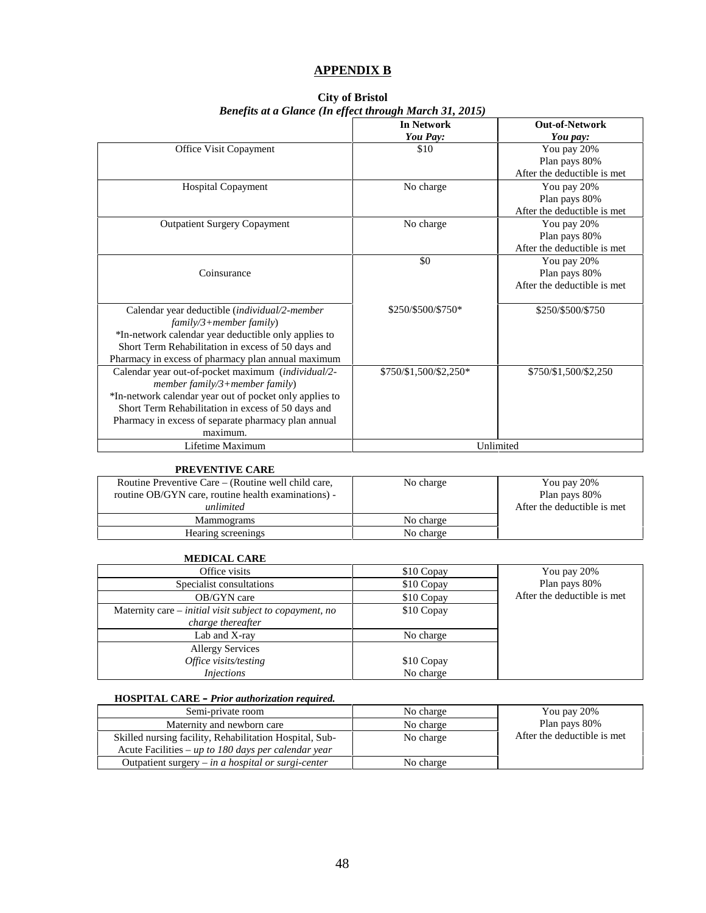#### **APPENDIX B**

| <b>City of Bristol</b>                                  |
|---------------------------------------------------------|
| Benefits at a Glance (In effect through March 31, 2015) |

|                                                         | <b>In Network</b>      | <b>Out-of-Network</b>        |
|---------------------------------------------------------|------------------------|------------------------------|
|                                                         | You Pay:               | You pay:                     |
| Office Visit Copayment                                  | \$10                   | You pay 20%                  |
|                                                         |                        | Plan pays 80%                |
|                                                         |                        | After the deductible is met  |
| <b>Hospital Copayment</b>                               | No charge              | You pay 20%                  |
|                                                         |                        | Plan pays 80%                |
|                                                         |                        | After the deductible is met  |
| <b>Outpatient Surgery Copayment</b>                     | No charge              | You pay 20%                  |
|                                                         |                        | Plan pays 80%                |
|                                                         |                        | After the deductible is met. |
|                                                         | \$0                    | You pay 20%                  |
| Coinsurance                                             |                        | Plan pays 80%                |
|                                                         |                        | After the deductible is met  |
| Calendar year deductible (individual/2-member           | \$250/\$500/\$750*     | \$250/\$500/\$750            |
| $family/3 + member family)$                             |                        |                              |
| *In-network calendar year deductible only applies to    |                        |                              |
| Short Term Rehabilitation in excess of 50 days and      |                        |                              |
| Pharmacy in excess of pharmacy plan annual maximum      |                        |                              |
| Calendar year out-of-pocket maximum (individual/2-      | \$750/\$1,500/\$2,250* | \$750/\$1,500/\$2,250        |
| member family/3+member family)                          |                        |                              |
| *In-network calendar year out of pocket only applies to |                        |                              |
| Short Term Rehabilitation in excess of 50 days and      |                        |                              |
| Pharmacy in excess of separate pharmacy plan annual     |                        |                              |
| maximum.                                                |                        |                              |
| Lifetime Maximum                                        | Unlimited              |                              |

#### **PREVENTIVE CARE**

| Routine Preventive Care – (Routine well child care,<br>routine OB/GYN care, routine health examinations) -<br>unlimited | No charge | You pay 20%<br>Plan pays 80%<br>After the deductible is met. |
|-------------------------------------------------------------------------------------------------------------------------|-----------|--------------------------------------------------------------|
| Mammograms                                                                                                              | No charge |                                                              |
| Hearing screenings                                                                                                      | No charge |                                                              |

#### **MEDICAL CARE**

| Office visits                                                                       | \$10 Copay | You pay 20%                 |
|-------------------------------------------------------------------------------------|------------|-----------------------------|
| Specialist consultations                                                            | \$10 Copay | Plan pays 80%               |
| OB/GYN care                                                                         | \$10 Copay | After the deductible is met |
| Maternity care – <i>initial visit subject to copayment, no</i><br>charge thereafter | \$10 Copay |                             |
| Lab and X-ray                                                                       | No charge  |                             |
| <b>Allergy Services</b>                                                             |            |                             |
| Office visits/testing                                                               | \$10 Copay |                             |
| <i>Injections</i>                                                                   | No charge  |                             |

#### **HOSPITAL CARE –** *Prior authorization required.*

| Semi-private room                                       | No charge | You pay 20%                  |
|---------------------------------------------------------|-----------|------------------------------|
| Maternity and newborn care                              | No charge | Plan pays 80%                |
| Skilled nursing facility, Rehabilitation Hospital, Sub- | No charge | After the deductible is met. |
| Acute Facilities – up to 180 days per calendar year     |           |                              |
| Outpatient surgery $-$ in a hospital or surgi-center    | No charge |                              |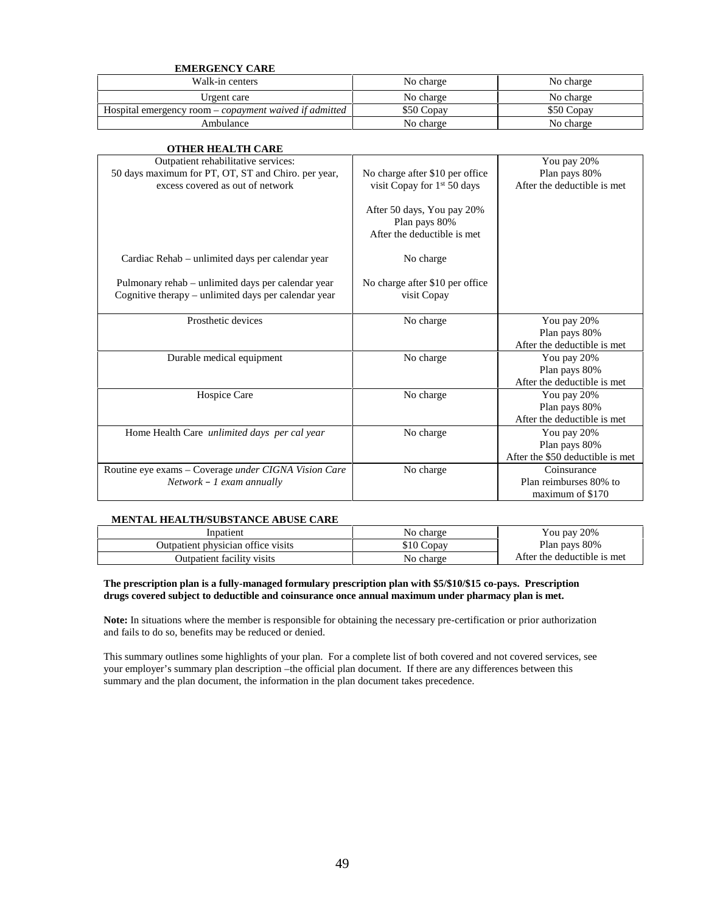#### **EMERGENCY CARE**

| Walk-in centers                                               | No charge  | No charge  |
|---------------------------------------------------------------|------------|------------|
| Urgent care                                                   | No charge  | No charge  |
| Hospital emergency room – <i>copayment</i> waived if admitted | \$50 Copay | \$50 Copay |
| Ambulance                                                     | No charge  | No charge  |

| <b>OTHER HEALTH CARE</b>                                                                                                       |                                                                            |                                                                  |
|--------------------------------------------------------------------------------------------------------------------------------|----------------------------------------------------------------------------|------------------------------------------------------------------|
| Outpatient rehabilitative services:<br>50 days maximum for PT, OT, ST and Chiro. per year,<br>excess covered as out of network | No charge after \$10 per office<br>visit Copay for 1 <sup>st</sup> 50 days | You pay 20%<br>Plan pays 80%<br>After the deductible is met      |
|                                                                                                                                | After 50 days, You pay 20%<br>Plan pays 80%<br>After the deductible is met |                                                                  |
| Cardiac Rehab – unlimited days per calendar year                                                                               | No charge                                                                  |                                                                  |
| Pulmonary rehab - unlimited days per calendar year<br>Cognitive therapy – unlimited days per calendar year                     | No charge after \$10 per office<br>visit Copay                             |                                                                  |
| Prosthetic devices                                                                                                             | No charge                                                                  | You pay 20%<br>Plan pays 80%<br>After the deductible is met      |
| Durable medical equipment                                                                                                      | No charge                                                                  | You pay 20%<br>Plan pays 80%<br>After the deductible is met.     |
| Hospice Care                                                                                                                   | No charge                                                                  | You pay 20%<br>Plan pays 80%<br>After the deductible is met      |
| Home Health Care <i>unlimited days per cal year</i>                                                                            | No charge                                                                  | You pay 20%<br>Plan pays 80%<br>After the \$50 deductible is met |
| Routine eye exams - Coverage under CIGNA Vision Care<br>$Network - 1$ exam annually                                            | No charge                                                                  | Coinsurance<br>Plan reimburses 80% to<br>maximum of \$170        |

#### **MENTAL HEALTH/SUBSTANCE ABUSE CARE**

| Innatient                          | No charge | You pay 20%                 |
|------------------------------------|-----------|-----------------------------|
| Outpatient physician office visits | 10 Copav  | Plan pays 80%               |
| Outpatient facility visits         | No charge | After the deductible is met |

#### **The prescription plan is a fully-managed formulary prescription plan with \$5/\$10/\$15 co-pays. Prescription drugs covered subject to deductible and coinsurance once annual maximum under pharmacy plan is met.**

**Note:** In situations where the member is responsible for obtaining the necessary pre-certification or prior authorization and fails to do so, benefits may be reduced or denied.

This summary outlines some highlights of your plan. For a complete list of both covered and not covered services, see your employer's summary plan description –the official plan document. If there are any differences between this summary and the plan document, the information in the plan document takes precedence.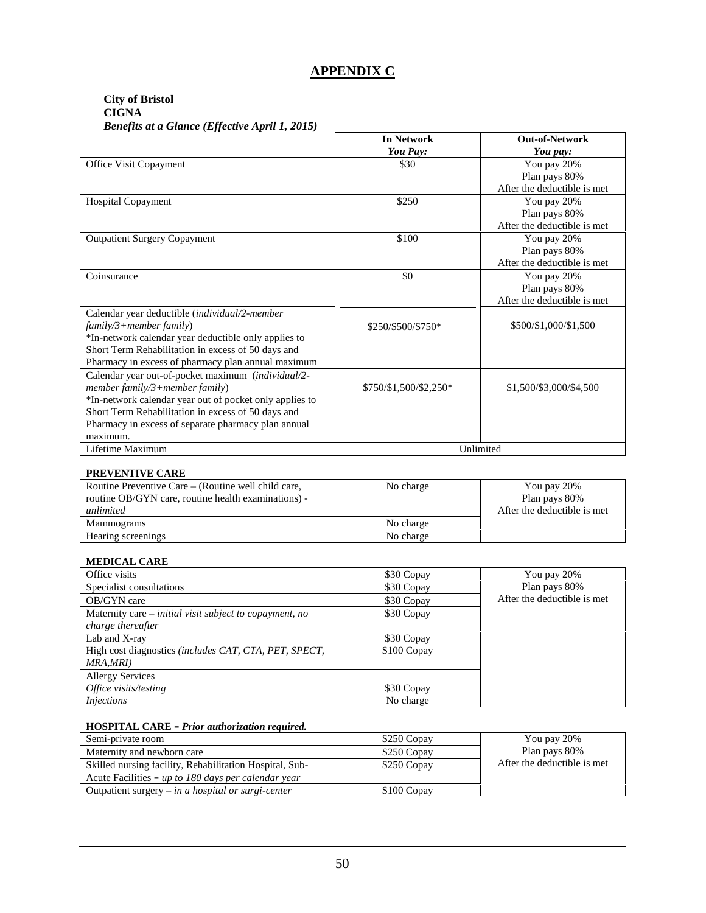## **APPENDIX C**

#### **City of Bristol CIGNA** *Benefits at a Glance (Effective April 1, 2015)*

|                                                                                                                                                                                                                                                                          | <b>In Network</b><br>You Pay: | <b>Out-of-Network</b><br>You pay:                           |
|--------------------------------------------------------------------------------------------------------------------------------------------------------------------------------------------------------------------------------------------------------------------------|-------------------------------|-------------------------------------------------------------|
| Office Visit Copayment                                                                                                                                                                                                                                                   | \$30                          | You pay 20%<br>Plan pays 80%<br>After the deductible is met |
| <b>Hospital Copayment</b>                                                                                                                                                                                                                                                | \$250                         | You pay 20%<br>Plan pays 80%<br>After the deductible is met |
| <b>Outpatient Surgery Copayment</b>                                                                                                                                                                                                                                      | \$100                         | You pay 20%<br>Plan pays 80%<br>After the deductible is met |
| Coinsurance                                                                                                                                                                                                                                                              | \$0                           | You pay 20%<br>Plan pays 80%<br>After the deductible is met |
| Calendar year deductible (individual/2-member<br>$family/3 + member family)$<br>*In-network calendar year deductible only applies to<br>Short Term Rehabilitation in excess of 50 days and<br>Pharmacy in excess of pharmacy plan annual maximum                         | \$250/\$500/\$750*            | \$500/\$1,000/\$1,500                                       |
| Calendar year out-of-pocket maximum (individual/2-<br>member family/3+member family)<br>*In-network calendar year out of pocket only applies to<br>Short Term Rehabilitation in excess of 50 days and<br>Pharmacy in excess of separate pharmacy plan annual<br>maximum. | \$750/\$1,500/\$2,250*        | \$1,500/\$3,000/\$4,500                                     |
| Lifetime Maximum                                                                                                                                                                                                                                                         | Unlimited                     |                                                             |

#### **PREVENTIVE CARE**

| Routine Preventive Care – (Routine well child care,<br>routine OB/GYN care, routine health examinations) -<br>unlimited | No charge | You pay 20%<br>Plan pays 80%<br>After the deductible is met |
|-------------------------------------------------------------------------------------------------------------------------|-----------|-------------------------------------------------------------|
| <b>Mammograms</b>                                                                                                       | No charge |                                                             |
| Hearing screenings                                                                                                      | No charge |                                                             |

#### **MEDICAL CARE**

| Office visits                                                | \$30 Copay  | You pay 20%                  |
|--------------------------------------------------------------|-------------|------------------------------|
| Specialist consultations                                     | \$30 Copay  | Plan pays 80%                |
| OB/GYN care                                                  | \$30 Copay  | After the deductible is met. |
| Maternity care $-$ initial visit subject to copayment, no    | \$30 Copay  |                              |
| charge thereafter                                            |             |                              |
| Lab and X-ray                                                | \$30 Copay  |                              |
| High cost diagnostics <i>(includes CAT, CTA, PET, SPECT,</i> | \$100 Copay |                              |
| MRA,MRI)                                                     |             |                              |
| <b>Allergy Services</b>                                      |             |                              |
| Office visits/testing                                        | \$30 Copay  |                              |
| <i>Injections</i>                                            | No charge   |                              |

#### **HOSPITAL CARE –** *Prior authorization required.*

| Semi-private room                                       | \$250 Copay | You pay 20%                  |
|---------------------------------------------------------|-------------|------------------------------|
| Maternity and newborn care                              | \$250 Copay | Plan pays 80%                |
| Skilled nursing facility, Rehabilitation Hospital, Sub- | \$250 Copay | After the deductible is met. |
| Acute Facilities – up to 180 days per calendar year     |             |                              |
| Outpatient surgery $-$ in a hospital or surgi-center    | \$100 Copay |                              |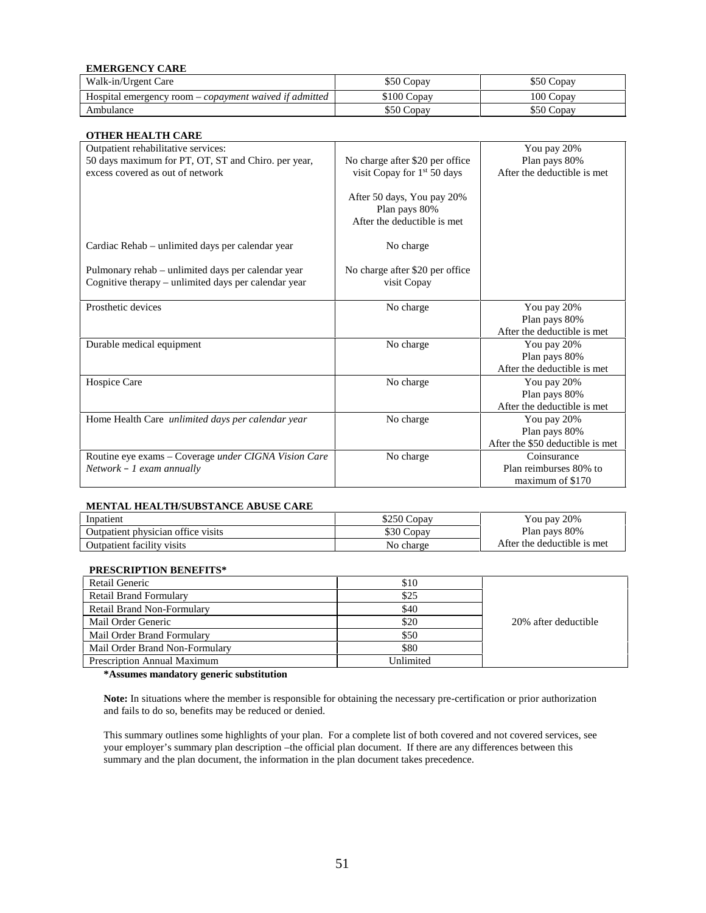#### **EMERGENCY CARE**

| Walk-in/Urgent Care                                           | \$50 Copay  | \$50 Copay |
|---------------------------------------------------------------|-------------|------------|
| Hospital emergency room – <i>copayment waived if admitted</i> | \$100 Copay | 100 Copav  |
| Ambulance                                                     | \$50 Copay  | \$50 Copav |

#### **OTHER HEALTH CARE**

| отнек педен саке<br>Outpatient rehabilitative services:                                                    |                                                                            | You pay 20%                                                 |
|------------------------------------------------------------------------------------------------------------|----------------------------------------------------------------------------|-------------------------------------------------------------|
| 50 days maximum for PT, OT, ST and Chiro. per year,                                                        | No charge after \$20 per office                                            | Plan pays 80%                                               |
| excess covered as out of network                                                                           | visit Copay for $1st 50$ days                                              | After the deductible is met                                 |
|                                                                                                            | After 50 days, You pay 20%<br>Plan pays 80%<br>After the deductible is met |                                                             |
| Cardiac Rehab – unlimited days per calendar year                                                           | No charge                                                                  |                                                             |
| Pulmonary rehab – unlimited days per calendar year<br>Cognitive therapy – unlimited days per calendar year | No charge after \$20 per office<br>visit Copay                             |                                                             |
| Prosthetic devices                                                                                         | No charge                                                                  | You pay 20%<br>Plan pays 80%<br>After the deductible is met |
|                                                                                                            | No charge                                                                  |                                                             |
| Durable medical equipment                                                                                  |                                                                            | You pay 20%<br>Plan pays 80%                                |
|                                                                                                            |                                                                            | After the deductible is met                                 |
| Hospice Care                                                                                               | No charge                                                                  | You pay 20%                                                 |
|                                                                                                            |                                                                            | Plan pays 80%                                               |
|                                                                                                            |                                                                            | After the deductible is met                                 |
| Home Health Care unlimited days per calendar year                                                          | No charge                                                                  | You pay 20%                                                 |
|                                                                                                            |                                                                            | Plan pays 80%                                               |
|                                                                                                            |                                                                            | After the \$50 deductible is met                            |
| Routine eye exams – Coverage under CIGNA Vision Care                                                       | No charge                                                                  | Coinsurance                                                 |
| $Network - 1$ exam annually                                                                                |                                                                            | Plan reimburses 80% to                                      |
|                                                                                                            |                                                                            | maximum of \$170                                            |

#### **MENTAL HEALTH/SUBSTANCE ABUSE CARE**

| Inpatient                          | \$250 Copay     | You pay 20%                  |  |
|------------------------------------|-----------------|------------------------------|--|
| Outpatient physician office visits | \$30 C<br>Copav | Plan pays 80%                |  |
| Outpatient facility visits         | No charge       | After the deductible is met. |  |

#### **PRESCRIPTION BENEFITS\***

| Retail Generic                     | \$10      |                      |
|------------------------------------|-----------|----------------------|
| <b>Retail Brand Formulary</b>      | \$25      |                      |
| <b>Retail Brand Non-Formulary</b>  | \$40      |                      |
| Mail Order Generic                 | \$20      | 20% after deductible |
| Mail Order Brand Formulary         | \$50      |                      |
| Mail Order Brand Non-Formulary     | \$80      |                      |
| <b>Prescription Annual Maximum</b> | Unlimited |                      |

**\*Assumes mandatory generic substitution**

**Note:** In situations where the member is responsible for obtaining the necessary pre-certification or prior authorization and fails to do so, benefits may be reduced or denied.

This summary outlines some highlights of your plan. For a complete list of both covered and not covered services, see your employer's summary plan description –the official plan document. If there are any differences between this summary and the plan document, the information in the plan document takes precedence.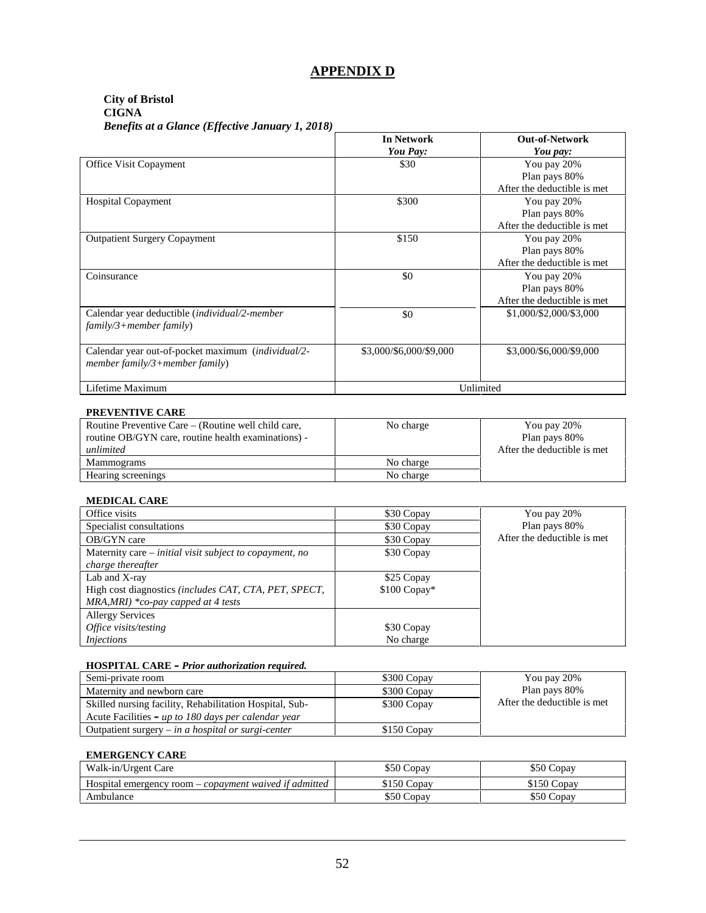## **APPENDIX D**

#### **City of Bristol CIGNA** *Benefits at a Glance (Effective January 1, 2018)*

| $\cdots$ $\cdots$ $\cdots$ $\cdots$ $\cdots$                                         | <b>In Network</b><br>You Pay: | <b>Out-of-Network</b><br>You pay:                           |
|--------------------------------------------------------------------------------------|-------------------------------|-------------------------------------------------------------|
| Office Visit Copayment                                                               | \$30                          | You pay 20%<br>Plan pays 80%<br>After the deductible is met |
| Hospital Copayment                                                                   | \$300                         | You pay 20%<br>Plan pays 80%<br>After the deductible is met |
| <b>Outpatient Surgery Copayment</b>                                                  | \$150                         | You pay 20%<br>Plan pays 80%<br>After the deductible is met |
| Coinsurance                                                                          | \$0                           | You pay 20%<br>Plan pays 80%<br>After the deductible is met |
| Calendar year deductible (individual/2-member<br>$family/3 + member family)$         | \$0                           | \$1,000/\$2,000/\$3,000                                     |
| Calendar year out-of-pocket maximum (individual/2-<br>member family/3+member family) | \$3,000/\$6,000/\$9,000       | \$3,000/\$6,000/\$9,000                                     |
| Lifetime Maximum                                                                     |                               | Unlimited                                                   |

#### **PREVENTIVE CARE**

| Routine Preventive Care – (Routine well child care, | No charge | You pay 20%                  |
|-----------------------------------------------------|-----------|------------------------------|
| routine OB/GYN care, routine health examinations) - |           | Plan pays 80%                |
| unlimited                                           |           | After the deductible is met. |
| Mammograms                                          | No charge |                              |
| Hearing screenings                                  | No charge |                              |

#### **MEDICAL CARE**

| Office visits                                                | \$30 Copay    | You pay 20%                  |
|--------------------------------------------------------------|---------------|------------------------------|
| Specialist consultations                                     | \$30 Copay    | Plan pays 80%                |
| OB/GYN care                                                  | \$30 Copay    | After the deductible is met. |
| Maternity care – initial visit subject to copayment, no      | \$30 Copay    |                              |
| charge thereafter                                            |               |                              |
| Lab and X-ray                                                | \$25 Copay    |                              |
| High cost diagnostics <i>(includes CAT, CTA, PET, SPECT,</i> | $$100$ Copay* |                              |
| $MRA, MRI$ *co-pay capped at 4 tests                         |               |                              |
| <b>Allergy Services</b>                                      |               |                              |
| Office visits/testing                                        | \$30 Copay    |                              |
| <i>Injections</i>                                            | No charge     |                              |

#### **HOSPITAL CARE –** *Prior authorization required.*

| Semi-private room                                       | \$300 Copay | You pay 20%                  |
|---------------------------------------------------------|-------------|------------------------------|
| Maternity and newborn care                              | \$300 Copay | Plan pays 80%                |
| Skilled nursing facility, Rehabilitation Hospital, Sub- | \$300 Copay | After the deductible is met. |
| Acute Facilities – up to 180 days per calendar year     |             |                              |
| Outpatient surgery $-$ in a hospital or surgi-center    | \$150 Copay |                              |

#### **EMERGENCY CARE**

| Walk-in/Urgent Care                                           | \$50 Copay  | \$50 Copay  |
|---------------------------------------------------------------|-------------|-------------|
| Hospital emergency room – <i>copayment waived if admitted</i> | \$150 Copay | \$150 Copay |
| Ambulance                                                     | \$50 Copay  | \$50 Copav  |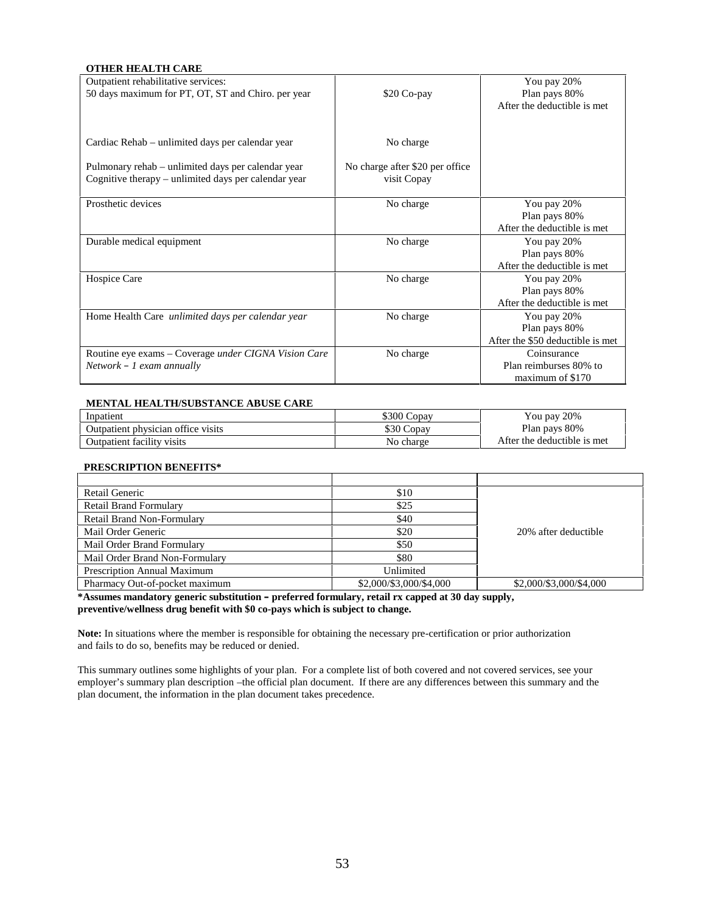#### **OTHER HEALTH CARE**

| Outpatient rehabilitative services:                    |                                 | You pay 20%                      |
|--------------------------------------------------------|---------------------------------|----------------------------------|
| 50 days maximum for PT, OT, ST and Chiro. per year     | \$20 Co-pay                     | Plan pays 80%                    |
|                                                        |                                 | After the deductible is met      |
|                                                        |                                 |                                  |
| Cardiac Rehab – unlimited days per calendar year       | No charge                       |                                  |
|                                                        |                                 |                                  |
| Pulmonary rehab – unlimited days per calendar year     | No charge after \$20 per office |                                  |
| Cognitive therapy $-$ unlimited days per calendar year | visit Copay                     |                                  |
| Prosthetic devices                                     | No charge                       | You pay 20%                      |
|                                                        |                                 | Plan pays 80%                    |
|                                                        |                                 | After the deductible is met      |
| Durable medical equipment                              | No charge                       | You pay 20%                      |
|                                                        |                                 | Plan pays 80%                    |
|                                                        |                                 | After the deductible is met      |
| Hospice Care                                           | No charge                       | You pay 20%                      |
|                                                        |                                 | Plan pays 80%                    |
|                                                        |                                 | After the deductible is met      |
| Home Health Care unlimited days per calendar year      | No charge                       | You pay 20%                      |
|                                                        |                                 | Plan pays 80%                    |
|                                                        |                                 | After the \$50 deductible is met |
| Routine eye exams - Coverage under CIGNA Vision Care   | No charge                       | Coinsurance                      |
| $Network - 1$ exam annually                            |                                 | Plan reimburses 80% to           |
|                                                        |                                 | maximum of \$170                 |

#### **MENTAL HEALTH/SUBSTANCE ABUSE CARE**

| Inpatient                          | \$300 Copay | You pay 20%                  |
|------------------------------------|-------------|------------------------------|
| Outpatient physician office visits | \$30 Copay  | Plan pays 80%                |
| Outpatient facility visits         | No charge   | After the deductible is met. |

#### **PRESCRIPTION BENEFITS\***

| Retail Generic                 | \$10                    |                         |
|--------------------------------|-------------------------|-------------------------|
| <b>Retail Brand Formulary</b>  | \$25                    |                         |
| Retail Brand Non-Formulary     | \$40                    |                         |
| Mail Order Generic             | \$20                    | 20% after deductible    |
| Mail Order Brand Formulary     | \$50                    |                         |
| Mail Order Brand Non-Formulary | \$80                    |                         |
| Prescription Annual Maximum    | Unlimited               |                         |
| Pharmacy Out-of-pocket maximum | \$2,000/\$3,000/\$4,000 | \$2,000/\$3,000/\$4,000 |

**\*Assumes mandatory generic substitution – preferred formulary, retail rx capped at 30 day supply, preventive/wellness drug benefit with \$0 co-pays which is subject to change.**

**Note:** In situations where the member is responsible for obtaining the necessary pre-certification or prior authorization and fails to do so, benefits may be reduced or denied.

This summary outlines some highlights of your plan. For a complete list of both covered and not covered services, see your employer's summary plan description –the official plan document. If there are any differences between this summary and the plan document, the information in the plan document takes precedence.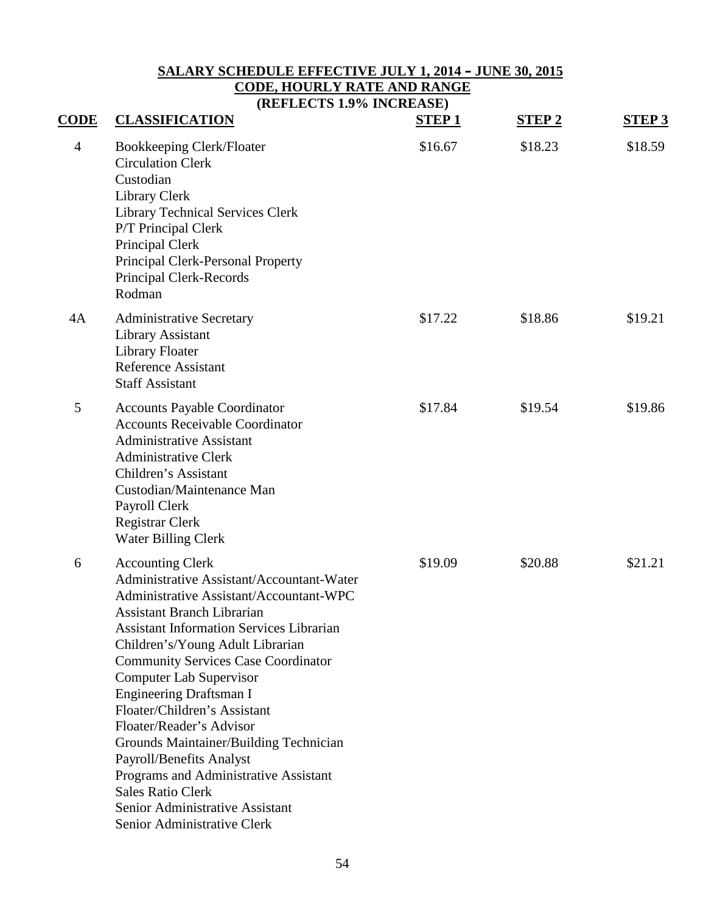# **SALARY SCHEDULE EFFECTIVE JULY 1, 2014 – JUNE 30, 2015 CODE, HOURLY RATE AND RANGE**

**(REFLECTS 1.9% INCREASE)**

| <b>CODE</b>    | <b>CLASSIFICATION</b>                                                                                                                                                                                                                                                                                                                                                                                                                                                                                                                                                                                                                  | <b>STEP1</b> | <b>STEP 2</b> | <b>STEP 3</b> |
|----------------|----------------------------------------------------------------------------------------------------------------------------------------------------------------------------------------------------------------------------------------------------------------------------------------------------------------------------------------------------------------------------------------------------------------------------------------------------------------------------------------------------------------------------------------------------------------------------------------------------------------------------------------|--------------|---------------|---------------|
| $\overline{4}$ | <b>Bookkeeping Clerk/Floater</b><br><b>Circulation Clerk</b><br>Custodian<br>Library Clerk<br><b>Library Technical Services Clerk</b><br>P/T Principal Clerk<br>Principal Clerk<br>Principal Clerk-Personal Property<br>Principal Clerk-Records<br>Rodman                                                                                                                                                                                                                                                                                                                                                                              | \$16.67      | \$18.23       | \$18.59       |
| 4A             | <b>Administrative Secretary</b><br><b>Library Assistant</b><br><b>Library Floater</b><br><b>Reference Assistant</b><br><b>Staff Assistant</b>                                                                                                                                                                                                                                                                                                                                                                                                                                                                                          | \$17.22      | \$18.86       | \$19.21       |
| 5              | <b>Accounts Payable Coordinator</b><br><b>Accounts Receivable Coordinator</b><br><b>Administrative Assistant</b><br><b>Administrative Clerk</b><br>Children's Assistant<br>Custodian/Maintenance Man<br>Payroll Clerk<br>Registrar Clerk<br><b>Water Billing Clerk</b>                                                                                                                                                                                                                                                                                                                                                                 | \$17.84      | \$19.54       | \$19.86       |
| 6              | <b>Accounting Clerk</b><br>Administrative Assistant/Accountant-Water<br>Administrative Assistant/Accountant-WPC<br><b>Assistant Branch Librarian</b><br><b>Assistant Information Services Librarian</b><br>Children's/Young Adult Librarian<br><b>Community Services Case Coordinator</b><br><b>Computer Lab Supervisor</b><br><b>Engineering Draftsman I</b><br>Floater/Children's Assistant<br>Floater/Reader's Advisor<br>Grounds Maintainer/Building Technician<br>Payroll/Benefits Analyst<br>Programs and Administrative Assistant<br><b>Sales Ratio Clerk</b><br>Senior Administrative Assistant<br>Senior Administrative Clerk | \$19.09      | \$20.88       | \$21.21       |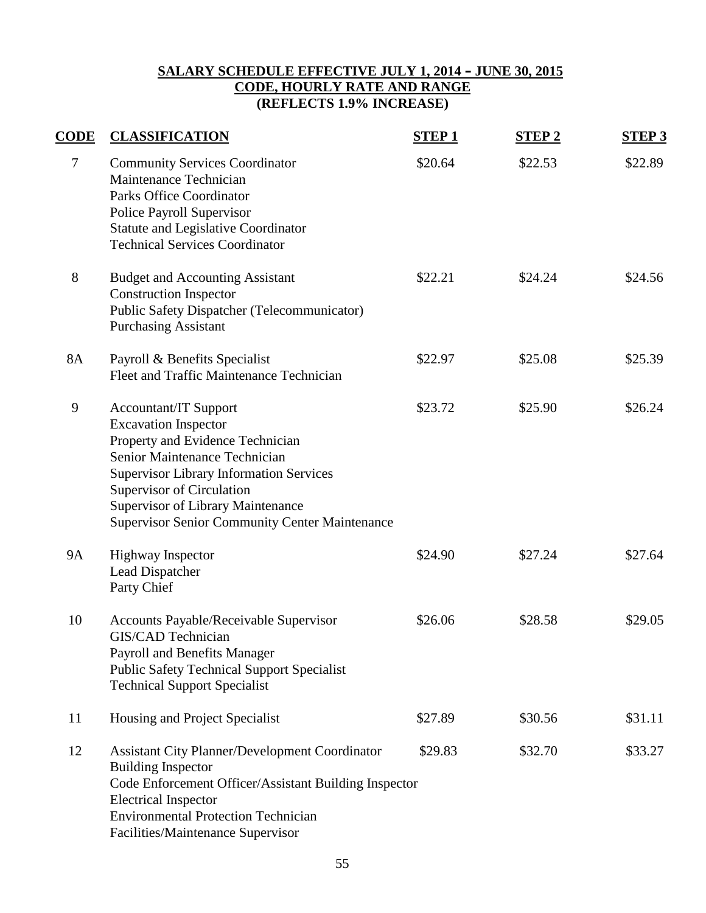## **SALARY SCHEDULE EFFECTIVE JULY 1, 2014 – JUNE 30, 2015 CODE, HOURLY RATE AND RANGE (REFLECTS 1.9% INCREASE)**

| <b>CODE</b> | <b>CLASSIFICATION</b>                                                                                                                                                                                                                                                                                                | <b>STEP1</b> | <b>STEP2</b> | <b>STEP 3</b> |
|-------------|----------------------------------------------------------------------------------------------------------------------------------------------------------------------------------------------------------------------------------------------------------------------------------------------------------------------|--------------|--------------|---------------|
| $\tau$      | <b>Community Services Coordinator</b><br>Maintenance Technician<br><b>Parks Office Coordinator</b><br>Police Payroll Supervisor<br><b>Statute and Legislative Coordinator</b><br><b>Technical Services Coordinator</b>                                                                                               | \$20.64      | \$22.53      | \$22.89       |
| $8\,$       | <b>Budget and Accounting Assistant</b><br><b>Construction Inspector</b><br>Public Safety Dispatcher (Telecommunicator)<br><b>Purchasing Assistant</b>                                                                                                                                                                | \$22.21      | \$24.24      | \$24.56       |
| <b>8A</b>   | Payroll & Benefits Specialist<br>Fleet and Traffic Maintenance Technician                                                                                                                                                                                                                                            | \$22.97      | \$25.08      | \$25.39       |
| 9           | <b>Accountant/IT Support</b><br><b>Excavation Inspector</b><br>Property and Evidence Technician<br>Senior Maintenance Technician<br><b>Supervisor Library Information Services</b><br>Supervisor of Circulation<br><b>Supervisor of Library Maintenance</b><br><b>Supervisor Senior Community Center Maintenance</b> | \$23.72      | \$25.90      | \$26.24       |
| <b>9A</b>   | <b>Highway Inspector</b><br>Lead Dispatcher<br>Party Chief                                                                                                                                                                                                                                                           | \$24.90      | \$27.24      | \$27.64       |
| 10          | Accounts Payable/Receivable Supervisor<br>GIS/CAD Technician<br>Payroll and Benefits Manager<br><b>Public Safety Technical Support Specialist</b><br><b>Technical Support Specialist</b>                                                                                                                             | \$26.06      | \$28.58      | \$29.05       |
| 11          | Housing and Project Specialist                                                                                                                                                                                                                                                                                       | \$27.89      | \$30.56      | \$31.11       |
| 12          | <b>Assistant City Planner/Development Coordinator</b><br><b>Building Inspector</b><br>Code Enforcement Officer/Assistant Building Inspector<br><b>Electrical Inspector</b><br><b>Environmental Protection Technician</b><br>Facilities/Maintenance Supervisor                                                        | \$29.83      | \$32.70      | \$33.27       |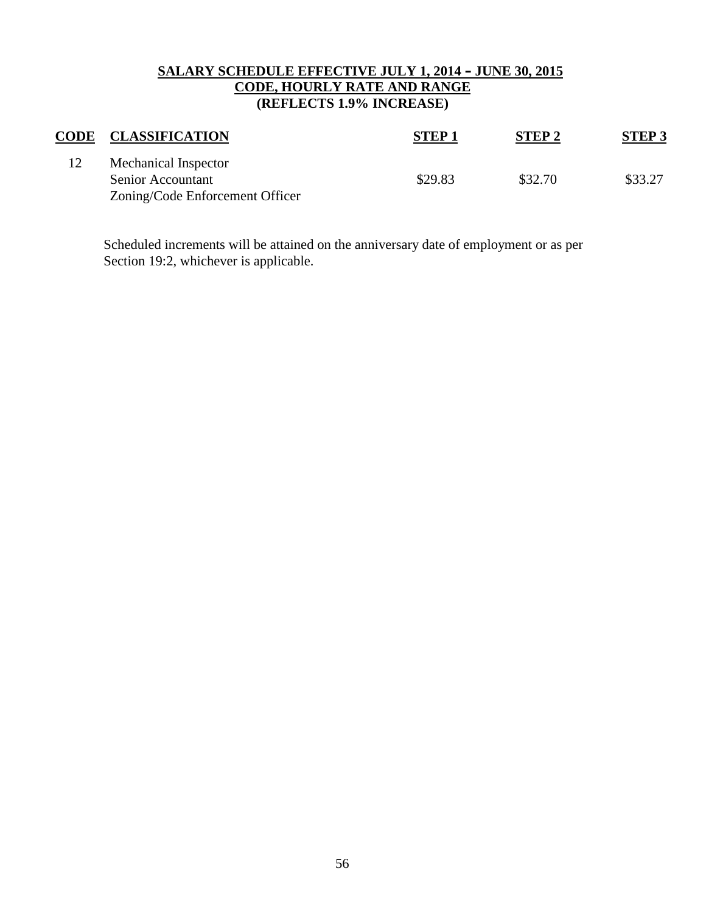# **SALARY SCHEDULE EFFECTIVE JULY 1, 2014 – JUNE 30, 2015 CODE, HOURLY RATE AND RANGE (REFLECTS 1.9% INCREASE)**

| <b>CODE</b> | <b>CLASSIFICATION</b>                                                        | <b>STEP1</b> | STEP <sub>2</sub> | <b>STEP 3</b> |
|-------------|------------------------------------------------------------------------------|--------------|-------------------|---------------|
|             | Mechanical Inspector<br>Senior Accountant<br>Zoning/Code Enforcement Officer | \$29.83      | \$32.70           | \$33.27       |

Scheduled increments will be attained on the anniversary date of employment or as per Section 19:2, whichever is applicable.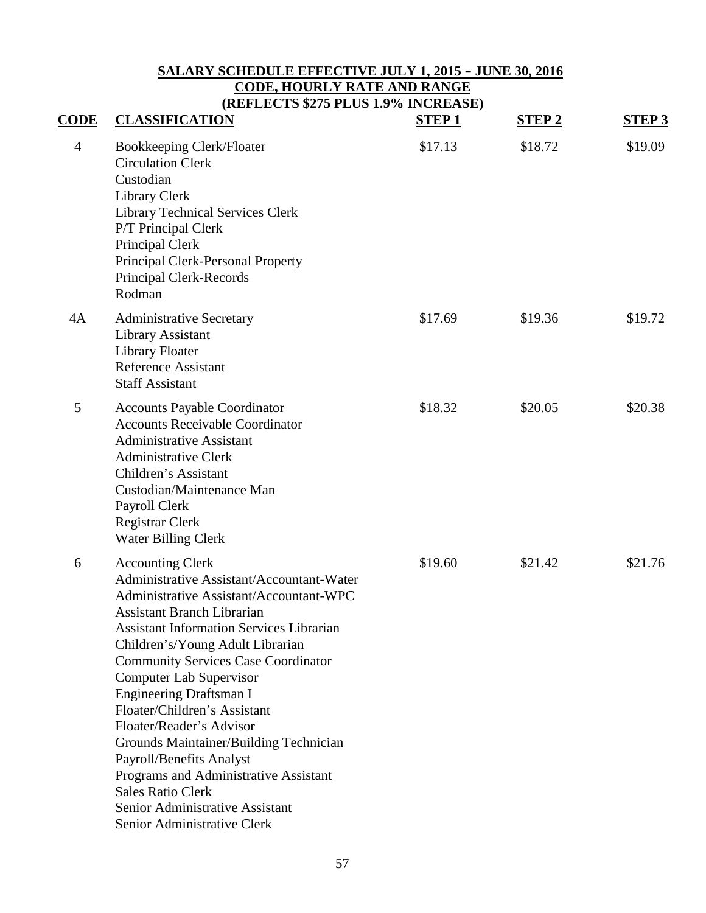#### **SALARY SCHEDULE EFFECTIVE JULY 1, 2015 – JUNE 30, 2016 CODE, HOURLY RATE AND RANGE (REFLECTS \$275 PLUS 1.9% INCREASE)**

| <b>CODE</b>    | <b>CLASSIFICATION</b>                                                                                                                                                                                                                                                                                                                                                                                                                                                                                                                                                                                                                  | <b>STEP1</b> | <b>STEP 2</b> | <b>STEP 3</b> |
|----------------|----------------------------------------------------------------------------------------------------------------------------------------------------------------------------------------------------------------------------------------------------------------------------------------------------------------------------------------------------------------------------------------------------------------------------------------------------------------------------------------------------------------------------------------------------------------------------------------------------------------------------------------|--------------|---------------|---------------|
| $\overline{4}$ | <b>Bookkeeping Clerk/Floater</b><br><b>Circulation Clerk</b><br>Custodian<br>Library Clerk<br><b>Library Technical Services Clerk</b><br>P/T Principal Clerk<br>Principal Clerk<br>Principal Clerk-Personal Property<br>Principal Clerk-Records<br>Rodman                                                                                                                                                                                                                                                                                                                                                                              | \$17.13      | \$18.72       | \$19.09       |
| 4A             | <b>Administrative Secretary</b><br><b>Library Assistant</b><br>Library Floater<br><b>Reference Assistant</b><br><b>Staff Assistant</b>                                                                                                                                                                                                                                                                                                                                                                                                                                                                                                 | \$17.69      | \$19.36       | \$19.72       |
| 5              | <b>Accounts Payable Coordinator</b><br><b>Accounts Receivable Coordinator</b><br><b>Administrative Assistant</b><br><b>Administrative Clerk</b><br>Children's Assistant<br>Custodian/Maintenance Man<br>Payroll Clerk<br>Registrar Clerk<br><b>Water Billing Clerk</b>                                                                                                                                                                                                                                                                                                                                                                 | \$18.32      | \$20.05       | \$20.38       |
| 6              | <b>Accounting Clerk</b><br>Administrative Assistant/Accountant-Water<br>Administrative Assistant/Accountant-WPC<br><b>Assistant Branch Librarian</b><br><b>Assistant Information Services Librarian</b><br>Children's/Young Adult Librarian<br><b>Community Services Case Coordinator</b><br><b>Computer Lab Supervisor</b><br><b>Engineering Draftsman I</b><br>Floater/Children's Assistant<br>Floater/Reader's Advisor<br>Grounds Maintainer/Building Technician<br>Payroll/Benefits Analyst<br>Programs and Administrative Assistant<br><b>Sales Ratio Clerk</b><br>Senior Administrative Assistant<br>Senior Administrative Clerk | \$19.60      | \$21.42       | \$21.76       |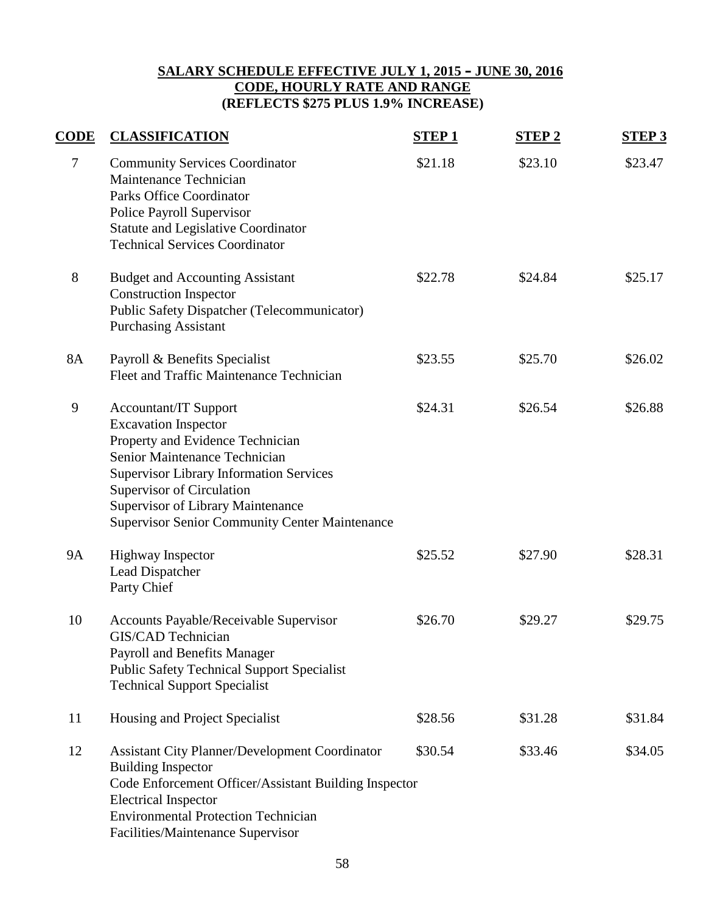# **SALARY SCHEDULE EFFECTIVE JULY 1, 2015 – JUNE 30, 2016 CODE, HOURLY RATE AND RANGE (REFLECTS \$275 PLUS 1.9% INCREASE)**

| <b>CODE</b> | <b>CLASSIFICATION</b>                                                                                                                                                                                                                                                                                                | <b>STEP1</b> | <b>STEP2</b> | <b>STEP 3</b> |
|-------------|----------------------------------------------------------------------------------------------------------------------------------------------------------------------------------------------------------------------------------------------------------------------------------------------------------------------|--------------|--------------|---------------|
| $\tau$      | <b>Community Services Coordinator</b><br>Maintenance Technician<br><b>Parks Office Coordinator</b><br>Police Payroll Supervisor<br><b>Statute and Legislative Coordinator</b><br><b>Technical Services Coordinator</b>                                                                                               | \$21.18      | \$23.10      | \$23.47       |
| 8           | <b>Budget and Accounting Assistant</b><br><b>Construction Inspector</b><br>Public Safety Dispatcher (Telecommunicator)<br><b>Purchasing Assistant</b>                                                                                                                                                                | \$22.78      | \$24.84      | \$25.17       |
| 8A          | Payroll & Benefits Specialist<br>Fleet and Traffic Maintenance Technician                                                                                                                                                                                                                                            | \$23.55      | \$25.70      | \$26.02       |
| 9           | <b>Accountant/IT Support</b><br><b>Excavation Inspector</b><br>Property and Evidence Technician<br>Senior Maintenance Technician<br><b>Supervisor Library Information Services</b><br>Supervisor of Circulation<br><b>Supervisor of Library Maintenance</b><br><b>Supervisor Senior Community Center Maintenance</b> | \$24.31      | \$26.54      | \$26.88       |
| <b>9A</b>   | <b>Highway Inspector</b><br>Lead Dispatcher<br>Party Chief                                                                                                                                                                                                                                                           | \$25.52      | \$27.90      | \$28.31       |
| 10          | Accounts Payable/Receivable Supervisor<br>GIS/CAD Technician<br>Payroll and Benefits Manager<br><b>Public Safety Technical Support Specialist</b><br><b>Technical Support Specialist</b>                                                                                                                             | \$26.70      | \$29.27      | \$29.75       |
| 11          | Housing and Project Specialist                                                                                                                                                                                                                                                                                       | \$28.56      | \$31.28      | \$31.84       |
| 12          | <b>Assistant City Planner/Development Coordinator</b><br><b>Building Inspector</b><br>Code Enforcement Officer/Assistant Building Inspector<br><b>Electrical Inspector</b><br><b>Environmental Protection Technician</b><br>Facilities/Maintenance Supervisor                                                        | \$30.54      | \$33.46      | \$34.05       |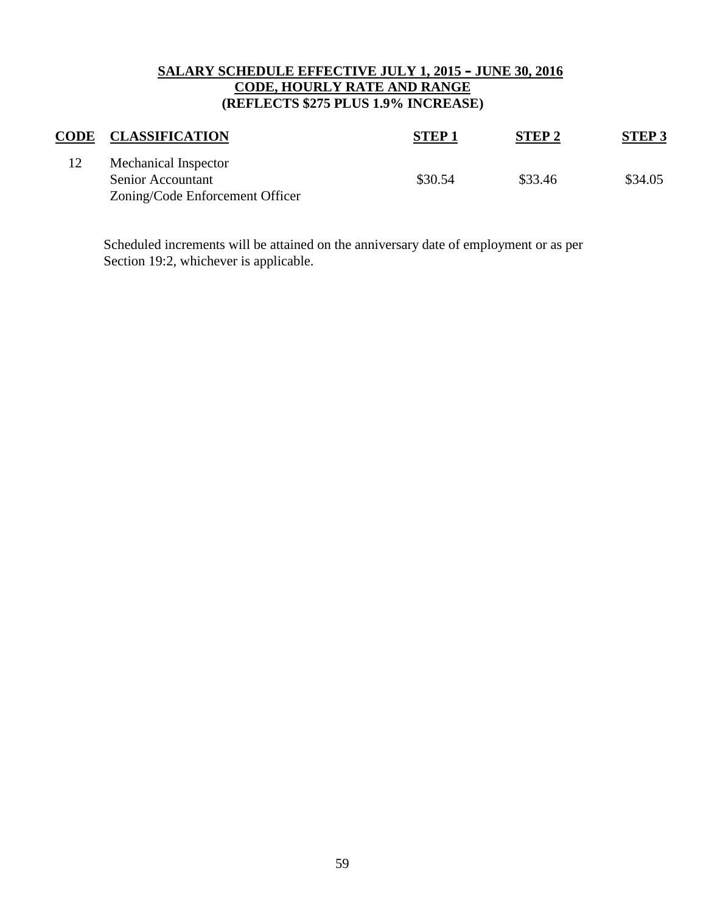## **SALARY SCHEDULE EFFECTIVE JULY 1, 2015 – JUNE 30, 2016 CODE, HOURLY RATE AND RANGE (REFLECTS \$275 PLUS 1.9% INCREASE)**

| <b>CODE</b> | <b>CLASSIFICATION</b>                                                        | <b>STEP1</b> | <b>STEP2</b> | STEP 3  |
|-------------|------------------------------------------------------------------------------|--------------|--------------|---------|
|             | Mechanical Inspector<br>Senior Accountant<br>Zoning/Code Enforcement Officer | \$30.54      | \$33.46      | \$34.05 |

Scheduled increments will be attained on the anniversary date of employment or as per Section 19:2, whichever is applicable.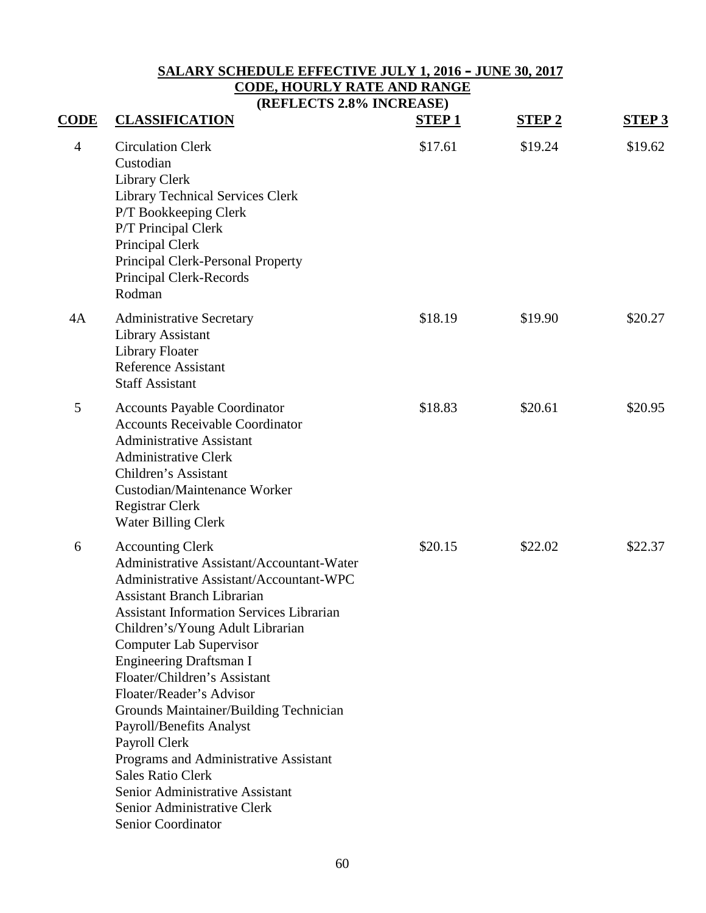# **SALARY SCHEDULE EFFECTIVE JULY 1, 2016 – JUNE 30, 2017 CODE, HOURLY RATE AND RANGE**

**(REFLECTS 2.8% INCREASE)**

| $CODE$         | <b>CLASSIFICATION</b>                                                                                                                                                                                                                                                                                                                                                                                                                                                                                                                                                                                                           | <b>STEP1</b> | <b>STEP 2</b> | <b>STEP 3</b> |
|----------------|---------------------------------------------------------------------------------------------------------------------------------------------------------------------------------------------------------------------------------------------------------------------------------------------------------------------------------------------------------------------------------------------------------------------------------------------------------------------------------------------------------------------------------------------------------------------------------------------------------------------------------|--------------|---------------|---------------|
| $\overline{4}$ | <b>Circulation Clerk</b><br>Custodian<br>Library Clerk<br><b>Library Technical Services Clerk</b><br>P/T Bookkeeping Clerk<br>P/T Principal Clerk<br>Principal Clerk<br>Principal Clerk-Personal Property<br>Principal Clerk-Records<br>Rodman                                                                                                                                                                                                                                                                                                                                                                                  | \$17.61      | \$19.24       | \$19.62       |
| 4A             | <b>Administrative Secretary</b><br><b>Library Assistant</b><br><b>Library Floater</b><br><b>Reference Assistant</b><br><b>Staff Assistant</b>                                                                                                                                                                                                                                                                                                                                                                                                                                                                                   | \$18.19      | \$19.90       | \$20.27       |
| 5              | <b>Accounts Payable Coordinator</b><br><b>Accounts Receivable Coordinator</b><br><b>Administrative Assistant</b><br><b>Administrative Clerk</b><br>Children's Assistant<br><b>Custodian/Maintenance Worker</b><br>Registrar Clerk<br><b>Water Billing Clerk</b>                                                                                                                                                                                                                                                                                                                                                                 | \$18.83      | \$20.61       | \$20.95       |
| 6              | <b>Accounting Clerk</b><br>Administrative Assistant/Accountant-Water<br>Administrative Assistant/Accountant-WPC<br><b>Assistant Branch Librarian</b><br><b>Assistant Information Services Librarian</b><br>Children's/Young Adult Librarian<br><b>Computer Lab Supervisor</b><br><b>Engineering Draftsman I</b><br>Floater/Children's Assistant<br>Floater/Reader's Advisor<br>Grounds Maintainer/Building Technician<br>Payroll/Benefits Analyst<br>Payroll Clerk<br>Programs and Administrative Assistant<br><b>Sales Ratio Clerk</b><br>Senior Administrative Assistant<br>Senior Administrative Clerk<br>Senior Coordinator | \$20.15      | \$22.02       | \$22.37       |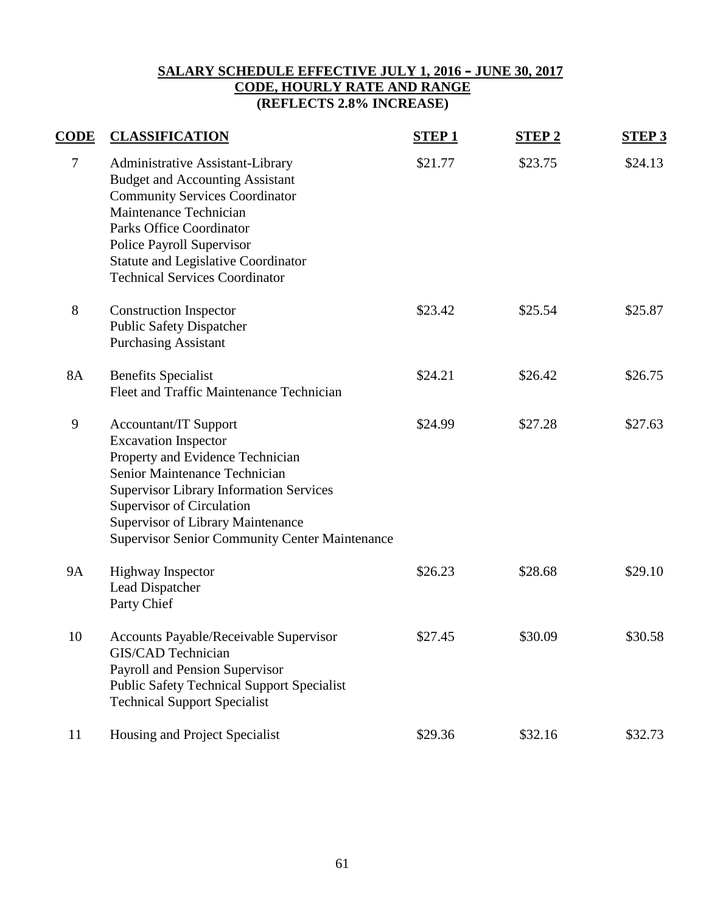## **SALARY SCHEDULE EFFECTIVE JULY 1, 2016 – JUNE 30, 2017 CODE, HOURLY RATE AND RANGE (REFLECTS 2.8% INCREASE)**

| <b>CODE</b> | <b>CLASSIFICATION</b>                                                                                                                                                                                                                                                                                                | <b>STEP1</b> | <b>STEP2</b> | <b>STEP 3</b> |
|-------------|----------------------------------------------------------------------------------------------------------------------------------------------------------------------------------------------------------------------------------------------------------------------------------------------------------------------|--------------|--------------|---------------|
| $\tau$      | Administrative Assistant-Library<br><b>Budget and Accounting Assistant</b><br><b>Community Services Coordinator</b><br>Maintenance Technician<br><b>Parks Office Coordinator</b><br><b>Police Payroll Supervisor</b><br><b>Statute and Legislative Coordinator</b><br><b>Technical Services Coordinator</b>          | \$21.77      | \$23.75      | \$24.13       |
| 8           | <b>Construction Inspector</b><br><b>Public Safety Dispatcher</b><br><b>Purchasing Assistant</b>                                                                                                                                                                                                                      | \$23.42      | \$25.54      | \$25.87       |
| <b>8A</b>   | <b>Benefits Specialist</b><br>Fleet and Traffic Maintenance Technician                                                                                                                                                                                                                                               | \$24.21      | \$26.42      | \$26.75       |
| 9           | <b>Accountant/IT Support</b><br><b>Excavation Inspector</b><br>Property and Evidence Technician<br>Senior Maintenance Technician<br><b>Supervisor Library Information Services</b><br>Supervisor of Circulation<br><b>Supervisor of Library Maintenance</b><br><b>Supervisor Senior Community Center Maintenance</b> | \$24.99      | \$27.28      | \$27.63       |
| <b>9A</b>   | <b>Highway Inspector</b><br>Lead Dispatcher<br>Party Chief                                                                                                                                                                                                                                                           | \$26.23      | \$28.68      | \$29.10       |
| 10          | Accounts Payable/Receivable Supervisor<br>GIS/CAD Technician<br>Payroll and Pension Supervisor<br><b>Public Safety Technical Support Specialist</b><br><b>Technical Support Specialist</b>                                                                                                                           | \$27.45      | \$30.09      | \$30.58       |
| 11          | Housing and Project Specialist                                                                                                                                                                                                                                                                                       | \$29.36      | \$32.16      | \$32.73       |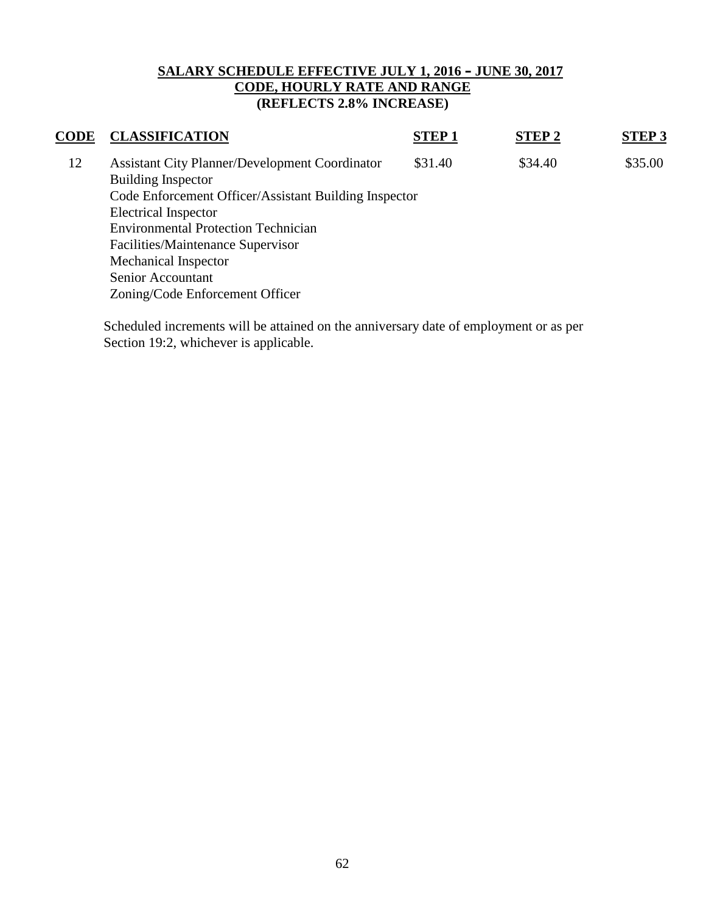## **SALARY SCHEDULE EFFECTIVE JULY 1, 2016 – JUNE 30, 2017 CODE, HOURLY RATE AND RANGE (REFLECTS 2.8% INCREASE)**

| CODE | <b>CLASSIFICATION</b>                                 | <b>STEP1</b> | <b>STEP2</b> | <b>STEP 3</b> |
|------|-------------------------------------------------------|--------------|--------------|---------------|
| 12   | <b>Assistant City Planner/Development Coordinator</b> | \$31.40      | \$34.40      | \$35.00       |
|      | <b>Building Inspector</b>                             |              |              |               |
|      | Code Enforcement Officer/Assistant Building Inspector |              |              |               |
|      | <b>Electrical Inspector</b>                           |              |              |               |
|      | <b>Environmental Protection Technician</b>            |              |              |               |
|      | Facilities/Maintenance Supervisor                     |              |              |               |
|      | Mechanical Inspector                                  |              |              |               |
|      | Senior Accountant                                     |              |              |               |
|      | Zoning/Code Enforcement Officer                       |              |              |               |
|      |                                                       |              |              |               |

Scheduled increments will be attained on the anniversary date of employment or as per Section 19:2, whichever is applicable.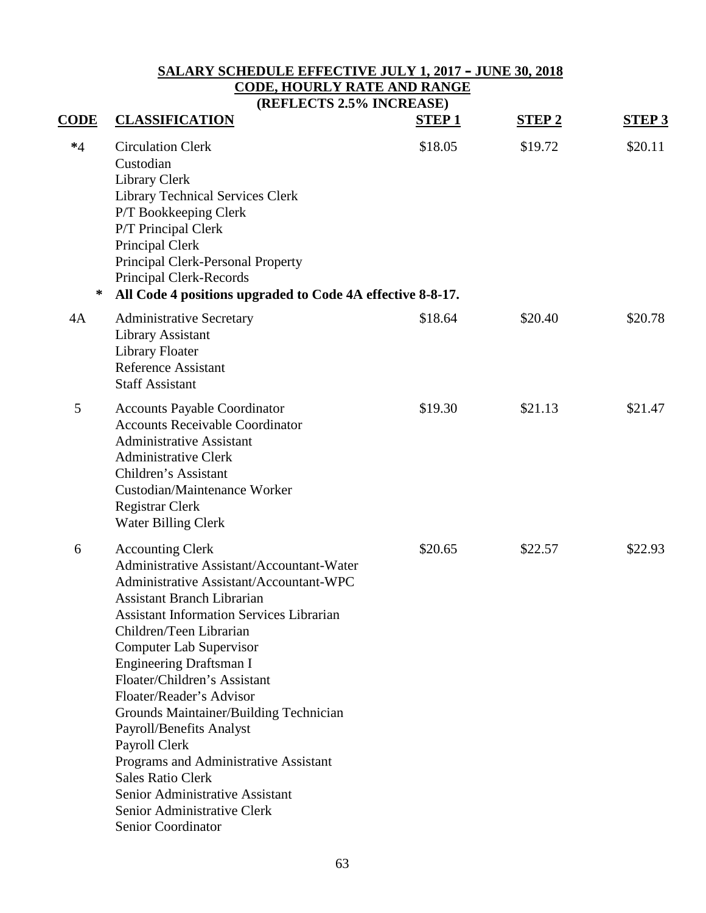# **SALARY SCHEDULE EFFECTIVE JULY 1, 2017 – JUNE 30, 2018 CODE, HOURLY RATE AND RANGE**

**(REFLECTS 2.5% INCREASE)**

| <b>CODE</b> | <b>CLASSIFICATION</b>                                                                                                                                                                                                                                                                                                                                                                                                                                                                                                                                                                                           | <b>STEP1</b> | <b>STEP2</b> | <b>STEP 3</b> |
|-------------|-----------------------------------------------------------------------------------------------------------------------------------------------------------------------------------------------------------------------------------------------------------------------------------------------------------------------------------------------------------------------------------------------------------------------------------------------------------------------------------------------------------------------------------------------------------------------------------------------------------------|--------------|--------------|---------------|
| $*4$<br>∗   | <b>Circulation Clerk</b><br>Custodian<br><b>Library Clerk</b><br><b>Library Technical Services Clerk</b><br>P/T Bookkeeping Clerk<br>P/T Principal Clerk<br>Principal Clerk<br>Principal Clerk-Personal Property<br>Principal Clerk-Records<br>All Code 4 positions upgraded to Code 4A effective 8-8-17.                                                                                                                                                                                                                                                                                                       | \$18.05      | \$19.72      | \$20.11       |
| 4A          | <b>Administrative Secretary</b><br>Library Assistant<br><b>Library Floater</b><br><b>Reference Assistant</b><br><b>Staff Assistant</b>                                                                                                                                                                                                                                                                                                                                                                                                                                                                          | \$18.64      | \$20.40      | \$20.78       |
| 5           | <b>Accounts Payable Coordinator</b><br><b>Accounts Receivable Coordinator</b><br><b>Administrative Assistant</b><br><b>Administrative Clerk</b><br>Children's Assistant<br>Custodian/Maintenance Worker<br>Registrar Clerk<br><b>Water Billing Clerk</b>                                                                                                                                                                                                                                                                                                                                                        | \$19.30      | \$21.13      | \$21.47       |
| 6           | <b>Accounting Clerk</b><br>Administrative Assistant/Accountant-Water<br>Administrative Assistant/Accountant-WPC<br><b>Assistant Branch Librarian</b><br><b>Assistant Information Services Librarian</b><br>Children/Teen Librarian<br><b>Computer Lab Supervisor</b><br>Engineering Draftsman I<br>Floater/Children's Assistant<br>Floater/Reader's Advisor<br>Grounds Maintainer/Building Technician<br>Payroll/Benefits Analyst<br>Payroll Clerk<br>Programs and Administrative Assistant<br><b>Sales Ratio Clerk</b><br>Senior Administrative Assistant<br>Senior Administrative Clerk<br>Senior Coordinator | \$20.65      | \$22.57      | \$22.93       |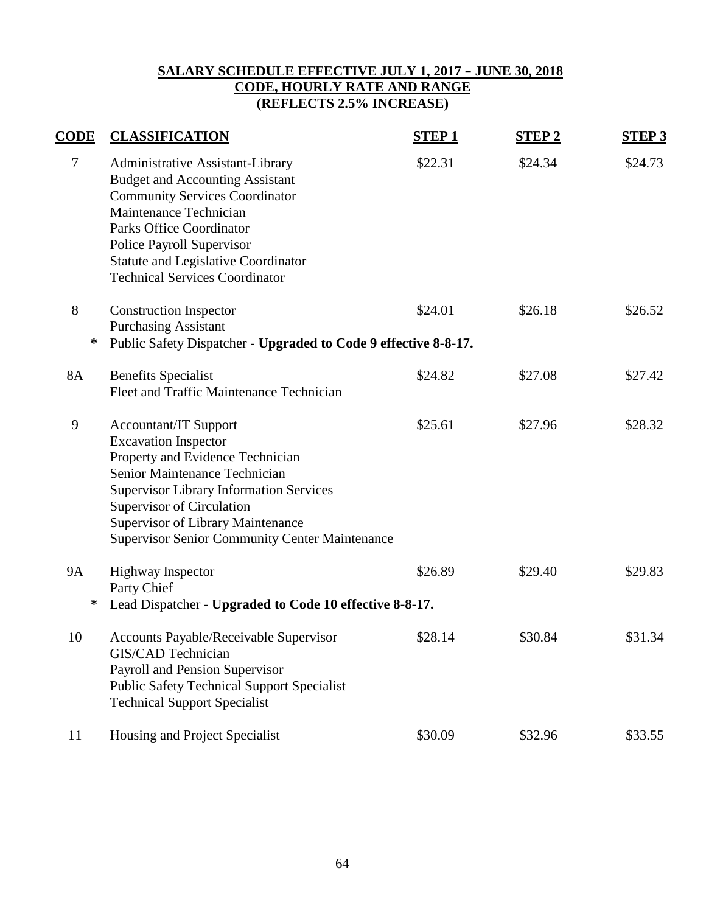## **SALARY SCHEDULE EFFECTIVE JULY 1, 2017 – JUNE 30, 2018 CODE, HOURLY RATE AND RANGE (REFLECTS 2.5% INCREASE)**

| <b>CODE</b> | <b>CLASSIFICATION</b>                                                                                                                                                                                                                                                                                                | <b>STEP1</b> | <b>STEP2</b> | <b>STEP 3</b> |  |  |  |
|-------------|----------------------------------------------------------------------------------------------------------------------------------------------------------------------------------------------------------------------------------------------------------------------------------------------------------------------|--------------|--------------|---------------|--|--|--|
| $\tau$      | Administrative Assistant-Library<br><b>Budget and Accounting Assistant</b><br><b>Community Services Coordinator</b><br>Maintenance Technician<br><b>Parks Office Coordinator</b><br><b>Police Payroll Supervisor</b><br><b>Statute and Legislative Coordinator</b><br><b>Technical Services Coordinator</b>          | \$22.31      | \$24.34      | \$24.73       |  |  |  |
| 8           | <b>Construction Inspector</b><br><b>Purchasing Assistant</b>                                                                                                                                                                                                                                                         | \$24.01      | \$26.18      | \$26.52       |  |  |  |
| ∗           | Public Safety Dispatcher - Upgraded to Code 9 effective 8-8-17.                                                                                                                                                                                                                                                      |              |              |               |  |  |  |
| <b>8A</b>   | <b>Benefits Specialist</b><br>Fleet and Traffic Maintenance Technician                                                                                                                                                                                                                                               | \$24.82      | \$27.08      | \$27.42       |  |  |  |
| 9           | <b>Accountant/IT Support</b><br><b>Excavation Inspector</b><br>Property and Evidence Technician<br>Senior Maintenance Technician<br><b>Supervisor Library Information Services</b><br>Supervisor of Circulation<br><b>Supervisor of Library Maintenance</b><br><b>Supervisor Senior Community Center Maintenance</b> | \$25.61      | \$27.96      | \$28.32       |  |  |  |
| <b>9A</b>   | <b>Highway Inspector</b><br>Party Chief                                                                                                                                                                                                                                                                              | \$26.89      | \$29.40      | \$29.83       |  |  |  |
| ∗           | Lead Dispatcher - Upgraded to Code 10 effective 8-8-17.                                                                                                                                                                                                                                                              |              |              |               |  |  |  |
| 10          | Accounts Payable/Receivable Supervisor<br>GIS/CAD Technician<br>Payroll and Pension Supervisor<br><b>Public Safety Technical Support Specialist</b><br><b>Technical Support Specialist</b>                                                                                                                           | \$28.14      | \$30.84      | \$31.34       |  |  |  |
| 11          | Housing and Project Specialist                                                                                                                                                                                                                                                                                       | \$30.09      | \$32.96      | \$33.55       |  |  |  |